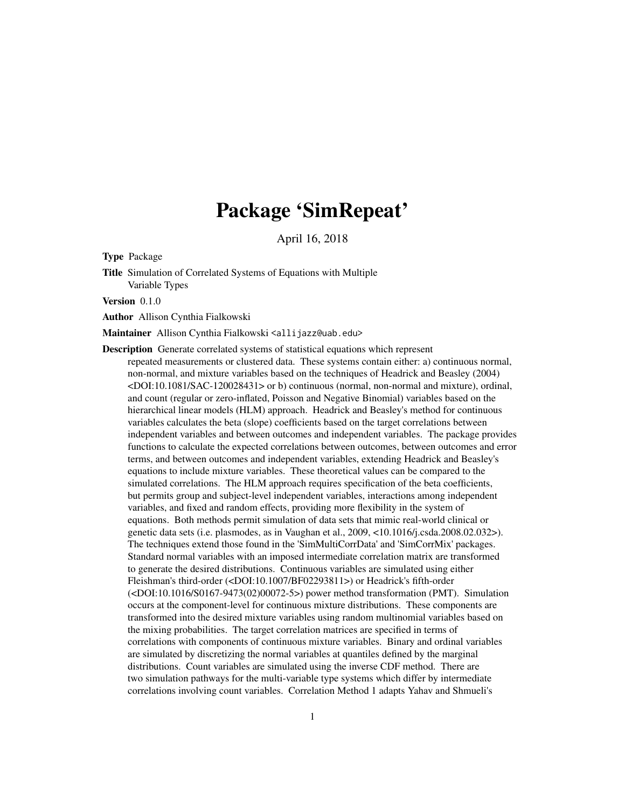# Package 'SimRepeat'

April 16, 2018

<span id="page-0-0"></span>Type Package

Title Simulation of Correlated Systems of Equations with Multiple Variable Types

Version 0.1.0

Author Allison Cynthia Fialkowski

Maintainer Allison Cynthia Fialkowski <allijazz@uab.edu>

Description Generate correlated systems of statistical equations which represent repeated measurements or clustered data. These systems contain either: a) continuous normal, non-normal, and mixture variables based on the techniques of Headrick and Beasley (2004) <DOI:10.1081/SAC-120028431> or b) continuous (normal, non-normal and mixture), ordinal, and count (regular or zero-inflated, Poisson and Negative Binomial) variables based on the hierarchical linear models (HLM) approach. Headrick and Beasley's method for continuous variables calculates the beta (slope) coefficients based on the target correlations between independent variables and between outcomes and independent variables. The package provides functions to calculate the expected correlations between outcomes, between outcomes and error terms, and between outcomes and independent variables, extending Headrick and Beasley's equations to include mixture variables. These theoretical values can be compared to the simulated correlations. The HLM approach requires specification of the beta coefficients, but permits group and subject-level independent variables, interactions among independent variables, and fixed and random effects, providing more flexibility in the system of equations. Both methods permit simulation of data sets that mimic real-world clinical or genetic data sets (i.e. plasmodes, as in Vaughan et al., 2009, <10.1016/j.csda.2008.02.032>). The techniques extend those found in the 'SimMultiCorrData' and 'SimCorrMix' packages. Standard normal variables with an imposed intermediate correlation matrix are transformed to generate the desired distributions. Continuous variables are simulated using either Fleishman's third-order (<DOI:10.1007/BF02293811>) or Headrick's fifth-order (<DOI:10.1016/S0167-9473(02)00072-5>) power method transformation (PMT). Simulation occurs at the component-level for continuous mixture distributions. These components are transformed into the desired mixture variables using random multinomial variables based on the mixing probabilities. The target correlation matrices are specified in terms of correlations with components of continuous mixture variables. Binary and ordinal variables are simulated by discretizing the normal variables at quantiles defined by the marginal distributions. Count variables are simulated using the inverse CDF method. There are two simulation pathways for the multi-variable type systems which differ by intermediate correlations involving count variables. Correlation Method 1 adapts Yahav and Shmueli's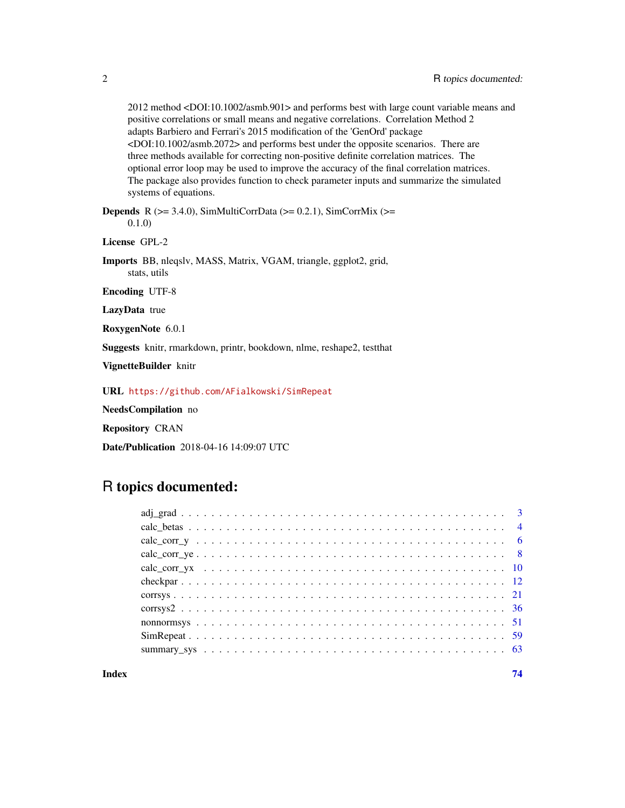2012 method <DOI:10.1002/asmb.901> and performs best with large count variable means and positive correlations or small means and negative correlations. Correlation Method 2 adapts Barbiero and Ferrari's 2015 modification of the 'GenOrd' package <DOI:10.1002/asmb.2072> and performs best under the opposite scenarios. There are three methods available for correcting non-positive definite correlation matrices. The optional error loop may be used to improve the accuracy of the final correlation matrices. The package also provides function to check parameter inputs and summarize the simulated systems of equations.

**Depends** R ( $>= 3.4.0$ ), SimMultiCorrData ( $>= 0.2.1$ ), SimCorrMix ( $>=$ 0.1.0)

License GPL-2

Imports BB, nleqslv, MASS, Matrix, VGAM, triangle, ggplot2, grid, stats, utils

Encoding UTF-8

LazyData true

RoxygenNote 6.0.1

Suggests knitr, rmarkdown, printr, bookdown, nlme, reshape2, testthat

VignetteBuilder knitr

URL <https://github.com/AFialkowski/SimRepeat>

NeedsCompilation no

Repository CRAN

Date/Publication 2018-04-16 14:09:07 UTC

# R topics documented:

| $calc\_corr\_ye$ 8 |
|--------------------|
|                    |
|                    |
|                    |
|                    |
|                    |
|                    |
|                    |
|                    |

**Index** [74](#page-73-0)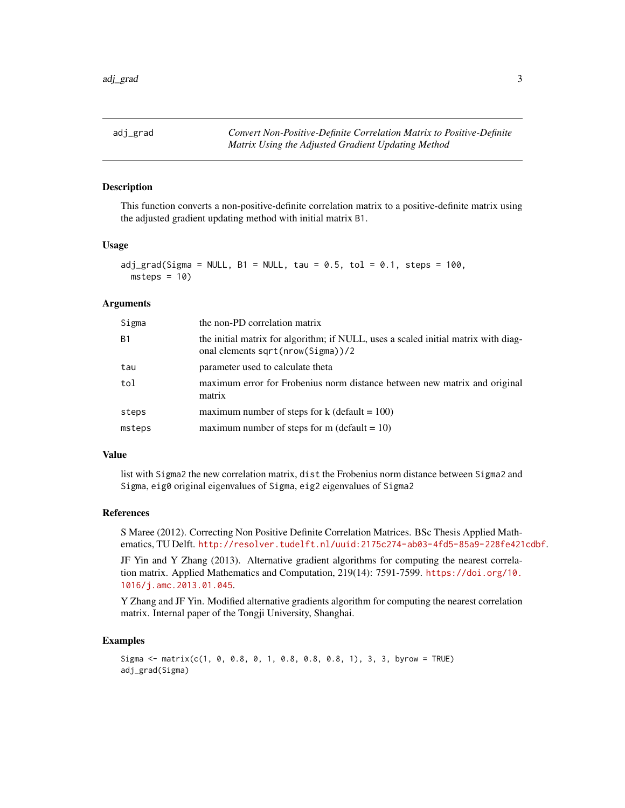<span id="page-2-0"></span>adj\_grad *Convert Non-Positive-Definite Correlation Matrix to Positive-Definite Matrix Using the Adjusted Gradient Updating Method*

#### Description

This function converts a non-positive-definite correlation matrix to a positive-definite matrix using the adjusted gradient updating method with initial matrix B1.

#### Usage

```
adj\_grad(Sigma = NULL, B1 = NULL, tau = 0.5, tol = 0.1, steps = 100,msteps = 10
```
# Arguments

| Sigma          | the non-PD correlation matrix                                                                                           |
|----------------|-------------------------------------------------------------------------------------------------------------------------|
| B <sub>1</sub> | the initial matrix for algorithm; if NULL, uses a scaled initial matrix with diag-<br>onal elements sqrt(nrow(Sigma))/2 |
| tau            | parameter used to calculate theta                                                                                       |
| tol            | maximum error for Frobenius norm distance between new matrix and original<br>matrix                                     |
| steps          | maximum number of steps for $k$ (default = 100)                                                                         |
| msteps         | maximum number of steps for m (default = $10$ )                                                                         |

#### Value

list with Sigma2 the new correlation matrix, dist the Frobenius norm distance between Sigma2 and Sigma, eig0 original eigenvalues of Sigma, eig2 eigenvalues of Sigma2

#### References

S Maree (2012). Correcting Non Positive Definite Correlation Matrices. BSc Thesis Applied Mathematics, TU Delft. <http://resolver.tudelft.nl/uuid:2175c274-ab03-4fd5-85a9-228fe421cdbf>.

JF Yin and Y Zhang (2013). Alternative gradient algorithms for computing the nearest correlation matrix. Applied Mathematics and Computation, 219(14): 7591-7599. [https://doi.org/10.](https://doi.org/10.1016/j.amc.2013.01.045) [1016/j.amc.2013.01.045](https://doi.org/10.1016/j.amc.2013.01.045).

Y Zhang and JF Yin. Modified alternative gradients algorithm for computing the nearest correlation matrix. Internal paper of the Tongji University, Shanghai.

```
Sigma <- matrix(c(1, 0, 0.8, 0, 1, 0.8, 0.8, 0.8, 1), 3, 3, byrow = TRUE)
adj_grad(Sigma)
```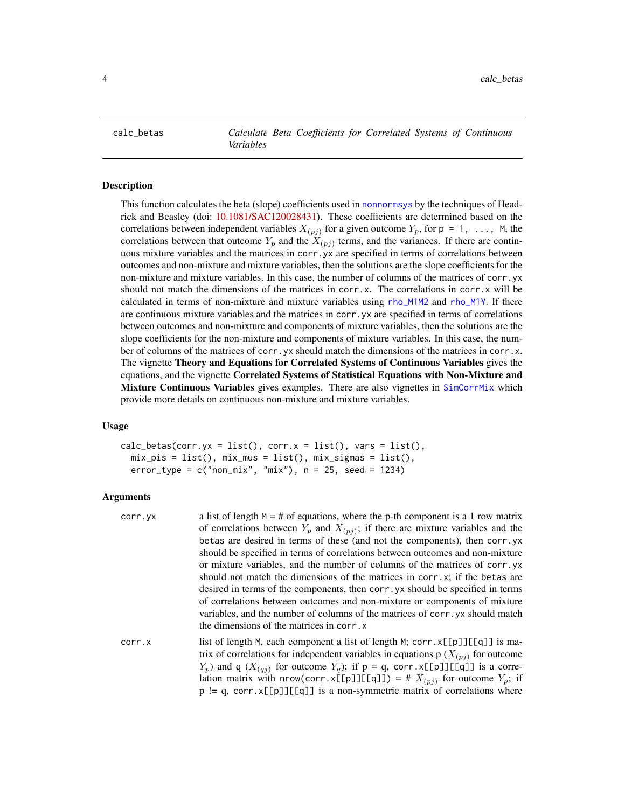<span id="page-3-1"></span><span id="page-3-0"></span>calc\_betas *Calculate Beta Coefficients for Correlated Systems of Continuous Variables*

# Description

This function calculates the beta (slope) coefficients used in [nonnormsys](#page-50-1) by the techniques of Headrick and Beasley (doi: [10.1081/SAC120028431\)](http://doi.org/10.1081/SAC-120028431). These coefficients are determined based on the correlations between independent variables  $X_{(pj)}$  for a given outcome  $Y_p$ , for  $p = 1, \ldots, M$ , the correlations between that outcome  $Y_p$  and the  $X_{(pj)}$  terms, and the variances. If there are continuous mixture variables and the matrices in corr.yx are specified in terms of correlations between outcomes and non-mixture and mixture variables, then the solutions are the slope coefficients for the non-mixture and mixture variables. In this case, the number of columns of the matrices of corr.yx should not match the dimensions of the matrices in corr.x. The correlations in corr.x will be calculated in terms of non-mixture and mixture variables using [rho\\_M1M2](#page-0-0) and [rho\\_M1Y](#page-0-0). If there are continuous mixture variables and the matrices in corr.yx are specified in terms of correlations between outcomes and non-mixture and components of mixture variables, then the solutions are the slope coefficients for the non-mixture and components of mixture variables. In this case, the number of columns of the matrices of corr. yx should match the dimensions of the matrices in corr.x. The vignette Theory and Equations for Correlated Systems of Continuous Variables gives the equations, and the vignette Correlated Systems of Statistical Equations with Non-Mixture and Mixture Continuous Variables gives examples. There are also vignettes in [SimCorrMix](#page-0-0) which provide more details on continuous non-mixture and mixture variables.

# Usage

```
calc_betas(corr.yx = list(), corr.x = list(), vars = list(),mix\_pis = list(), mix\_mus = list(), mix\_signas = list(),error_type = c("non\_mix", "mix"), n = 25, seed = 1234)
```
#### Arguments

| corr.yx | a list of length $M = #$ of equations, where the p-th component is a 1 row matrix<br>of correlations between $Y_p$ and $X_{(pj)}$ ; if there are mixture variables and the<br>betas are desired in terms of these (and not the components), then corr.yx<br>should be specified in terms of correlations between outcomes and non-mixture<br>or mixture variables, and the number of columns of the matrices of corr. yx<br>should not match the dimensions of the matrices in $corr.x$ ; if the betas are<br>desired in terms of the components, then corr. yx should be specified in terms<br>of correlations between outcomes and non-mixture or components of mixture<br>variables, and the number of columns of the matrices of corr. yx should match<br>the dimensions of the matrices in corr. x |
|---------|---------------------------------------------------------------------------------------------------------------------------------------------------------------------------------------------------------------------------------------------------------------------------------------------------------------------------------------------------------------------------------------------------------------------------------------------------------------------------------------------------------------------------------------------------------------------------------------------------------------------------------------------------------------------------------------------------------------------------------------------------------------------------------------------------------|
| corr.x  | list of length M, each component a list of length M; $corr.x[[p]][q]]$ is ma-<br>trix of correlations for independent variables in equations $p(X_{(pj)})$ for outcome<br>$Y_p$ ) and q $(X_{(qj)}$ for outcome $Y_q$ ); if p = q, corr.x[[p]][[q]] is a corre-<br>lation matrix with nrow(corr.x[[p]][[q]]) = # $X_{(pj)}$ for outcome $Y_p$ ; if                                                                                                                                                                                                                                                                                                                                                                                                                                                      |

 $p := q$ , corr.  $x[[p]][[q]]$  is a non-symmetric matrix of correlations where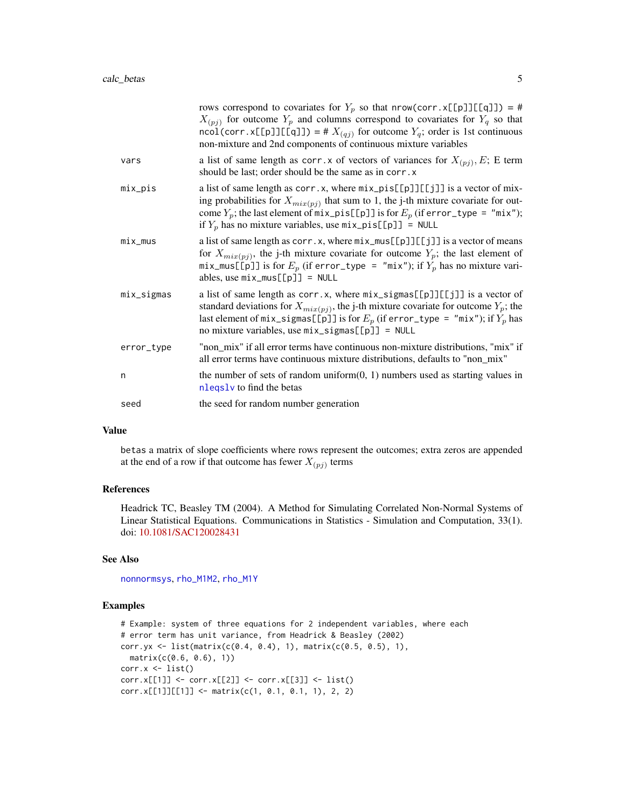|            | rows correspond to covariates for $Y_p$ so that nrow(corr.x[[p]][[q]]) = #<br>$X_{(pj)}$ for outcome $Y_p$ and columns correspond to covariates for $Y_q$ so that<br>ncol(corr.x[[p]][[q]]) = # $X_{(qj)}$ for outcome $Y_q$ ; order is 1st continuous<br>non-mixture and 2nd components of continuous mixture variables                |
|------------|-----------------------------------------------------------------------------------------------------------------------------------------------------------------------------------------------------------------------------------------------------------------------------------------------------------------------------------------|
| vars       | a list of same length as corr. x of vectors of variances for $X_{(pj)}$ , E; E term<br>should be last; order should be the same as in corr. x                                                                                                                                                                                           |
| mix_pis    | a list of same length as $corr.x$ , where $mix\_pis[[p]][[jj]$ is a vector of mix-<br>ing probabilities for $X_{mix(pj)}$ that sum to 1, the j-th mixture covariate for out-<br>come $Y_p$ ; the last element of $mix\_pis[[p]]$ is for $E_p$ (if error_type = "mix");<br>if $Y_p$ has no mixture variables, use $mix\_pis[[p]] = NULL$ |
| $mix_mus$  | a list of same length as corr.x, where $mix\_mus[[p]][[j]]$ is a vector of means<br>for $X_{mix(p_i)}$ , the j-th mixture covariate for outcome $Y_p$ ; the last element of<br>mix_mus[[p]] is for $E_p$ (if error_type = "mix"); if $Y_p$ has no mixture vari-<br>ables, use $mix_mus[[p]] = NULL$                                     |
| mix_sigmas | a list of same length as $corr.x$ , where $mix\_signas[[p]][[j]]$ is a vector of<br>standard deviations for $X_{mix(pj)}$ , the j-th mixture covariate for outcome $Y_p$ ; the<br>last element of mix_sigmas[[p]] is for $E_p$ (if error_type = "mix"); if $Y_p$ has<br>no mixture variables, use mix_sigmas[[p]] = NULL                |
| error_type | "non_mix" if all error terms have continuous non-mixture distributions, "mix" if<br>all error terms have continuous mixture distributions, defaults to "non mix"                                                                                                                                                                        |
| n          | the number of sets of random uniform $(0, 1)$ numbers used as starting values in<br>nleqsly to find the betas                                                                                                                                                                                                                           |
| seed       | the seed for random number generation                                                                                                                                                                                                                                                                                                   |

#### Value

betas a matrix of slope coefficients where rows represent the outcomes; extra zeros are appended at the end of a row if that outcome has fewer  $X_{(pj)}$  terms

# References

Headrick TC, Beasley TM (2004). A Method for Simulating Correlated Non-Normal Systems of Linear Statistical Equations. Communications in Statistics - Simulation and Computation, 33(1). doi: [10.1081/SAC120028431](http://doi.org/10.1081/SAC-120028431)

# See Also

[nonnormsys](#page-50-1), [rho\\_M1M2](#page-0-0), [rho\\_M1Y](#page-0-0)

```
# Example: system of three equations for 2 independent variables, where each
# error term has unit variance, from Headrick & Beasley (2002)
corr.yx <- list(matrix(c(0.4, 0.4), 1), matrix(c(0.5, 0.5), 1),
  matrix(c(0.6, 0.6), 1))corr.x \leftarrow list()corr.x[[1]] <- corr.x[[2]] <- corr.x[[3]] <- list()
corr.x[[1]][[1]] < - matrix(c(1, 0.1, 0.1, 1), 2, 2)
```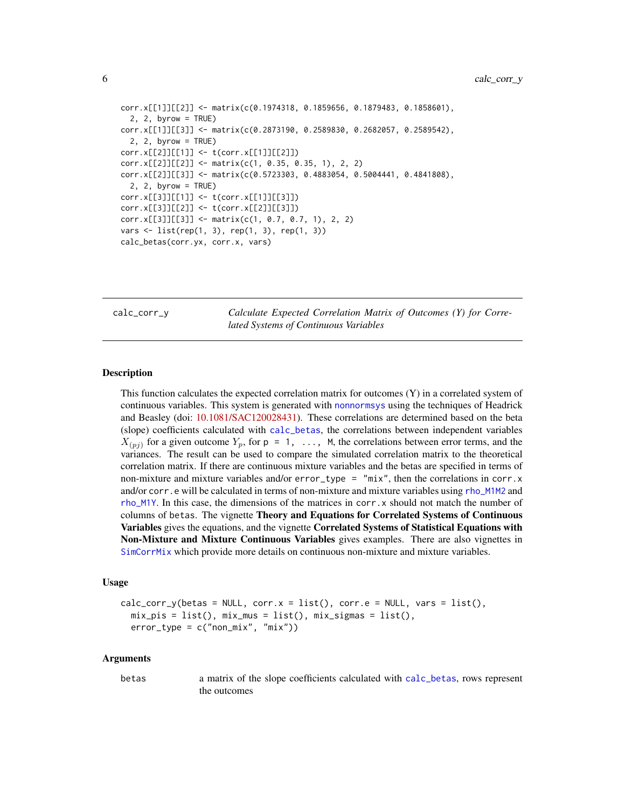```
corr.x[[1]][[2]] <- matrix(c(0.1974318, 0.1859656, 0.1879483, 0.1858601),
  2, 2, byrow = TRUE)
corr.x[[1]][[3]] <- matrix(c(0.2873190, 0.2589830, 0.2682057, 0.2589542),
 2, 2, byrow = TRUEcorr.x[[2]][[1]] <- t(corr.x[[1]][[2]])
corr.x[[2]][[2]] <- matrix(c(1, 0.35, 0.35, 1), 2, 2)
corr.x[[2]][[3]] <- matrix(c(0.5723303, 0.4883054, 0.5004441, 0.4841808),
  2, 2, byrow = TRUE)
corr.x[[3]][[1]] <- t(corr.x[[1]][[3]])
corr.x[[3]][[2]] <- t(corr.x[[2]][[3]])
corr.x[[3]][[3]] <- matrix(c(1, 0.7, 0.7, 1), 2, 2)
vars <- list(rep(1, 3), rep(1, 3), rep(1, 3))
calc_betas(corr.yx, corr.x, vars)
```
calc\_corr\_y *Calculate Expected Correlation Matrix of Outcomes (Y) for Correlated Systems of Continuous Variables*

## Description

This function calculates the expected correlation matrix for outcomes  $(Y)$  in a correlated system of continuous variables. This system is generated with [nonnormsys](#page-50-1) using the techniques of Headrick and Beasley (doi: [10.1081/SAC120028431\)](http://doi.org/10.1081/SAC-120028431). These correlations are determined based on the beta (slope) coefficients calculated with [calc\\_betas](#page-3-1), the correlations between independent variables  $X_{(pj)}$  for a given outcome  $Y_p$ , for p = 1, ..., M, the correlations between error terms, and the variances. The result can be used to compare the simulated correlation matrix to the theoretical correlation matrix. If there are continuous mixture variables and the betas are specified in terms of non-mixture and mixture variables and/or error\_type =  $\text{"mix"}$ , then the correlations in corr. x and/or corr.e will be calculated in terms of non-mixture and mixture variables using [rho\\_M1M2](#page-0-0) and [rho\\_M1Y](#page-0-0). In this case, the dimensions of the matrices in corr.x should not match the number of columns of betas. The vignette Theory and Equations for Correlated Systems of Continuous Variables gives the equations, and the vignette Correlated Systems of Statistical Equations with Non-Mixture and Mixture Continuous Variables gives examples. There are also vignettes in [SimCorrMix](#page-0-0) which provide more details on continuous non-mixture and mixture variables.

#### Usage

```
calc\_corr_y(betas = NULL, corr.x = list(), corr.e = NULL, vars = list(),mix\_pis = list(), mix\_mus = list(), mix\_signas = list(),
  error_type = c("non\_mix", "mix")
```
#### Arguments

betas a matrix of the slope coefficients calculated with [calc\\_betas](#page-3-1), rows represent the outcomes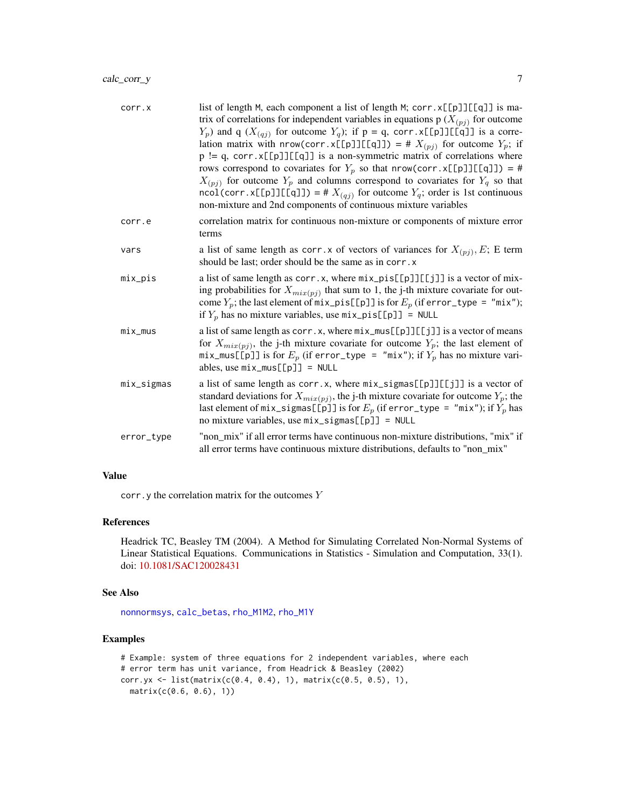| corr.x     | list of length M, each component a list of length M; corr. x[[p]][[q]] is ma-<br>trix of correlations for independent variables in equations $p(X_{(pj)})$ for outcome<br>$Y_p$ ) and q ( $X_{(qj)}$ for outcome $Y_q$ ); if p = q, corr.x[[p]][[q]] is a corre-<br>lation matrix with nrow(corr.x[[p]][[q]]) = # $X_{(pj)}$ for outcome $Y_p$ ; if<br>$p := q$ , corr. x[[p]][[q]] is a non-symmetric matrix of correlations where<br>rows correspond to covariates for $Y_p$ so that nrow(corr.x[[p]][[q]]) = #<br>$X_{(pj)}$ for outcome $Y_p$ and columns correspond to covariates for $Y_q$ so that<br>ncol(corr.x[[p]][[q]]) = # $X_{(qj)}$ for outcome $Y_q$ ; order is 1st continuous<br>non-mixture and 2nd components of continuous mixture variables |
|------------|-----------------------------------------------------------------------------------------------------------------------------------------------------------------------------------------------------------------------------------------------------------------------------------------------------------------------------------------------------------------------------------------------------------------------------------------------------------------------------------------------------------------------------------------------------------------------------------------------------------------------------------------------------------------------------------------------------------------------------------------------------------------|
| corr.e     | correlation matrix for continuous non-mixture or components of mixture error<br>terms                                                                                                                                                                                                                                                                                                                                                                                                                                                                                                                                                                                                                                                                           |
| vars       | a list of same length as corr. x of vectors of variances for $X_{(pj)}$ , E; E term<br>should be last; order should be the same as in corr. x                                                                                                                                                                                                                                                                                                                                                                                                                                                                                                                                                                                                                   |
| mix_pis    | a list of same length as corr.x, where $mix\_pis[[p]][[j]]$ is a vector of mix-<br>ing probabilities for $X_{mix(pj)}$ that sum to 1, the j-th mixture covariate for out-<br>come $Y_p$ ; the last element of mix_pis[[p]] is for $E_p$ (if error_type = "mix");<br>if $Y_p$ has no mixture variables, use $mix\_pis[[p]] = NULL$                                                                                                                                                                                                                                                                                                                                                                                                                               |
| $mix_mus$  | a list of same length as $corr.x$ , where $mix\_mus[[p]][[j]]$ is a vector of means<br>for $X_{mix(pj)}$ , the j-th mixture covariate for outcome $Y_p$ ; the last element of<br>mix_mus[[p]] is for $E_p$ (if error_type = "mix"); if $Y_p$ has no mixture vari-<br>ables, use $mix_mus[[p]] = NULL$                                                                                                                                                                                                                                                                                                                                                                                                                                                           |
| mix_sigmas | a list of same length as corr.x, where $mix\_signas[[p]][[j]]$ is a vector of<br>standard deviations for $X_{mix(pj)}$ , the j-th mixture covariate for outcome $Y_p$ ; the<br>last element of $mix\_signas[[p]]$ is for $E_p$ (if error_type = "mix"); if $Y_p$ has<br>no mixture variables, use $mix\_signas[\![p]\!] = NULL$                                                                                                                                                                                                                                                                                                                                                                                                                                 |
| error_type | "non_mix" if all error terms have continuous non-mixture distributions, "mix" if<br>all error terms have continuous mixture distributions, defaults to "non_mix"                                                                                                                                                                                                                                                                                                                                                                                                                                                                                                                                                                                                |

# Value

corr.y the correlation matrix for the outcomes Y

# References

Headrick TC, Beasley TM (2004). A Method for Simulating Correlated Non-Normal Systems of Linear Statistical Equations. Communications in Statistics - Simulation and Computation, 33(1). doi: [10.1081/SAC120028431](http://doi.org/10.1081/SAC-120028431)

#### See Also

[nonnormsys](#page-50-1), [calc\\_betas](#page-3-1), [rho\\_M1M2](#page-0-0), [rho\\_M1Y](#page-0-0)

```
# Example: system of three equations for 2 independent variables, where each
# error term has unit variance, from Headrick & Beasley (2002)
corr.yx <- list(matrix(c(0.4, 0.4), 1), matrix(c(0.5, 0.5), 1),
  matrix(c(0.6, 0.6), 1))
```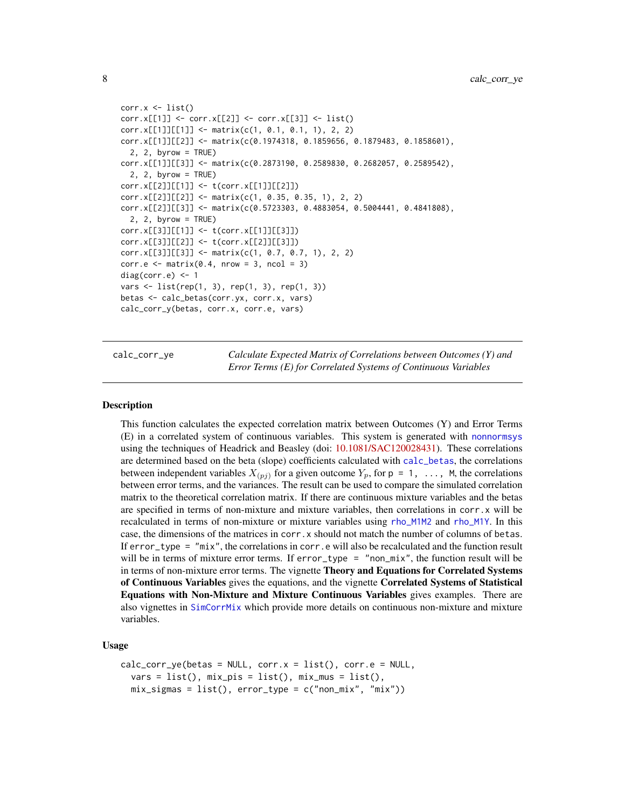```
corr.x \leftarrow list()corr.x[[1]] <- corr.x[[2]] <- corr.x[[3]] <- list()
corr.x[[1]][[1]] < - matrix(c(1, 0.1, 0.1, 1), 2, 2)corr.x[[1]][[2]] <- matrix(c(0.1974318, 0.1859656, 0.1879483, 0.1858601),
 2, 2, byrow = TRUE)
corr.x[[1]][[3]] <- matrix(c(0.2873190, 0.2589830, 0.2682057, 0.2589542),
  2, 2, byrow = TRUE)
corr.x[[2]][[1]] <- t(corr.x[[1]][[2]])
corr.x[[2]][[2]] <- matrix(c(1, 0.35, 0.35, 1), 2, 2)
corr.x[[2]][[3]] <- matrix(c(0.5723303, 0.4883054, 0.5004441, 0.4841808),
  2, 2, byrow = TRUE)
corr.x[[3]][[1]] <- t(corr.x[[1]][[3]])
corr.x[[3]][[2]] <- t(corr.x[[2]][[3]])
corr.x[[3]][[3]] <- matrix(c(1, 0.7, 0.7, 1), 2, 2)
corr.e <- matrix(0.4, nrow = 3, ncol = 3)diag(corr.e) <- 1
vars <- list(rep(1, 3), rep(1, 3), rep(1, 3))
betas <- calc_betas(corr.yx, corr.x, vars)
calc_corr_y(betas, corr.x, corr.e, vars)
```
calc\_corr\_ye *Calculate Expected Matrix of Correlations between Outcomes (Y) and Error Terms (E) for Correlated Systems of Continuous Variables*

#### **Description**

This function calculates the expected correlation matrix between Outcomes (Y) and Error Terms (E) in a correlated system of continuous variables. This system is generated with [nonnormsys](#page-50-1) using the techniques of Headrick and Beasley (doi: [10.1081/SAC120028431\)](http://doi.org/10.1081/SAC-120028431). These correlations are determined based on the beta (slope) coefficients calculated with [calc\\_betas](#page-3-1), the correlations between independent variables  $X_{(pj)}$  for a given outcome  $Y_p$ , for  $p = 1, \ldots, M$ , the correlations between error terms, and the variances. The result can be used to compare the simulated correlation matrix to the theoretical correlation matrix. If there are continuous mixture variables and the betas are specified in terms of non-mixture and mixture variables, then correlations in corr.x will be recalculated in terms of non-mixture or mixture variables using [rho\\_M1M2](#page-0-0) and [rho\\_M1Y](#page-0-0). In this case, the dimensions of the matrices in corr.x should not match the number of columns of betas. If error\_type = "mix", the correlations in corr.e will also be recalculated and the function result will be in terms of mixture error terms. If error\_type = "non\_mix", the function result will be in terms of non-mixture error terms. The vignette **Theory and Equations for Correlated Systems** of Continuous Variables gives the equations, and the vignette Correlated Systems of Statistical Equations with Non-Mixture and Mixture Continuous Variables gives examples. There are also vignettes in [SimCorrMix](#page-0-0) which provide more details on continuous non-mixture and mixture variables.

#### Usage

```
calc_corr_ye(betas = NULL, corr.x = list(), corr.e = NULL,
  vars = list(), mix_pis = list(), mix_mus = list(),
  mix_sigmas = list(), error_type = c("non_mix", "mix"))
```
<span id="page-7-0"></span>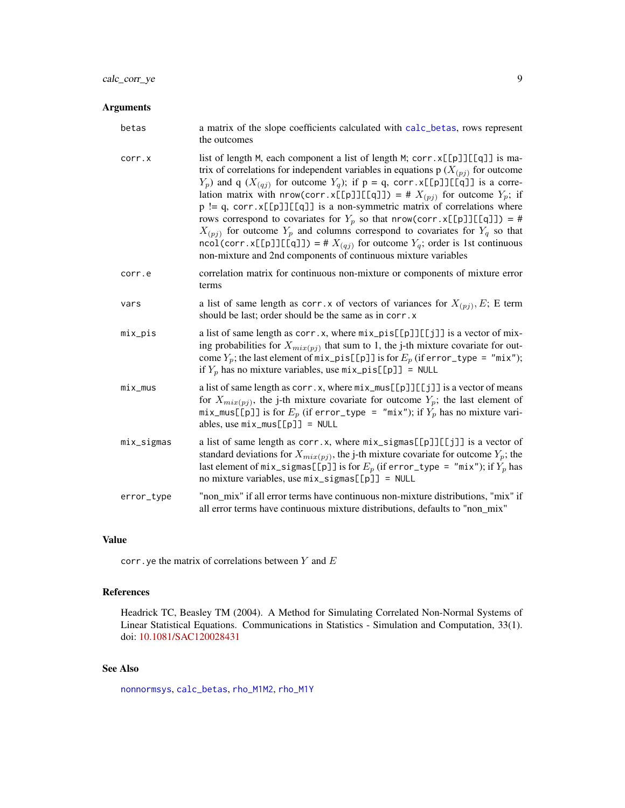# Arguments

| betas      | a matrix of the slope coefficients calculated with calc_betas, rows represent<br>the outcomes                                                                                                                                                                                                                                                                                                                                                                                                                                                                                                                                                                                                                                                                   |
|------------|-----------------------------------------------------------------------------------------------------------------------------------------------------------------------------------------------------------------------------------------------------------------------------------------------------------------------------------------------------------------------------------------------------------------------------------------------------------------------------------------------------------------------------------------------------------------------------------------------------------------------------------------------------------------------------------------------------------------------------------------------------------------|
| corr.x     | list of length M, each component a list of length M; corr. x[[p]][[q]] is ma-<br>trix of correlations for independent variables in equations $p(X_{(pj)})$ for outcome<br>$Y_p$ ) and q ( $X_{(qj)}$ for outcome $Y_q$ ); if p = q, corr.x[[p]][[q]] is a corre-<br>lation matrix with nrow(corr.x[[p]][[q]]) = # $X_{(pj)}$ for outcome $Y_p$ ; if<br>$p := q$ , corr. x[[p]][[q]] is a non-symmetric matrix of correlations where<br>rows correspond to covariates for $Y_p$ so that nrow(corr.x[[p]][[q]]) = #<br>$X_{(pj)}$ for outcome $Y_p$ and columns correspond to covariates for $Y_q$ so that<br>ncol(corr.x[[p]][[q]]) = # $X_{(qj)}$ for outcome $Y_q$ ; order is 1st continuous<br>non-mixture and 2nd components of continuous mixture variables |
| corr.e     | correlation matrix for continuous non-mixture or components of mixture error<br>terms                                                                                                                                                                                                                                                                                                                                                                                                                                                                                                                                                                                                                                                                           |
| vars       | a list of same length as corr. x of vectors of variances for $X_{(pj)}$ , E; E term<br>should be last; order should be the same as in corr. x                                                                                                                                                                                                                                                                                                                                                                                                                                                                                                                                                                                                                   |
| mix_pis    | a list of same length as $corr.x$ , where $mix\_pis[[p]][[j]]$ is a vector of mix-<br>ing probabilities for $X_{mix(pj)}$ that sum to 1, the j-th mixture covariate for out-<br>come $Y_p$ ; the last element of $mix\_pis[[p]]$ is for $E_p$ (if error_type = "mix");<br>if $Y_p$ has no mixture variables, use $mix\_pis[[p]] = NULL$                                                                                                                                                                                                                                                                                                                                                                                                                         |
| $mix_mus$  | a list of same length as corr.x, where $mix\_mus[[\![p]\!]][[\![j]\!]$ is a vector of means<br>for $X_{mix(pj)}$ , the j-th mixture covariate for outcome $Y_p$ ; the last element of<br>mix_mus[[p]] is for $E_p$ (if error_type = "mix"); if $Y_p$ has no mixture vari-<br>ables, use $mix_mus[[p]] = NULL$                                                                                                                                                                                                                                                                                                                                                                                                                                                   |
| mix_sigmas | a list of same length as corr.x, where $mix\_signas[[p]][[j]]$ is a vector of<br>standard deviations for $X_{mix(pj)}$ , the j-th mixture covariate for outcome $Y_p$ ; the<br>last element of mix_sigmas[[p]] is for $E_p$ (if error_type = "mix"); if $Y_p$ has<br>no mixture variables, use mix_sigmas[[p]] = NULL                                                                                                                                                                                                                                                                                                                                                                                                                                           |
| error_type | "non_mix" if all error terms have continuous non-mixture distributions, "mix" if<br>all error terms have continuous mixture distributions, defaults to "non_mix"                                                                                                                                                                                                                                                                                                                                                                                                                                                                                                                                                                                                |

# Value

corr.ye the matrix of correlations between  $Y$  and  $E$ 

# References

Headrick TC, Beasley TM (2004). A Method for Simulating Correlated Non-Normal Systems of Linear Statistical Equations. Communications in Statistics - Simulation and Computation, 33(1). doi: [10.1081/SAC120028431](http://doi.org/10.1081/SAC-120028431)

# See Also

[nonnormsys](#page-50-1), [calc\\_betas](#page-3-1), [rho\\_M1M2](#page-0-0), [rho\\_M1Y](#page-0-0)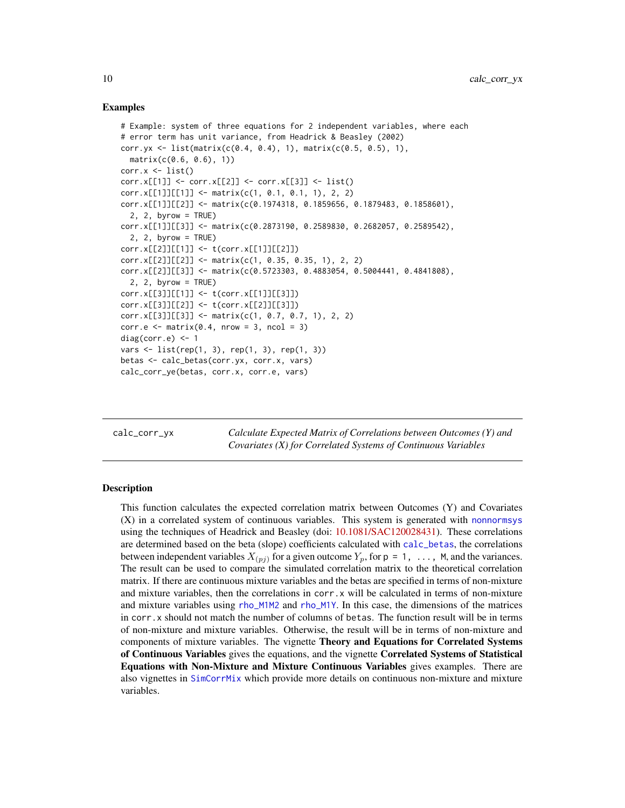#### Examples

```
# Example: system of three equations for 2 independent variables, where each
# error term has unit variance, from Headrick & Beasley (2002)
corr.yx <- list(matrix(c(0.4, 0.4), 1), matrix(c(0.5, 0.5), 1),
 matrix(c(0.6, 0.6), 1))
corr.x \leftarrow list()corr.x[[1]] <- corr.x[[2]] <- corr.x[[3]] <- list()
corr.x[[1]][[1]] \leftarrow matrix(c(1, 0.1, 0.1, 1), 2, 2)corr.x[[1]][[2]] <- matrix(c(0.1974318, 0.1859656, 0.1879483, 0.1858601),
 2, 2, byrow = TRUE)
corr.x[[1]][[3]] \leq \text{matrix}(c(0.2873190, 0.2589830, 0.2682057, 0.2589542),2, 2, byrow = TRUEcorr.x[[2]][[1]] <- t(corr.x[[1]][[2]])
corr.x[[2]][[2]] <- matrix(c(1, 0.35, 0.35, 1), 2, 2)
corr.x[[2]][[3]] <- matrix(c(0.5723303, 0.4883054, 0.5004441, 0.4841808),
  2, 2, byrow = TRUEcorr.x[[3]][[1]] <- t(corr.x[[1]][[3]])
corr.x[[3]][[2]] <- t(corr.x[[2]][[3]])
corr.x[[3]][[3]] <- matrix(c(1, 0.7, 0.7, 1), 2, 2)
corr.e \leq matrix(0.4, nrow = 3, ncol = 3)
diag(corr.e) < -1vars <- list(rep(1, 3), rep(1, 3), rep(1, 3))
betas <- calc_betas(corr.yx, corr.x, vars)
calc_corr_ye(betas, corr.x, corr.e, vars)
```
calc\_corr\_yx *Calculate Expected Matrix of Correlations between Outcomes (Y) and Covariates (X) for Correlated Systems of Continuous Variables*

# Description

This function calculates the expected correlation matrix between Outcomes (Y) and Covariates (X) in a correlated system of continuous variables. This system is generated with [nonnormsys](#page-50-1) using the techniques of Headrick and Beasley (doi: [10.1081/SAC120028431\)](http://doi.org/10.1081/SAC-120028431). These correlations are determined based on the beta (slope) coefficients calculated with [calc\\_betas](#page-3-1), the correlations between independent variables  $X_{(pj)}$  for a given outcome  $Y_p$ , for  $p = 1, \ldots, M$ , and the variances. The result can be used to compare the simulated correlation matrix to the theoretical correlation matrix. If there are continuous mixture variables and the betas are specified in terms of non-mixture and mixture variables, then the correlations in corr.x will be calculated in terms of non-mixture and mixture variables using [rho\\_M1M2](#page-0-0) and [rho\\_M1Y](#page-0-0). In this case, the dimensions of the matrices in corr.x should not match the number of columns of betas. The function result will be in terms of non-mixture and mixture variables. Otherwise, the result will be in terms of non-mixture and components of mixture variables. The vignette Theory and Equations for Correlated Systems of Continuous Variables gives the equations, and the vignette Correlated Systems of Statistical Equations with Non-Mixture and Mixture Continuous Variables gives examples. There are also vignettes in [SimCorrMix](#page-0-0) which provide more details on continuous non-mixture and mixture variables.

<span id="page-9-0"></span>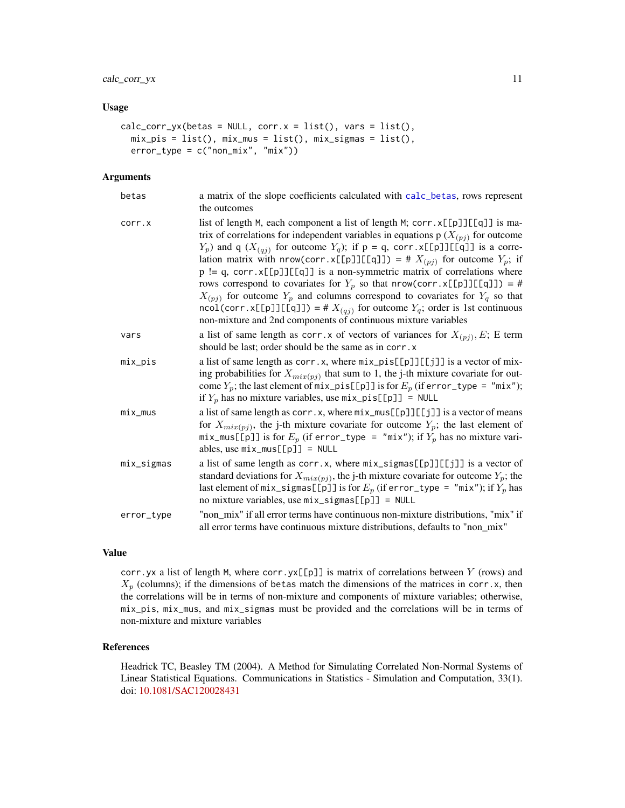#### Usage

```
calc\_corr\_yx(betas = NULL, corr.x = list(), vars = list(),mix_pis = list(), mix_mus = list(), mix_sigmas = list(),
 error_type = c("non\_mix", "mix"))
```
#### Arguments

| betas      | a matrix of the slope coefficients calculated with calc_betas, rows represent<br>the outcomes                                                                                                                                                                                                                                                                                                                                                                                                                                                                                                                                                                                                                                                                    |
|------------|------------------------------------------------------------------------------------------------------------------------------------------------------------------------------------------------------------------------------------------------------------------------------------------------------------------------------------------------------------------------------------------------------------------------------------------------------------------------------------------------------------------------------------------------------------------------------------------------------------------------------------------------------------------------------------------------------------------------------------------------------------------|
| corr.x     | list of length M, each component a list of length M; corr. x[[p]][[q]] is ma-<br>trix of correlations for independent variables in equations $p(X_{(pj)})$ for outcome<br>$Y_p$ ) and q ( $X_{(qj)}$ for outcome $Y_q$ ); if p = q, corr. x[[p]][[q]] is a corre-<br>lation matrix with nrow(corr.x[[p]][[q]]) = # $X_{(pj)}$ for outcome $Y_p$ ; if<br>$p := q$ , corr. x[[p]][[q]] is a non-symmetric matrix of correlations where<br>rows correspond to covariates for $Y_p$ so that nrow(corr.x[[p]][[q]]) = #<br>$X_{(pj)}$ for outcome $Y_p$ and columns correspond to covariates for $Y_q$ so that<br>ncol(corr.x[[p]][[q]]) = # $X_{(qj)}$ for outcome $Y_q$ ; order is 1st continuous<br>non-mixture and 2nd components of continuous mixture variables |
| vars       | a list of same length as corr. x of vectors of variances for $X_{(pj)}$ , E; E term<br>should be last; order should be the same as in corr. x                                                                                                                                                                                                                                                                                                                                                                                                                                                                                                                                                                                                                    |
| mix_pis    | a list of same length as $corr.x$ , where $mix\_pis[[p]][[jj]]$ is a vector of mix-<br>ing probabilities for $X_{mix(pj)}$ that sum to 1, the j-th mixture covariate for out-<br>come $Y_p$ ; the last element of mix_pis[[p]] is for $E_p$ (if error_type = "mix");<br>if $Y_p$ has no mixture variables, use $mix\_pis[[p]] = NULL$                                                                                                                                                                                                                                                                                                                                                                                                                            |
| mix_mus    | a list of same length as $corr.x$ , where $mix\_mus[[p]][[j]]$ is a vector of means<br>for $X_{mix(pj)}$ , the j-th mixture covariate for outcome $Y_p$ ; the last element of<br>mix_mus[[p]] is for $E_p$ (if error_type = "mix"); if $Y_p$ has no mixture vari-<br>ables, use $mix_mus[[p]] = NULL$                                                                                                                                                                                                                                                                                                                                                                                                                                                            |
| mix_sigmas | a list of same length as corr.x, where $mix\_signas[[p]][[j]]$ is a vector of<br>standard deviations for $X_{mix(pj)}$ , the j-th mixture covariate for outcome $Y_p$ ; the<br>last element of $mix\_signas[[p]]$ is for $E_p$ (if error_type = "mix"); if $Y_p$ has<br>no mixture variables, use $mix\_signas[[p]] = NULL$                                                                                                                                                                                                                                                                                                                                                                                                                                      |
| error_type | "non_mix" if all error terms have continuous non-mixture distributions, "mix" if<br>all error terms have continuous mixture distributions, defaults to "non_mix"                                                                                                                                                                                                                                                                                                                                                                                                                                                                                                                                                                                                 |

# Value

corr.yx a list of length M, where corr.yx[[p]] is matrix of correlations between  $Y$  (rows) and  $X_p$  (columns); if the dimensions of betas match the dimensions of the matrices in corr.x, then the correlations will be in terms of non-mixture and components of mixture variables; otherwise, mix\_pis, mix\_mus, and mix\_sigmas must be provided and the correlations will be in terms of non-mixture and mixture variables

# References

Headrick TC, Beasley TM (2004). A Method for Simulating Correlated Non-Normal Systems of Linear Statistical Equations. Communications in Statistics - Simulation and Computation, 33(1). doi: [10.1081/SAC120028431](http://doi.org/10.1081/SAC-120028431)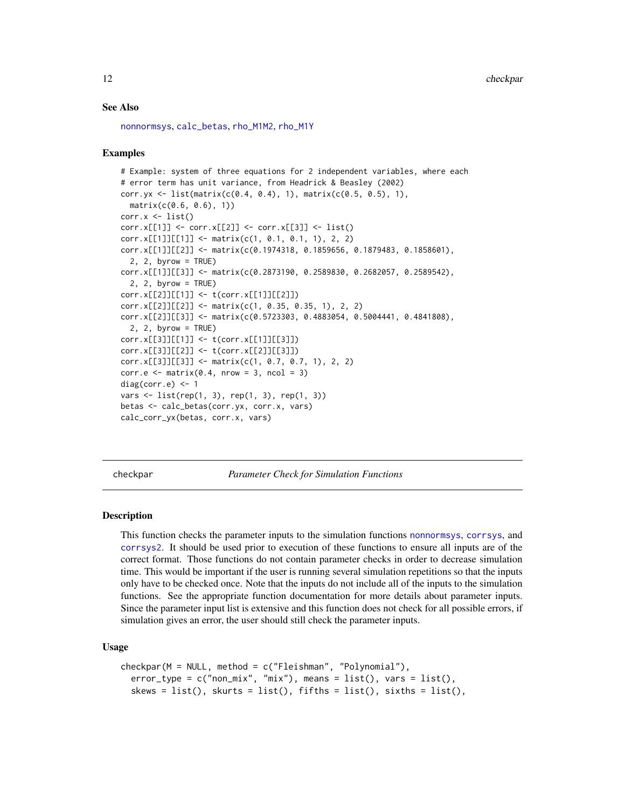# See Also

```
nonnormsys, calc_betas, rho_M1M2, rho_M1Y
```
#### Examples

```
# Example: system of three equations for 2 independent variables, where each
# error term has unit variance, from Headrick & Beasley (2002)
corr.yx <- list(matrix(c(0.4, 0.4), 1), matrix(c(0.5, 0.5), 1),
  matrix(c(0.6, 0.6), 1))corr.x \leftarrow list()corr.x[1]] <- corr.x[2]] <- corr.x[3]] <- list()
corr.x[[1]][[1]] \leftarrow matrix(c(1, 0.1, 0.1, 1), 2, 2)corr.x[[1]][[2]] <- matrix(c(0.1974318, 0.1859656, 0.1879483, 0.1858601),
  2, 2, \text{ byrow} = \text{TRUE}corr.x[[1]][[3]] <- matrix(c(0.2873190, 0.2589830, 0.2682057, 0.2589542),
  2, 2, byrow = TRUEcorr.x[[2]][[1]] \leftarrow t(corr.x[[1]][[2]])corr.x[[2]][[2]] <- matrix(c(1, 0.35, 0.35, 1), 2, 2)
corr.x[[2]][[3]] <- matrix(c(0.5723303, 0.4883054, 0.5004441, 0.4841808),
  2, 2, byrow = TRUE)
corr.x[[3]][[1]] <- t(corr.x[[1]][[3]])
corr.x[[3]][[2]] <- t(corr.x[[2]][[3]])
corr.x[[3]][[3]] <- matrix(c(1, 0.7, 0.7, 1), 2, 2)
corr.e \leq matrix(0.4, nrow = 3, ncol = 3)
diag(corr.e) \leq -1vars <- list(rep(1, 3), rep(1, 3), rep(1, 3))
betas <- calc_betas(corr.yx, corr.x, vars)
calc_corr_yx(betas, corr.x, vars)
```
<span id="page-11-1"></span>checkpar *Parameter Check for Simulation Functions*

#### Description

This function checks the parameter inputs to the simulation functions [nonnormsys](#page-50-1), [corrsys](#page-20-1), and [corrsys2](#page-35-1). It should be used prior to execution of these functions to ensure all inputs are of the correct format. Those functions do not contain parameter checks in order to decrease simulation time. This would be important if the user is running several simulation repetitions so that the inputs only have to be checked once. Note that the inputs do not include all of the inputs to the simulation functions. See the appropriate function documentation for more details about parameter inputs. Since the parameter input list is extensive and this function does not check for all possible errors, if simulation gives an error, the user should still check the parameter inputs.

#### Usage

```
checkpar(M = NULL, method = c("Fleishman", "Polynomial"),
  error_type = c("non\_mix", "mix"), means = list(), vars = list(),skews = list(), skurts = list(), fifths = list(), sixths = list(),
```
<span id="page-11-0"></span>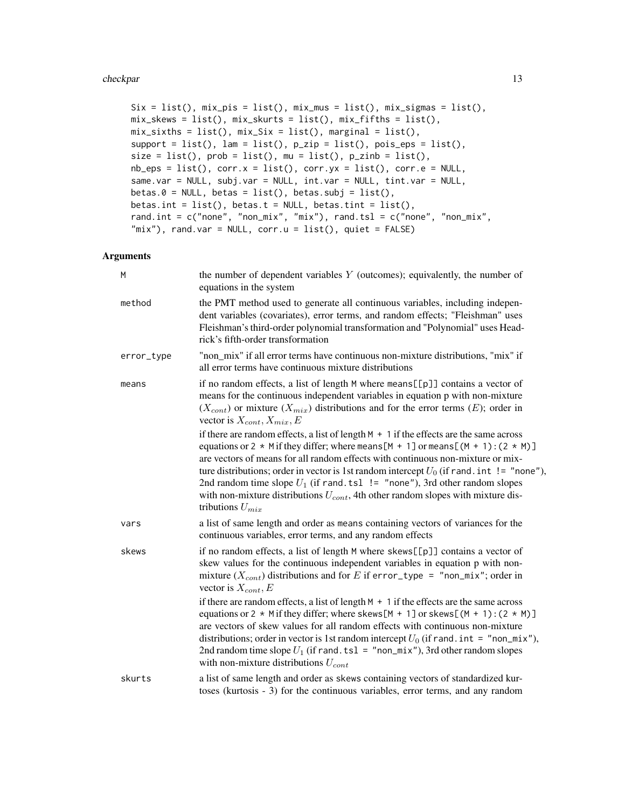#### checkpar 13

```
Six = list(), mix_pis = list(), mix_mus = list(), mix_sigma = list(),
mix_skews = list(), mix_skurts = list(), mix_fifths = list(),
mix\_sixths = list(), mix\_Six = list(), marginal = list(),support = list(), lam = list(), p_zzip = list(), pois_eps = list(),
size = list(), prob = list(), mu = list(), p_zinh = list(),nb_eps = list(), corr.x = list(), corr.yx = list(), corr.e = NULL,same.var = NULL, subj.var = NULL, int.var = NULL, tint.var = NULL,
betas.\theta = NULL, betas = list(), betas.subj = list(),
betas.int = list(), betas.t = NULL, betas.tint = list(),
rand.int = c("none", "non\_mix", "mix"), rand.tsl = c("none", "non\_mix","mix"), rand.var = NULL, corr.u = list(), quiet = FALSE)
```
# Arguments

| M          | the number of dependent variables $Y$ (outcomes); equivalently, the number of<br>equations in the system                                                                                                                                                                                                                                                                                                                                                                                                                                                                 |
|------------|--------------------------------------------------------------------------------------------------------------------------------------------------------------------------------------------------------------------------------------------------------------------------------------------------------------------------------------------------------------------------------------------------------------------------------------------------------------------------------------------------------------------------------------------------------------------------|
| method     | the PMT method used to generate all continuous variables, including indepen-<br>dent variables (covariates), error terms, and random effects; "Fleishman" uses<br>Fleishman's third-order polynomial transformation and "Polynomial" uses Head-<br>rick's fifth-order transformation                                                                                                                                                                                                                                                                                     |
| error_type | "non_mix" if all error terms have continuous non-mixture distributions, "mix" if<br>all error terms have continuous mixture distributions                                                                                                                                                                                                                                                                                                                                                                                                                                |
| means      | if no random effects, a list of length M where means [[p]] contains a vector of<br>means for the continuous independent variables in equation p with non-mixture<br>$(X_{cont})$ or mixture $(X_{mix})$ distributions and for the error terms $(E)$ ; order in<br>vector is $X_{cont}$ , $X_{mix}$ , $E$                                                                                                                                                                                                                                                                 |
|            | if there are random effects, a list of length $M + 1$ if the effects are the same across<br>equations or 2 $*$ M if they differ; where means [M + 1] or means [(M + 1): (2 $*$ M)]<br>are vectors of means for all random effects with continuous non-mixture or mix-<br>ture distributions; order in vector is 1st random intercept $U_0$ (if rand. int != "none"),<br>2nd random time slope $U_1$ (if rand. tsl $!=$ "none"), 3rd other random slopes<br>with non-mixture distributions $U_{cont}$ , 4th other random slopes with mixture dis-<br>tributions $U_{mix}$ |
| vars       | a list of same length and order as means containing vectors of variances for the<br>continuous variables, error terms, and any random effects                                                                                                                                                                                                                                                                                                                                                                                                                            |
| skews      | if no random effects, a list of length M where skews[[p]] contains a vector of<br>skew values for the continuous independent variables in equation p with non-<br>mixture $(X_{cont})$ distributions and for E if error_type = "non_mix"; order in<br>vector is $X_{cont}$ , $E$                                                                                                                                                                                                                                                                                         |
|            | if there are random effects, a list of length $M + 1$ if the effects are the same across<br>equations or 2 $*$ M if they differ; where skews [M + 1] or skews [(M + 1): (2 $*$ M)]<br>are vectors of skew values for all random effects with continuous non-mixture<br>distributions; order in vector is 1st random intercept $U_0$ (if rand. int = "non_mix"),<br>2nd random time slope $U_1$ (if rand. ts1 = "non_mix"), 3rd other random slopes<br>with non-mixture distributions $U_{cont}$                                                                          |
| skurts     | a list of same length and order as skews containing vectors of standardized kur-<br>toses (kurtosis - 3) for the continuous variables, error terms, and any random                                                                                                                                                                                                                                                                                                                                                                                                       |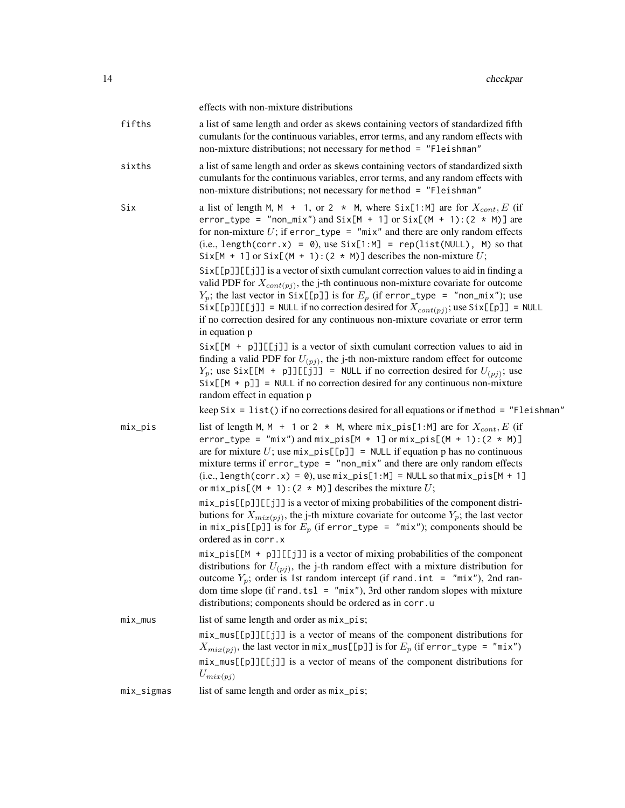|            | effects with non-mixture distributions                                                                                                                                                                                                                                                                                                                                                                                                                                       |
|------------|------------------------------------------------------------------------------------------------------------------------------------------------------------------------------------------------------------------------------------------------------------------------------------------------------------------------------------------------------------------------------------------------------------------------------------------------------------------------------|
| fifths     | a list of same length and order as skews containing vectors of standardized fifth<br>cumulants for the continuous variables, error terms, and any random effects with<br>non-mixture distributions; not necessary for method = "Fleishman"                                                                                                                                                                                                                                   |
| sixths     | a list of same length and order as skews containing vectors of standardized sixth<br>cumulants for the continuous variables, error terms, and any random effects with<br>non-mixture distributions; not necessary for method = "Fleishman"                                                                                                                                                                                                                                   |
| Six        | a list of length M, M + 1, or 2 $*$ M, where Six[1:M] are for $X_{cont}$ , E (if<br>error_type = "non_mix") and Six[M + 1] or Six[(M + 1): $(2 \times M)$ ] are<br>for non-mixture $U$ ; if error_type = "mix" and there are only random effects<br>$(i.e., length(corr.x) = 0),$ use $Six[1:M] = rep(list(NULL), M)$ so that<br>Six[M + 1] or Six[(M + 1): (2 $\star$ M)] describes the non-mixture U;                                                                      |
|            | Six[[p]][[j]] is a vector of sixth cumulant correction values to aid in finding a<br>valid PDF for $X_{cont(pj)}$ , the j-th continuous non-mixture covariate for outcome<br>$Y_p$ ; the last vector in Six[[p]] is for $E_p$ (if error_type = "non_mix"); use<br>$Six[[p]][[j]] = NULL$ if no correction desired for $X_{cont(pj)}$ ; use $Six[[p]] = NULL$<br>if no correction desired for any continuous non-mixture covariate or error term<br>in equation p             |
|            | $Six[[M + p]][[j]]$ is a vector of sixth cumulant correction values to aid in<br>finding a valid PDF for $U_{(pj)}$ , the j-th non-mixture random effect for outcome<br>$Y_p$ ; use Six[[M + p]][[j]] = NULL if no correction desired for $U_{(pj)}$ ; use<br>$Six[[M + p]] = NULL if no correction desired for any continuous non-mixture$<br>random effect in equation p                                                                                                   |
|            | keep $\text{Six} = \text{list}()$ if no corrections desired for all equations or if method = "Fleishman"                                                                                                                                                                                                                                                                                                                                                                     |
| $mix\_pis$ | list of length M, M + 1 or 2 $*$ M, where $mix\_pis[1:M]$ are for $X_{cont}$ , E (if<br>$error_type = "mix")$ and $mix_pis[M + 1]$ or $mix_pis[(M + 1):(2 * M)]$<br>are for mixture U; use $mix\_pis[[p]] = NULL$ if equation p has no continuous<br>mixture terms if $error_type = "non\_mix"$ and there are only random effects<br>$(i.e., length(corr.x) = 0), use mix-pis[1:M] = NULL so that mix-pis[M + 1]$<br>or $mix\_pis[(M + 1):(2 * M)]$ describes the mixture U; |
|            | mix_pis[[p]][[j]] is a vector of mixing probabilities of the component distri-<br>butions for $X_{mix(pj)}$ , the j-th mixture covariate for outcome $Y_p$ ; the last vector<br>in mix_pis[[p]] is for $E_p$ (if error_type = "mix"); components should be<br>ordered as in corr.x                                                                                                                                                                                           |
|            | $mix\_pis[[M + p]][[jj]]$ is a vector of mixing probabilities of the component<br>distributions for $U_{(pj)}$ , the j-th random effect with a mixture distribution for<br>outcome $Y_p$ ; order is 1st random intercept (if rand.int = "mix"), 2nd ran-<br>dom time slope (if rand.tsl = $"mix"$ ), 3rd other random slopes with mixture<br>distributions; components should be ordered as in corr.u                                                                        |
| $mix_mus$  | list of same length and order as mix_pis;                                                                                                                                                                                                                                                                                                                                                                                                                                    |
|            | mix_mus[[p]][[j]] is a vector of means of the component distributions for<br>$X_{mix(pj)}$ , the last vector in mix_mus[[p]] is for $E_p$ (if error_type = "mix")<br>mix_mus[[p]][[j]] is a vector of means of the component distributions for                                                                                                                                                                                                                               |
|            | $U_{mix(pj)}$                                                                                                                                                                                                                                                                                                                                                                                                                                                                |
| mix_sigmas | list of same length and order as mix_pis;                                                                                                                                                                                                                                                                                                                                                                                                                                    |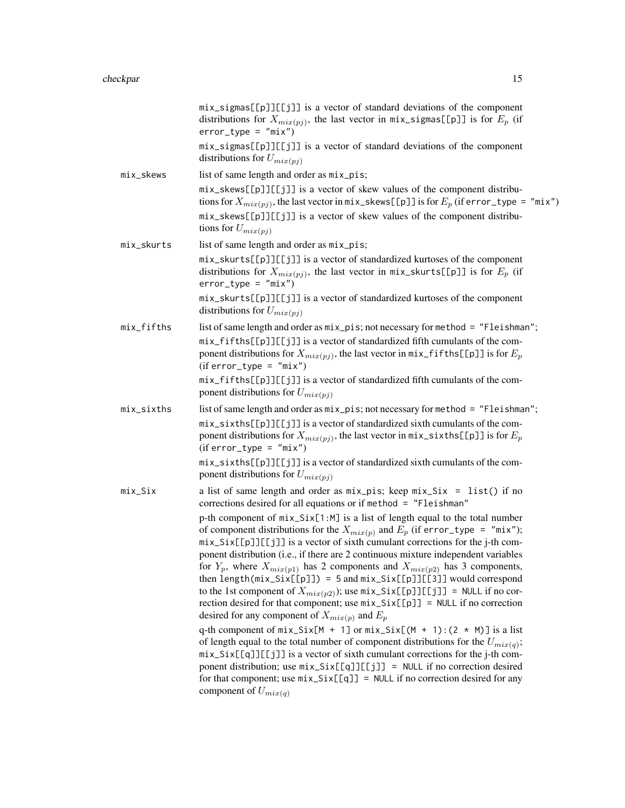|            | mix_sigmas[[p]][[j]] is a vector of standard deviations of the component<br>distributions for $X_{mix(pj)}$ , the last vector in mix_sigmas[[p]] is for $E_p$ (if<br>$error_type = "mix")$<br>mix_sigmas[[p]][[j]] is a vector of standard deviations of the component<br>distributions for $U_{mix(pj)}$                                                                                                                                                                                                                                                                                                                                                                                                                                                                                                                                                                                                                                                                                                                                                                                                                                                                                                                                                                                                                                                              |
|------------|------------------------------------------------------------------------------------------------------------------------------------------------------------------------------------------------------------------------------------------------------------------------------------------------------------------------------------------------------------------------------------------------------------------------------------------------------------------------------------------------------------------------------------------------------------------------------------------------------------------------------------------------------------------------------------------------------------------------------------------------------------------------------------------------------------------------------------------------------------------------------------------------------------------------------------------------------------------------------------------------------------------------------------------------------------------------------------------------------------------------------------------------------------------------------------------------------------------------------------------------------------------------------------------------------------------------------------------------------------------------|
| mix_skews  | list of same length and order as mix_pis;<br>mix_skews[[p]][[j]] is a vector of skew values of the component distribu-<br>tions for $X_{mix(pj)}$ , the last vector in mix_skews[[p]] is for $E_p$ (if error_type = "mix")<br>mix_skews[[p]][[j]] is a vector of skew values of the component distribu-<br>tions for $U_{mix(pj)}$                                                                                                                                                                                                                                                                                                                                                                                                                                                                                                                                                                                                                                                                                                                                                                                                                                                                                                                                                                                                                                     |
| mix_skurts | list of same length and order as $mix\_pis$ ;<br>mix_skurts[[p]][[j]] is a vector of standardized kurtoses of the component<br>distributions for $X_{mix(pj)}$ , the last vector in mix_skurts[[p]] is for $E_p$ (if<br>$error_type = "mix")$<br>mix_skurts[[p]][[j]] is a vector of standardized kurtoses of the component<br>distributions for $U_{mix(pj)}$                                                                                                                                                                                                                                                                                                                                                                                                                                                                                                                                                                                                                                                                                                                                                                                                                                                                                                                                                                                                         |
| mix_fifths | list of same length and order as mix_pis; not necessary for method = "Fleishman";<br>mix_fifths[[p]][[j]] is a vector of standardized fifth cumulants of the com-<br>ponent distributions for $X_{mix(p_i)}$ , the last vector in mix_fifths[[p]] is for $E_p$<br>$(iferror_type = "mix")$<br>mix_fifths[[p]][[j]] is a vector of standardized fifth cumulants of the com-<br>ponent distributions for $U_{mix(pj)}$                                                                                                                                                                                                                                                                                                                                                                                                                                                                                                                                                                                                                                                                                                                                                                                                                                                                                                                                                   |
| mix_sixths | list of same length and order as mix_pis; not necessary for method = "Fleishman";<br>mix_sixths[[p]][[j]] is a vector of standardized sixth cumulants of the com-<br>ponent distributions for $X_{mix(pj)}$ , the last vector in $mix\_sixths[[p]]$ is for $E_p$<br>$(iferror_type = "mix")$<br>mix_sixths[[p]][[j]] is a vector of standardized sixth cumulants of the com-<br>ponent distributions for $U_{mix(pj)}$                                                                                                                                                                                                                                                                                                                                                                                                                                                                                                                                                                                                                                                                                                                                                                                                                                                                                                                                                 |
| $mix\_Six$ | a list of same length and order as $mix\_pis$ ; keep $mix\_Six = list()$ if no<br>corrections desired for all equations or if method = "Fleishman"<br>p-th component of $mix\_Six[1:M]$ is a list of length equal to the total number<br>of component distributions for the $X_{mix(p)}$ and $E_p$ (if error_type = "mix");<br>mix_Six[[p]][[j]] is a vector of sixth cumulant corrections for the j-th com-<br>ponent distribution (i.e., if there are 2 continuous mixture independent variables<br>for $Y_p$ , where $X_{mix(p1)}$ has 2 components and $X_{mix(p2)}$ has 3 components,<br>then length( $mix\_Six[[p]]$ ) = 5 and $mix\_Six[[p]][[3]]$ would correspond<br>to the 1st component of $X_{mix(p2)}$ ); use $mix\_Six[[p]][[j]] = NULL$ if no cor-<br>rection desired for that component; use $mix\_Six[[p]] = NULL$ if no correction<br>desired for any component of $X_{mix(p)}$ and $E_p$<br>q-th component of $mix\_Six[M + 1]$ or $mix\_Six[(M + 1):(2 * M)]$ is a list<br>of length equal to the total number of component distributions for the $U_{mix}(q)$ ;<br>mix_Six[[q]][[j]] is a vector of sixth cumulant corrections for the j-th com-<br>ponent distribution; use $mix\_Six[[q]][[j]] = NULL$ if no correction desired<br>for that component; use $mix\_Six[[q]] = NULL$ if no correction desired for any<br>component of $U_{mix(q)}$ |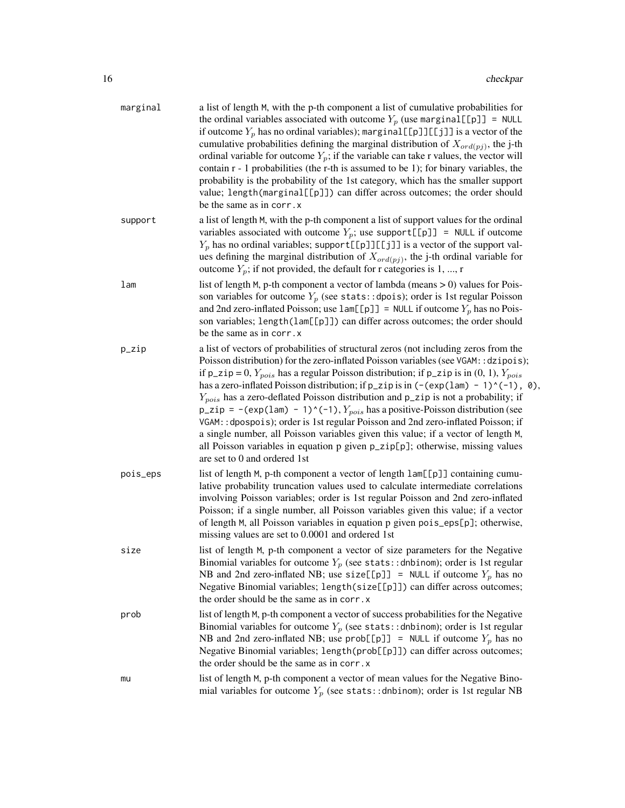| marginal | a list of length M, with the p-th component a list of cumulative probabilities for<br>the ordinal variables associated with outcome $Y_p$ (use marginal [[p]] = NULL<br>if outcome $Y_p$ has no ordinal variables); marginal [[p]][[j]] is a vector of the<br>cumulative probabilities defining the marginal distribution of $X_{\text{ord}(pj)}$ , the j-th<br>ordinal variable for outcome $Y_p$ ; if the variable can take r values, the vector will<br>contain r - 1 probabilities (the r-th is assumed to be 1); for binary variables, the<br>probability is the probability of the 1st category, which has the smaller support<br>value; length(marginal[[p]]) can differ across outcomes; the order should<br>be the same as in corr. x                                                                                                                            |
|----------|---------------------------------------------------------------------------------------------------------------------------------------------------------------------------------------------------------------------------------------------------------------------------------------------------------------------------------------------------------------------------------------------------------------------------------------------------------------------------------------------------------------------------------------------------------------------------------------------------------------------------------------------------------------------------------------------------------------------------------------------------------------------------------------------------------------------------------------------------------------------------|
| support  | a list of length M, with the p-th component a list of support values for the ordinal<br>variables associated with outcome $Y_p$ ; use support[[p]] = NULL if outcome<br>$Y_p$ has no ordinal variables; support [[p]][[j]] is a vector of the support val-<br>ues defining the marginal distribution of $X_{\text{ord}(p_j)}$ , the j-th ordinal variable for<br>outcome $Y_p$ ; if not provided, the default for r categories is 1, , r                                                                                                                                                                                                                                                                                                                                                                                                                                  |
| lam      | list of length $M$ , p-th component a vector of lambda (means $> 0$ ) values for Pois-<br>son variables for outcome $Y_p$ (see stats::dpois); order is 1st regular Poisson<br>and 2nd zero-inflated Poisson; use $lam[[p]] = NULL$ if outcome $Y_p$ has no Pois-<br>son variables; length(lam[[p]]) can differ across outcomes; the order should<br>be the same as in corr. x                                                                                                                                                                                                                                                                                                                                                                                                                                                                                             |
| p_zip    | a list of vectors of probabilities of structural zeros (not including zeros from the<br>Poisson distribution) for the zero-inflated Poisson variables (see VGAM:: dzipois);<br>if $p_z$ ip = 0, $Y_{pois}$ has a regular Poisson distribution; if $p_z$ ip is in (0, 1), $Y_{pois}$<br>has a zero-inflated Poisson distribution; if $p_z$ ip is in $(-(\exp(\text{lam}) - 1)^(-1), 0)$ ,<br>$Y_{pois}$ has a zero-deflated Poisson distribution and $p_z$ zip is not a probability; if<br>$p_z$ zip = -(exp(1am) - 1)^(-1), $Y_{pois}$ has a positive-Poisson distribution (see<br>VGAM:: dpospois); order is 1st regular Poisson and 2nd zero-inflated Poisson; if<br>a single number, all Poisson variables given this value; if a vector of length M,<br>all Poisson variables in equation p given p_zip[p]; otherwise, missing values<br>are set to 0 and ordered 1st |
| pois_eps | list of length M, p-th component a vector of length lam[[p]] containing cumu-<br>lative probability truncation values used to calculate intermediate correlations<br>involving Poisson variables; order is 1st regular Poisson and 2nd zero-inflated<br>Poisson; if a single number, all Poisson variables given this value; if a vector<br>of length M, all Poisson variables in equation p given pois_eps[p]; otherwise,<br>missing values are set to 0.0001 and ordered 1st                                                                                                                                                                                                                                                                                                                                                                                            |
| size     | list of length M, p-th component a vector of size parameters for the Negative<br>Binomial variables for outcome $Y_p$ (see stats:: dnbinom); order is 1st regular<br>NB and 2nd zero-inflated NB; use size[[p]] = NULL if outcome $Y_p$ has no<br>Negative Binomial variables; length(size[[p]]) can differ across outcomes;<br>the order should be the same as in corr. x                                                                                                                                                                                                                                                                                                                                                                                                                                                                                                |
| prob     | list of length M, p-th component a vector of success probabilities for the Negative<br>Binomial variables for outcome $Y_p$ (see stats:: dnbinom); order is 1st regular<br>NB and 2nd zero-inflated NB; use prob[[p]] = NULL if outcome $Y_p$ has no<br>Negative Binomial variables; length(prob[[p]]) can differ across outcomes;<br>the order should be the same as in corr. x                                                                                                                                                                                                                                                                                                                                                                                                                                                                                          |
| mu       | list of length M, p-th component a vector of mean values for the Negative Bino-<br>mial variables for outcome $Y_p$ (see stats:: dnbinom); order is 1st regular NB                                                                                                                                                                                                                                                                                                                                                                                                                                                                                                                                                                                                                                                                                                        |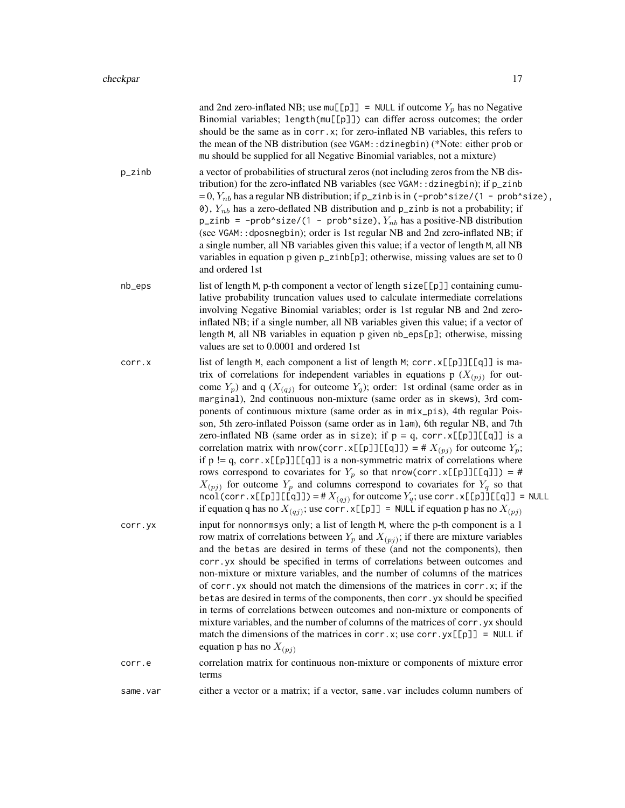|          | and 2nd zero-inflated NB; use $mu[[p]] = NULL$ if outcome $Y_p$ has no Negative<br>Binomial variables; length(mu[[p]]) can differ across outcomes; the order<br>should be the same as in corr.x; for zero-inflated NB variables, this refers to<br>the mean of the NB distribution (see VGAM: : dzinegbin) (*Note: either prob or<br>mu should be supplied for all Negative Binomial variables, not a mixture)                                                                                                                                                                                                                                                                                                                                                                                                                                                                                                                                                                                                                                                                                                                                         |
|----------|--------------------------------------------------------------------------------------------------------------------------------------------------------------------------------------------------------------------------------------------------------------------------------------------------------------------------------------------------------------------------------------------------------------------------------------------------------------------------------------------------------------------------------------------------------------------------------------------------------------------------------------------------------------------------------------------------------------------------------------------------------------------------------------------------------------------------------------------------------------------------------------------------------------------------------------------------------------------------------------------------------------------------------------------------------------------------------------------------------------------------------------------------------|
| p_zinb   | a vector of probabilities of structural zeros (not including zeros from the NB dis-<br>tribution) for the zero-inflated NB variables (see VGAM:: dzinegbin); if p_zinb<br>$= 0, Y_{nb}$ has a regular NB distribution; if p_zinb is in (-prob^size/(1 - prob^size),<br>0), $Y_{nb}$ has a zero-deflated NB distribution and p_zinb is not a probability; if<br>p_zinb = -prob^size/(1 - prob^size), $Y_{nb}$ has a positive-NB distribution<br>(see VGAM:: dposnegbin); order is 1st regular NB and 2nd zero-inflated NB; if<br>a single number, all NB variables given this value; if a vector of length M, all NB<br>variables in equation p given $p$ _zinb[ $p$ ]; otherwise, missing values are set to 0<br>and ordered 1st                                                                                                                                                                                                                                                                                                                                                                                                                       |
| nb_eps   | list of length M, p-th component a vector of length size[[p]] containing cumu-<br>lative probability truncation values used to calculate intermediate correlations<br>involving Negative Binomial variables; order is 1st regular NB and 2nd zero-<br>inflated NB; if a single number, all NB variables given this value; if a vector of<br>length M, all NB variables in equation p given nb_eps[p]; otherwise, missing<br>values are set to 0.0001 and ordered 1st                                                                                                                                                                                                                                                                                                                                                                                                                                                                                                                                                                                                                                                                                   |
| corr.x   | list of length M, each component a list of length M; corr. x[[p]][[q]] is ma-<br>trix of correlations for independent variables in equations p $(X_{(pj)})$ for out-<br>come $Y_p$ ) and q ( $X_{(qj)}$ for outcome $Y_q$ ); order: 1st ordinal (same order as in<br>marginal), 2nd continuous non-mixture (same order as in skews), 3rd com-<br>ponents of continuous mixture (same order as in mix_pis), 4th regular Pois-<br>son, 5th zero-inflated Poisson (same order as in 1am), 6th regular NB, and 7th<br>zero-inflated NB (same order as in size); if $p = q$ , corr. x[[p]][[q]] is a<br>correlation matrix with nrow(corr.x[[p]][[q]]) = # $X_{(pj)}$ for outcome $Y_p$ ;<br>if $p := q$ , corr. $x[[p]][[q]]$ is a non-symmetric matrix of correlations where<br>rows correspond to covariates for $Y_p$ so that nrow(corr.x[[p]][[q]]) = #<br>$X_{(pj)}$ for outcome $Y_p$ and columns correspond to covariates for $Y_q$ so that<br>$\text{ncol}(corr.x[\text{p}]][\text{q}]] = #X_{(qj)}$ for outcome $Y_q$ ; use corr. x[[p]][[q]] = NULL<br>if equation q has no $X_{(qj)}$ ; use corr. x[[p]] = NULL if equation p has no $X_{(pj)}$ |
| corr.yx  | input for nonnormsys only; a list of length M, where the p-th component is a 1<br>row matrix of correlations between $Y_p$ and $X_{(pj)}$ ; if there are mixture variables<br>and the betas are desired in terms of these (and not the components), then<br>corr.yx should be specified in terms of correlations between outcomes and<br>non-mixture or mixture variables, and the number of columns of the matrices<br>of corr. yx should not match the dimensions of the matrices in corr. x; if the<br>betas are desired in terms of the components, then corr. yx should be specified<br>in terms of correlations between outcomes and non-mixture or components of<br>mixture variables, and the number of columns of the matrices of corr. yx should<br>match the dimensions of the matrices in corr. x; use corr. $yx[[p]] = NULL$ if<br>equation p has no $X_{(pj)}$                                                                                                                                                                                                                                                                           |
| corr.e   | correlation matrix for continuous non-mixture or components of mixture error<br>terms                                                                                                                                                                                                                                                                                                                                                                                                                                                                                                                                                                                                                                                                                                                                                                                                                                                                                                                                                                                                                                                                  |
| same.var | either a vector or a matrix; if a vector, same var includes column numbers of                                                                                                                                                                                                                                                                                                                                                                                                                                                                                                                                                                                                                                                                                                                                                                                                                                                                                                                                                                                                                                                                          |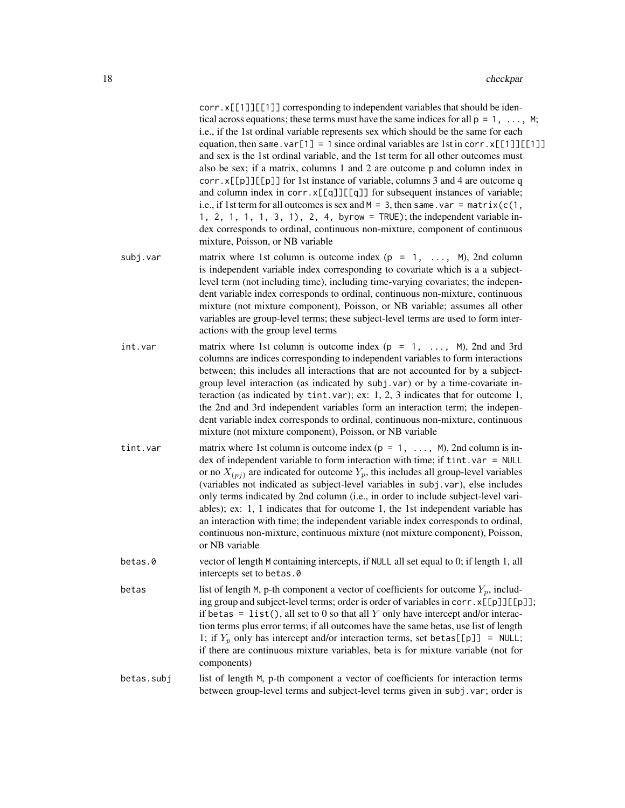|            | corr.x[[1]][[1]] corresponding to independent variables that should be iden-<br>tical across equations; these terms must have the same indices for all $p = 1, \ldots, M$ ;<br>i.e., if the 1st ordinal variable represents sex which should be the same for each<br>equation, then same. $var[1] = 1$ since ordinal variables are 1st in corr. $x[[1]][[1]]$<br>and sex is the 1st ordinal variable, and the 1st term for all other outcomes must<br>also be sex; if a matrix, columns 1 and 2 are outcome p and column index in<br>corr.x[[p]][[p]] for 1st instance of variable, columns 3 and 4 are outcome q<br>and column index in corr.x[[q]][[q]] for subsequent instances of variable;<br>i.e., if 1st term for all outcomes is sex and $M = 3$ , then same. var = matrix( $c(1)$ ,<br>1, 2, 1, 1, 1, 3, 1), 2, 4, byrow = TRUE); the independent variable in-<br>dex corresponds to ordinal, continuous non-mixture, component of continuous<br>mixture, Poisson, or NB variable |
|------------|--------------------------------------------------------------------------------------------------------------------------------------------------------------------------------------------------------------------------------------------------------------------------------------------------------------------------------------------------------------------------------------------------------------------------------------------------------------------------------------------------------------------------------------------------------------------------------------------------------------------------------------------------------------------------------------------------------------------------------------------------------------------------------------------------------------------------------------------------------------------------------------------------------------------------------------------------------------------------------------------|
| subj.var   | matrix where 1st column is outcome index ( $p = 1, \ldots, M$ ), 2nd column<br>is independent variable index corresponding to covariate which is a a subject-<br>level term (not including time), including time-varying covariates; the indepen-<br>dent variable index corresponds to ordinal, continuous non-mixture, continuous<br>mixture (not mixture component), Poisson, or NB variable; assumes all other<br>variables are group-level terms; these subject-level terms are used to form inter-<br>actions with the group level terms                                                                                                                                                                                                                                                                                                                                                                                                                                             |
| int.var    | matrix where 1st column is outcome index $(p = 1, \ldots, M)$ , 2nd and 3rd<br>columns are indices corresponding to independent variables to form interactions<br>between; this includes all interactions that are not accounted for by a subject-<br>group level interaction (as indicated by subj.var) or by a time-covariate in-<br>teraction (as indicated by tint. var); ex: 1, 2, 3 indicates that for outcome 1,<br>the 2nd and 3rd independent variables form an interaction term; the indepen-<br>dent variable index corresponds to ordinal, continuous non-mixture, continuous<br>mixture (not mixture component), Poisson, or NB variable                                                                                                                                                                                                                                                                                                                                      |
| tint.var   | matrix where 1st column is outcome index ( $p = 1, \ldots, M$ ), 2nd column is in-<br>dex of independent variable to form interaction with time; if tint. var = NULL<br>or no $X_{(pj)}$ are indicated for outcome $Y_p$ , this includes all group-level variables<br>(variables not indicated as subject-level variables in subj. var), else includes<br>only terms indicated by 2nd column (i.e., in order to include subject-level vari-<br>ables); ex: 1, 1 indicates that for outcome 1, the 1st independent variable has<br>an interaction with time; the independent variable index corresponds to ordinal,<br>continuous non-mixture, continuous mixture (not mixture component), Poisson,<br>or NB variable                                                                                                                                                                                                                                                                       |
| betas.0    | vector of length M containing intercepts, if NULL all set equal to 0; if length 1, all<br>intercepts set to betas.0                                                                                                                                                                                                                                                                                                                                                                                                                                                                                                                                                                                                                                                                                                                                                                                                                                                                        |
| betas      | list of length M, p-th component a vector of coefficients for outcome $Y_p$ , includ-<br>ing group and subject-level terms; order is order of variables in corr. x[[p]][[p]];<br>if betas = $list()$ , all set to 0 so that all Y only have intercept and/or interac-<br>tion terms plus error terms; if all outcomes have the same betas, use list of length<br>1; if $Y_p$ only has intercept and/or interaction terms, set betas [[p]] = NULL;<br>if there are continuous mixture variables, beta is for mixture variable (not for<br>components)                                                                                                                                                                                                                                                                                                                                                                                                                                       |
| betas.subj | list of length M, p-th component a vector of coefficients for interaction terms<br>between group-level terms and subject-level terms given in subj. var; order is                                                                                                                                                                                                                                                                                                                                                                                                                                                                                                                                                                                                                                                                                                                                                                                                                          |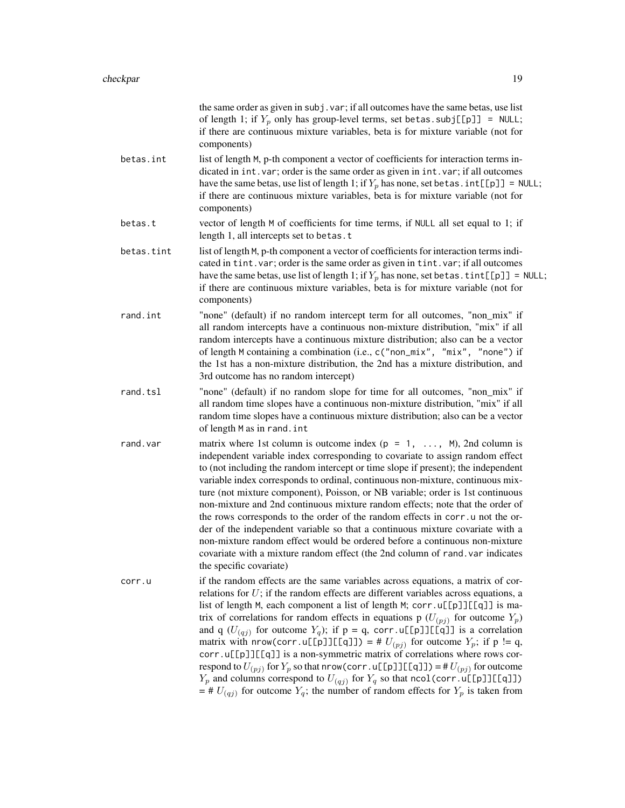|            | the same order as given in subj. var; if all outcomes have the same betas, use list<br>of length 1; if $Y_p$ only has group-level terms, set betas. subj[[p]] = NULL;<br>if there are continuous mixture variables, beta is for mixture variable (not for<br>components)                                                                                                                                                                                                                                                                                                                                                                                                                                                                                                                                                                                                                       |
|------------|------------------------------------------------------------------------------------------------------------------------------------------------------------------------------------------------------------------------------------------------------------------------------------------------------------------------------------------------------------------------------------------------------------------------------------------------------------------------------------------------------------------------------------------------------------------------------------------------------------------------------------------------------------------------------------------------------------------------------------------------------------------------------------------------------------------------------------------------------------------------------------------------|
| betas.int  | list of length M, p-th component a vector of coefficients for interaction terms in-<br>dicated in int. var; order is the same order as given in int. var; if all outcomes<br>have the same betas, use list of length 1; if $Y_p$ has none, set betas. $int[[p]] = NULL;$<br>if there are continuous mixture variables, beta is for mixture variable (not for<br>components)                                                                                                                                                                                                                                                                                                                                                                                                                                                                                                                    |
| betas.t    | vector of length M of coefficients for time terms, if NULL all set equal to 1; if<br>length 1, all intercepts set to betas.t                                                                                                                                                                                                                                                                                                                                                                                                                                                                                                                                                                                                                                                                                                                                                                   |
| betas.tint | list of length M, p-th component a vector of coefficients for interaction terms indi-<br>cated in tint. var; order is the same order as given in tint. var; if all outcomes<br>have the same betas, use list of length 1; if $Y_p$ has none, set betas . tint [[p]] = NULL;<br>if there are continuous mixture variables, beta is for mixture variable (not for<br>components)                                                                                                                                                                                                                                                                                                                                                                                                                                                                                                                 |
| rand.int   | "none" (default) if no random intercept term for all outcomes, "non_mix" if<br>all random intercepts have a continuous non-mixture distribution, "mix" if all<br>random intercepts have a continuous mixture distribution; also can be a vector<br>of length M containing a combination (i.e., c("non_mix", "mix", "none") if<br>the 1st has a non-mixture distribution, the 2nd has a mixture distribution, and<br>3rd outcome has no random intercept)                                                                                                                                                                                                                                                                                                                                                                                                                                       |
| rand.tsl   | "none" (default) if no random slope for time for all outcomes, "non_mix" if<br>all random time slopes have a continuous non-mixture distribution, "mix" if all<br>random time slopes have a continuous mixture distribution; also can be a vector<br>of length M as in rand. int                                                                                                                                                                                                                                                                                                                                                                                                                                                                                                                                                                                                               |
| rand.var   | matrix where 1st column is outcome index ( $p = 1, \ldots, M$ ), 2nd column is<br>independent variable index corresponding to covariate to assign random effect<br>to (not including the random intercept or time slope if present); the independent<br>variable index corresponds to ordinal, continuous non-mixture, continuous mix-<br>ture (not mixture component), Poisson, or NB variable; order is 1st continuous<br>non-mixture and 2nd continuous mixture random effects; note that the order of<br>the rows corresponds to the order of the random effects in corr. u not the or-<br>der of the independent variable so that a continuous mixture covariate with a<br>non-mixture random effect would be ordered before a continuous non-mixture<br>covariate with a mixture random effect (the 2nd column of rand. var indicates<br>the specific covariate)                         |
| corr.u     | if the random effects are the same variables across equations, a matrix of cor-<br>relations for $U$ ; if the random effects are different variables across equations, a<br>list of length M, each component a list of length M; corr.u[[p]][[q]] is ma-<br>trix of correlations for random effects in equations p $(U_{(pj)}$ for outcome $Y_p$ )<br>and q $(U_{(qj)})$ for outcome $Y_q$ ); if $p = q$ , corr.u[[p]][[q]] is a correlation<br>matrix with nrow(corr.u[[p]][[q]]) = # $U_{(pj)}$ for outcome $Y_p$ ; if p != q,<br>corr.u[[p]][[q]] is a non-symmetric matrix of correlations where rows cor-<br>respond to $U_{(pj)}$ for $Y_p$ so that nrow(corr.u[[p]][[q]]) =# $U_{(pj)}$ for outcome<br>$Y_p$ and columns correspond to $U_{(qj)}$ for $Y_q$ so that ncol(corr.u[[p]][[q]])<br>$=$ # $U_{(qj)}$ for outcome $Y_q$ ; the number of random effects for $Y_p$ is taken from |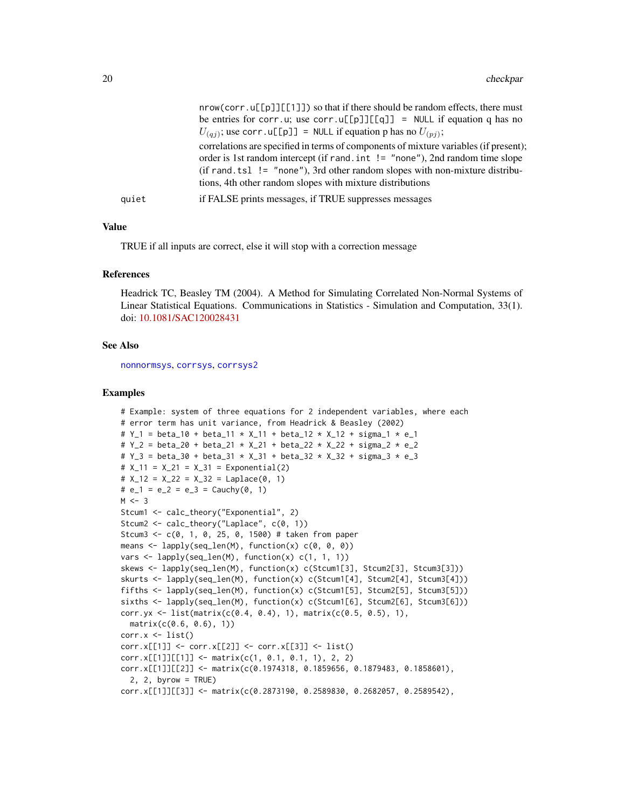|       | $nrow(corr.u[[p]][[1]])$ so that if there should be random effects, there must        |
|-------|---------------------------------------------------------------------------------------|
|       | be entries for corr.u; use corr.u[[p]][[q]] = NULL if equation q has no               |
|       | $U_{(qi)}$ ; use corr. u[[p]] = NULL if equation p has no $U_{(pi)}$ ;                |
|       | correlations are specified in terms of components of mixture variables (if present);  |
|       | order is 1st random intercept (if rand. $int$ ! = "none"), 2nd random time slope      |
|       | $(if \text{ rand.tsl} != "none"), 3rd other random slopes with non-mixture distribu-$ |
|       | tions, 4th other random slopes with mixture distributions                             |
| quiet | if FALSE prints messages, if TRUE suppresses messages                                 |
|       |                                                                                       |

# Value

TRUE if all inputs are correct, else it will stop with a correction message

#### References

Headrick TC, Beasley TM (2004). A Method for Simulating Correlated Non-Normal Systems of Linear Statistical Equations. Communications in Statistics - Simulation and Computation, 33(1). doi: [10.1081/SAC120028431](http://doi.org/10.1081/SAC-120028431)

#### See Also

[nonnormsys](#page-50-1), [corrsys](#page-20-1), [corrsys2](#page-35-1)

```
# Example: system of three equations for 2 independent variables, where each
# error term has unit variance, from Headrick & Beasley (2002)
# Y_1 = beta_10 + beta_11 * X_11 + beta_12 * X_12 + sigma_1 * e_1
# Y_2 = beta_20 + beta_21 * X_21 + beta_22 * X_22 + sigma_2 * e_2
# Y_3 = beta_30 + beta_31 * X_31 + beta_32 * X_32 + sigma_3 * e_3
# X_11 = X_21 = X_31 = Exponential(2)
# X_12 = X_22 = X_32 = Laplace(0, 1)
# e_1 = e_2 = e_3 = Cauchy(0, 1)
M < -3Stcum1 <- calc_theory("Exponential", 2)
Stcum2 <- calc_theory("Laplace", c(0, 1))
Stcum3 <- c(0, 1, 0, 25, 0, 1500) # taken from paper
means \leq lapply(seq_len(M), function(x) c(0, 0, 0))
vars \leq lapply(seq_len(M), function(x) c(1, 1, 1))
skews <- lapply(seq_len(M), function(x) c(Stcum1[3], Stcum2[3], Stcum3[3]))
skurts <- lapply(seq_len(M), function(x) c(Stcum1[4], Stcum2[4], Stcum3[4]))
fifths <- lapply(seq_len(M), function(x) c(Stcum1[5], Stcum2[5], Stcum3[5]))
sixths <- lapply(seq_len(M), function(x) c(Stcum1[6], Stcum2[6], Stcum3[6]))
corr.yx <- list(matrix(c(0.4, 0.4), 1), matrix(c(0.5, 0.5), 1),
  matrix(c(0.6, 0.6), 1))
corr.x \leftarrow list()corr.x[[1]] <- corr.x[[2]] <- corr.x[[3]] <- list()
corr.x[[1]][[1]] < - matrix(c(1, 0.1, 0.1, 1), 2, 2)corr.x[[1]][[2]] <- matrix(c(0.1974318, 0.1859656, 0.1879483, 0.1858601),
  2, 2, byrow = TRUE)
corr.x[[1]][[3]] <- matrix(c(0.2873190, 0.2589830, 0.2682057, 0.2589542),
```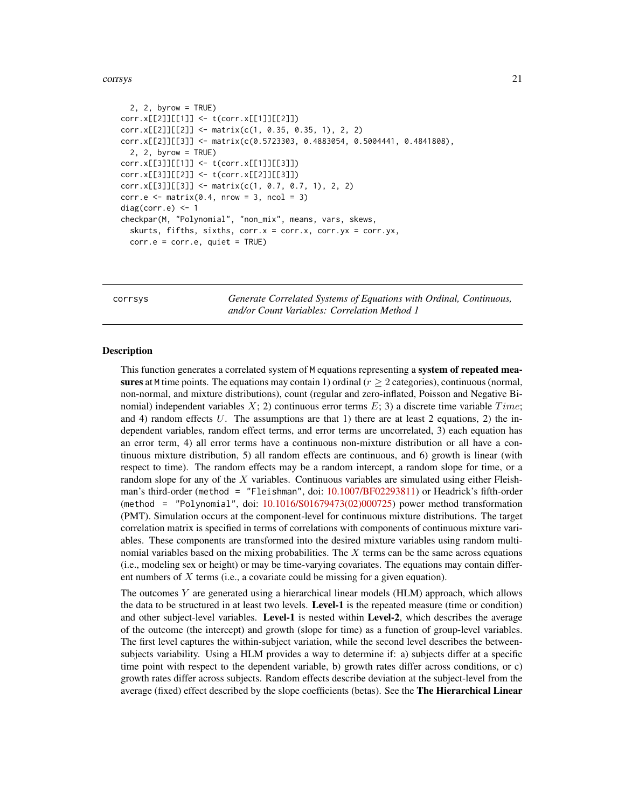```
2, 2, byrow = TRUE)
corr.x[[2]][[1]] <- t(corr.x[[1]][[2]])
corr.x[[2]][[2]] <- matrix(c(1, 0.35, 0.35, 1), 2, 2)
corr.x[[2]][[3]] <- matrix(c(0.5723303, 0.4883054, 0.5004441, 0.4841808),
 2, 2, byrow = TRUE)
corr.x[[3]][[1]] <- t(corr.x[[1]][[3]])
corr.x[[3]][[2]] <- t(corr.x[[2]][[3]])
corr.x[[3]][[3]] <- matrix(c(1, 0.7, 0.7, 1), 2, 2)
corr.e <- matrix(0.4, nrow = 3, ncol = 3)diag(corr.e) <- 1
checkpar(M, "Polynomial", "non_mix", means, vars, skews,
 skurts, fifths, sixths, corr.x = corr.x, corr.yx = corr.yx,
 corr.e = corr.e, quiet = TRUE)
```
<span id="page-20-1"></span>corrsys *Generate Correlated Systems of Equations with Ordinal, Continuous, and/or Count Variables: Correlation Method 1*

#### Description

This function generates a correlated system of M equations representing a system of repeated measures at M time points. The equations may contain 1) ordinal  $(r \geq 2$  categories), continuous (normal, non-normal, and mixture distributions), count (regular and zero-inflated, Poisson and Negative Binomial) independent variables X; 2) continuous error terms E; 3) a discrete time variable  $Time$ ; and 4) random effects U. The assumptions are that 1) there are at least 2 equations, 2) the independent variables, random effect terms, and error terms are uncorrelated, 3) each equation has an error term, 4) all error terms have a continuous non-mixture distribution or all have a continuous mixture distribution, 5) all random effects are continuous, and 6) growth is linear (with respect to time). The random effects may be a random intercept, a random slope for time, or a random slope for any of the  $X$  variables. Continuous variables are simulated using either Fleishman's third-order (method = "Fleishman", doi: [10.1007/BF02293811\)](http://doi.org/10.1007/BF02293811) or Headrick's fifth-order (method = "Polynomial", doi: [10.1016/S01679473\(02\)000725\)](http://doi.org/10.1016/S0167-9473(02)00072-5) power method transformation (PMT). Simulation occurs at the component-level for continuous mixture distributions. The target correlation matrix is specified in terms of correlations with components of continuous mixture variables. These components are transformed into the desired mixture variables using random multinomial variables based on the mixing probabilities. The  $X$  terms can be the same across equations (i.e., modeling sex or height) or may be time-varying covariates. The equations may contain different numbers of  $X$  terms (i.e., a covariate could be missing for a given equation).

The outcomes  $Y$  are generated using a hierarchical linear models (HLM) approach, which allows the data to be structured in at least two levels. Level-1 is the repeated measure (time or condition) and other subject-level variables. Level-1 is nested within Level-2, which describes the average of the outcome (the intercept) and growth (slope for time) as a function of group-level variables. The first level captures the within-subject variation, while the second level describes the betweensubjects variability. Using a HLM provides a way to determine if: a) subjects differ at a specific time point with respect to the dependent variable, b) growth rates differ across conditions, or c) growth rates differ across subjects. Random effects describe deviation at the subject-level from the average (fixed) effect described by the slope coefficients (betas). See the The Hierarchical Linear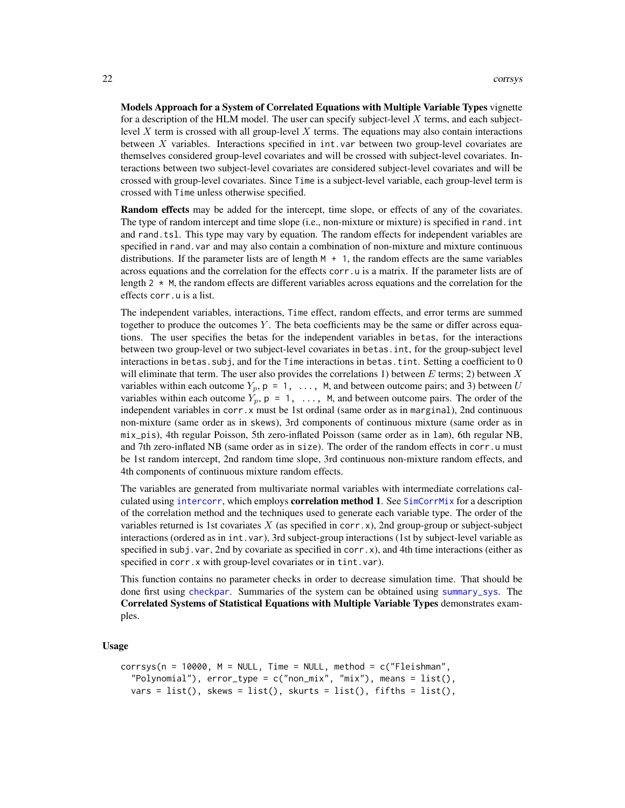Models Approach for a System of Correlated Equations with Multiple Variable Types vignette for a description of the HLM model. The user can specify subject-level X terms, and each subjectlevel X term is crossed with all group-level X terms. The equations may also contain interactions between  $X$  variables. Interactions specified in int. var between two group-level covariates are themselves considered group-level covariates and will be crossed with subject-level covariates. Interactions between two subject-level covariates are considered subject-level covariates and will be crossed with group-level covariates. Since Time is a subject-level variable, each group-level term is crossed with Time unless otherwise specified.

Random effects may be added for the intercept, time slope, or effects of any of the covariates. The type of random intercept and time slope (i.e., non-mixture or mixture) is specified in rand.int and rand.tsl. This type may vary by equation. The random effects for independent variables are specified in rand.var and may also contain a combination of non-mixture and mixture continuous distributions. If the parameter lists are of length  $M + 1$ , the random effects are the same variables across equations and the correlation for the effects corr. u is a matrix. If the parameter lists are of length  $2 \times M$ , the random effects are different variables across equations and the correlation for the effects corr.u is a list.

The independent variables, interactions, Time effect, random effects, and error terms are summed together to produce the outcomes Y. The beta coefficients may be the same or differ across equations. The user specifies the betas for the independent variables in betas, for the interactions between two group-level or two subject-level covariates in betas.int, for the group-subject level interactions in betas. subj, and for the Time interactions in betas. tint. Setting a coefficient to  $0$ will eliminate that term. The user also provides the correlations 1) between E terms; 2) between X variables within each outcome  $Y_p$ ,  $p = 1, \ldots, M$ , and between outcome pairs; and 3) between U variables within each outcome  $Y_p$ ,  $p = 1, \ldots, M$ , and between outcome pairs. The order of the independent variables in corr.x must be 1st ordinal (same order as in marginal), 2nd continuous non-mixture (same order as in skews), 3rd components of continuous mixture (same order as in mix\_pis), 4th regular Poisson, 5th zero-inflated Poisson (same order as in lam), 6th regular NB, and 7th zero-inflated NB (same order as in size). The order of the random effects in corr.u must be 1st random intercept, 2nd random time slope, 3rd continuous non-mixture random effects, and 4th components of continuous mixture random effects.

The variables are generated from multivariate normal variables with intermediate correlations calculated using [intercorr](#page-0-0), which employs **correlation method 1**. See  $SimCorMix$  for a description of the correlation method and the techniques used to generate each variable type. The order of the variables returned is 1st covariates X (as specified in corr.x), 2nd group-group or subject-subject interactions (ordered as in int.var), 3rd subject-group interactions (1st by subject-level variable as specified in subj. var, 2nd by covariate as specified in corr.x), and 4th time interactions (either as specified in corr.x with group-level covariates or in tint.var).

This function contains no parameter checks in order to decrease simulation time. That should be done first using [checkpar](#page-11-1). Summaries of the system can be obtained using [summary\\_sys](#page-62-1). The Correlated Systems of Statistical Equations with Multiple Variable Types demonstrates examples.

#### Usage

```
corrsys(n = 10000, M = NULL, Time = NULL, method = c("Fleishman","Polynomial"), error_type = c("non_mix", "mix"), means = list(),
 vars = list(), skews = list(), skurts = list(), fifths = list(),
```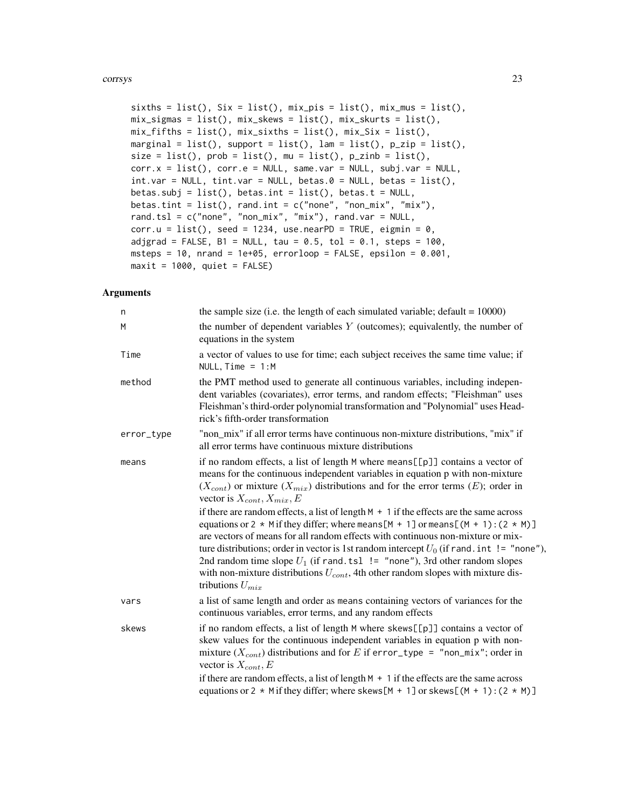```
sixths = list(), Six = list(), mix-pis = list(), mix_mus = list(),mix_signas = list(), mix_skews = list(), mix_skurts = list(),mix_fifths = list(), mix_sixths = list(), mix_six = list(),marginal = list(), support = list(), lam = list(), p_zip = list(),
size = list(), prob = list(), mu = list(), p_zinh = list(),corr.x = list(), corr.e = NULL, same.var = NULL, subj.var = NULL,int.var = NULL, tint.var = NULL, betas.0 = NULL, betas = list(),
betas.subj = list(), betas.int = list(), betas.t = NULL,
betas.tint = list(), rand.int = c("none", "non_mix", "mix"),
rand.tsl = c("none", "non\_mix", "mix"), rand-var = NULL,corr.u = list(), seed = 1234, use.nextPD = TRUE, eigmin = 0,adjgrad = FALSE, B1 = NULL, tau = 0.5, tol = 0.1, steps = 100,
msteps = 10, nrand = 1e+05, errorloop = FALSE, epsilon = 0.001,
maxit = 1000, quiet = FALSE)
```
# Arguments

| n          | the sample size (i.e. the length of each simulated variable; $\text{default} = 10000$ )                                                                                                                                                                                                                                                                                                                                                                                                                                                                                  |
|------------|--------------------------------------------------------------------------------------------------------------------------------------------------------------------------------------------------------------------------------------------------------------------------------------------------------------------------------------------------------------------------------------------------------------------------------------------------------------------------------------------------------------------------------------------------------------------------|
| M          | the number of dependent variables $Y$ (outcomes); equivalently, the number of<br>equations in the system                                                                                                                                                                                                                                                                                                                                                                                                                                                                 |
| Time       | a vector of values to use for time; each subject receives the same time value; if<br>NULL, $Time = 1:M$                                                                                                                                                                                                                                                                                                                                                                                                                                                                  |
| method     | the PMT method used to generate all continuous variables, including indepen-<br>dent variables (covariates), error terms, and random effects; "Fleishman" uses<br>Fleishman's third-order polynomial transformation and "Polynomial" uses Head-<br>rick's fifth-order transformation                                                                                                                                                                                                                                                                                     |
| error_type | "non_mix" if all error terms have continuous non-mixture distributions, "mix" if<br>all error terms have continuous mixture distributions                                                                                                                                                                                                                                                                                                                                                                                                                                |
| means      | if no random effects, a list of length M where means [[p]] contains a vector of<br>means for the continuous independent variables in equation p with non-mixture<br>$(X_{cont})$ or mixture $(X_{mix})$ distributions and for the error terms $(E)$ ; order in<br>vector is $X_{cont}$ , $X_{mix}$ , $E$                                                                                                                                                                                                                                                                 |
|            | if there are random effects, a list of length $M + 1$ if the effects are the same across<br>equations or 2 $*$ M if they differ; where means [M + 1] or means [(M + 1): (2 $*$ M)]<br>are vectors of means for all random effects with continuous non-mixture or mix-<br>ture distributions; order in vector is 1st random intercept $U_0$ (if rand. int != "none"),<br>2nd random time slope $U_1$ (if rand. tsl $!=$ "none"), 3rd other random slopes<br>with non-mixture distributions $U_{cont}$ , 4th other random slopes with mixture dis-<br>tributions $U_{mix}$ |
| vars       | a list of same length and order as means containing vectors of variances for the<br>continuous variables, error terms, and any random effects                                                                                                                                                                                                                                                                                                                                                                                                                            |
| skews      | if no random effects, a list of length M where skews[[p]] contains a vector of<br>skew values for the continuous independent variables in equation p with non-<br>mixture $(X_{cont})$ distributions and for E if error_type = "non_mix"; order in<br>vector is $X_{cont}$ , $E$                                                                                                                                                                                                                                                                                         |
|            | if there are random effects, a list of length $M + 1$ if the effects are the same across<br>equations or 2 * M if they differ; where skews [M + 1] or skews [(M + 1): $(2 * M)$ ]                                                                                                                                                                                                                                                                                                                                                                                        |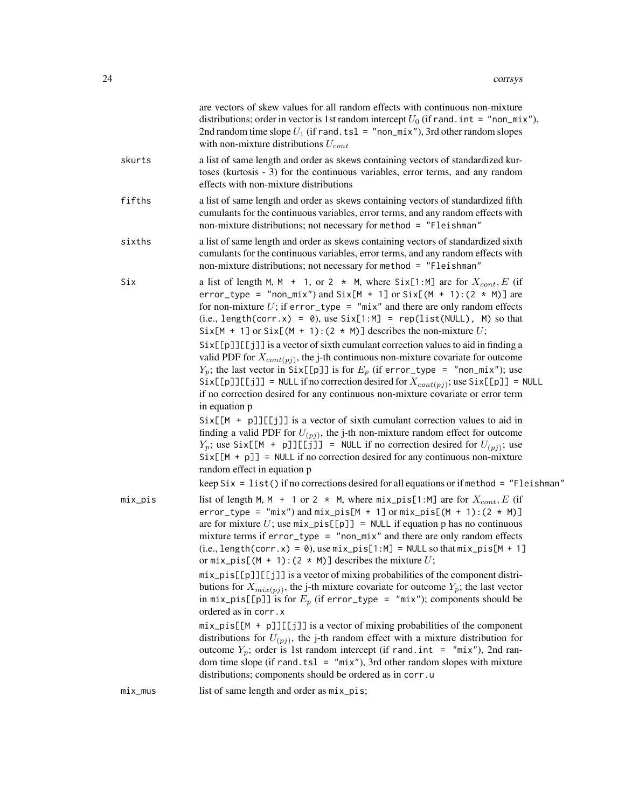|           | are vectors of skew values for all random effects with continuous non-mixture<br>distributions; order in vector is 1st random intercept $U_0$ (if rand. int = "non_mix"),<br>2nd random time slope $U_1$ (if rand. tsl = "non_mix"), 3rd other random slopes<br>with non-mixture distributions $U_{cont}$                                                                                                                                                                                |
|-----------|------------------------------------------------------------------------------------------------------------------------------------------------------------------------------------------------------------------------------------------------------------------------------------------------------------------------------------------------------------------------------------------------------------------------------------------------------------------------------------------|
| skurts    | a list of same length and order as skews containing vectors of standardized kur-<br>toses (kurtosis - 3) for the continuous variables, error terms, and any random<br>effects with non-mixture distributions                                                                                                                                                                                                                                                                             |
| fifths    | a list of same length and order as skews containing vectors of standardized fifth<br>cumulants for the continuous variables, error terms, and any random effects with<br>non-mixture distributions; not necessary for method = "Fleishman"                                                                                                                                                                                                                                               |
| sixths    | a list of same length and order as skews containing vectors of standardized sixth<br>cumulants for the continuous variables, error terms, and any random effects with<br>non-mixture distributions; not necessary for method = "Fleishman"                                                                                                                                                                                                                                               |
| Six       | a list of length M, M + 1, or 2 $*$ M, where Six[1:M] are for $X_{cont}$ , E (if<br>error_type = "non_mix") and Six[M + 1] or Six[(M + 1): $(2 * M)$ ] are<br>for non-mixture $U$ ; if error_type = "mix" and there are only random effects<br>$(i.e., length(corr.x) = 0)$ , use $Six[1:M] = rep(list(NULL), M)$ so that<br>Six[M + 1] or Six[(M + 1): (2 $\star$ M)] describes the non-mixture U;<br>Six[[p]][[j]] is a vector of sixth cumulant correction values to aid in finding a |
|           | valid PDF for $X_{cont(pj)}$ , the j-th continuous non-mixture covariate for outcome<br>$Y_p$ ; the last vector in Six[[p]] is for $E_p$ (if error_type = "non_mix"); use<br>$Six[\lceil p \rceil] [\lceil j \rceil] = NULL$ if no correction desired for $X_{cont(pj)}$ ; use $Six[\lceil p \rceil] = NULL$<br>if no correction desired for any continuous non-mixture covariate or error term<br>in equation p                                                                         |
|           | $Six[[M + p]][[j]]$ is a vector of sixth cumulant correction values to aid in<br>finding a valid PDF for $U_{(pj)}$ , the j-th non-mixture random effect for outcome<br>$Y_p$ ; use Six[[M + p]][[j]] = NULL if no correction desired for $U_{(pj)}$ ; use<br>$Six[[M + p]] = NULL if no correction desired for any continuous non-mixture$<br>random effect in equation p                                                                                                               |
|           | keep $Six = list()$ if no corrections desired for all equations or if method = "Fleishman"                                                                                                                                                                                                                                                                                                                                                                                               |
| mix_pis   | list of length M, M + 1 or 2 $*$ M, where $mix\_pis[1:M]$ are for $X_{cont}$ , E (if<br>$error_type = "mix")$ and $mix_pis[M + 1]$ or $mix_pis[(M + 1):(2 * M)]$<br>are for mixture U; use $mix\_pis[[p]] = NULL$ if equation p has no continuous<br>mixture terms if $error_type = "non\_mix"$ and there are only random effects<br>$(i.e., length(corr.x) = 0)$ , use $mix\_pis[1:M] = NULL so that mix\_pis[M + 1]$<br>or $mix\_pis[(M + 1):(2 * M)]$ describes the mixture U;        |
|           | mix_pis[[p]][[j]] is a vector of mixing probabilities of the component distri-<br>butions for $X_{mix(p_i)}$ , the j-th mixture covariate for outcome $Y_p$ ; the last vector<br>in mix_pis[[p]] is for $E_p$ (if error_type = "mix"); components should be<br>ordered as in corr.x                                                                                                                                                                                                      |
|           | $mix\_pis[[M + p]][[jj]]$ is a vector of mixing probabilities of the component<br>distributions for $U_{(pj)}$ , the j-th random effect with a mixture distribution for<br>outcome $Y_p$ ; order is 1st random intercept (if rand.int = "mix"), 2nd ran-<br>dom time slope (if rand. tsl = $"mix"$ ), 3rd other random slopes with mixture<br>distributions; components should be ordered as in corr.u                                                                                   |
| $mix_mus$ | list of same length and order as mix_pis;                                                                                                                                                                                                                                                                                                                                                                                                                                                |
|           |                                                                                                                                                                                                                                                                                                                                                                                                                                                                                          |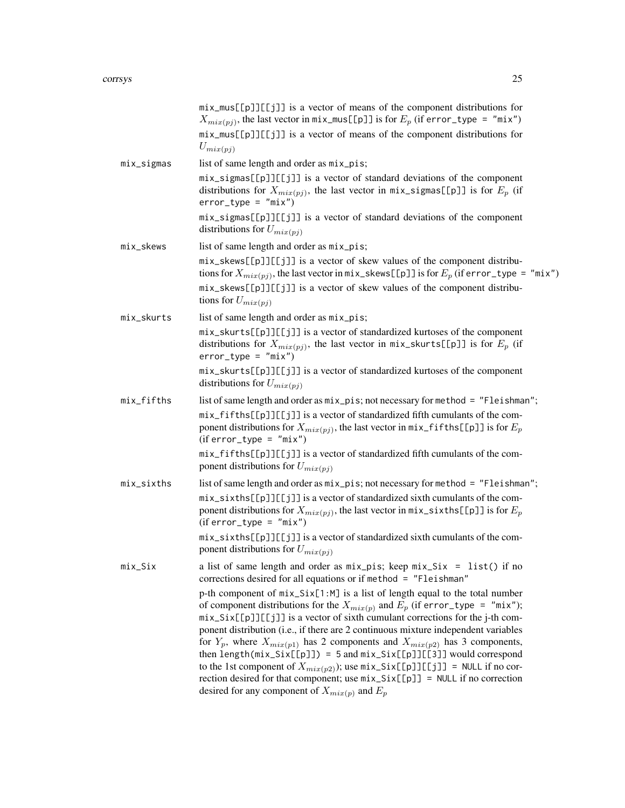|            | mix_mus[[p]][[j]] is a vector of means of the component distributions for<br>$X_{mix(pj)}$ , the last vector in mix_mus[[p]] is for $E_p$ (if error_type = "mix")<br>mix_mus[[p]][[j]] is a vector of means of the component distributions for<br>$U_{mix(pj)}$                                                                                                                                                                                                                                                                                                                                                                                                                                                                                       |
|------------|-------------------------------------------------------------------------------------------------------------------------------------------------------------------------------------------------------------------------------------------------------------------------------------------------------------------------------------------------------------------------------------------------------------------------------------------------------------------------------------------------------------------------------------------------------------------------------------------------------------------------------------------------------------------------------------------------------------------------------------------------------|
| mix_sigmas | list of same length and order as mix_pis;                                                                                                                                                                                                                                                                                                                                                                                                                                                                                                                                                                                                                                                                                                             |
|            | mix_sigmas[[p]][[j]] is a vector of standard deviations of the component<br>distributions for $X_{mix(pj)}$ , the last vector in mix_sigmas[[p]] is for $E_p$ (if<br>$error_type = "mix")$                                                                                                                                                                                                                                                                                                                                                                                                                                                                                                                                                            |
|            | mix_sigmas[[p]][[j]] is a vector of standard deviations of the component<br>distributions for $U_{mix(pj)}$                                                                                                                                                                                                                                                                                                                                                                                                                                                                                                                                                                                                                                           |
| mix_skews  | list of same length and order as mix_pis;                                                                                                                                                                                                                                                                                                                                                                                                                                                                                                                                                                                                                                                                                                             |
|            | mix_skews[[p]][[j]] is a vector of skew values of the component distribu-<br>tions for $X_{mix(pj)}$ , the last vector in mix_skews[[p]] is for $E_p$ (if error_type = "mix")                                                                                                                                                                                                                                                                                                                                                                                                                                                                                                                                                                         |
|            | mix_skews[[p]][[j]] is a vector of skew values of the component distribu-<br>tions for $U_{mix(pj)}$                                                                                                                                                                                                                                                                                                                                                                                                                                                                                                                                                                                                                                                  |
| mix_skurts | list of same length and order as mix_pis;                                                                                                                                                                                                                                                                                                                                                                                                                                                                                                                                                                                                                                                                                                             |
|            | mix_skurts[[p]][[j]] is a vector of standardized kurtoses of the component<br>distributions for $X_{mix(pj)}$ , the last vector in mix_skurts[[p]] is for $E_p$ (if<br>$error_type = "mix")$                                                                                                                                                                                                                                                                                                                                                                                                                                                                                                                                                          |
|            | mix_skurts[[p]][[j]] is a vector of standardized kurtoses of the component<br>distributions for $U_{mix(pj)}$                                                                                                                                                                                                                                                                                                                                                                                                                                                                                                                                                                                                                                         |
| mix_fifths | list of same length and order as mix_pis; not necessary for method = "Fleishman";                                                                                                                                                                                                                                                                                                                                                                                                                                                                                                                                                                                                                                                                     |
|            | mix_fifths[[p]][[j]] is a vector of standardized fifth cumulants of the com-<br>ponent distributions for $X_{mix(pj)}$ , the last vector in $mix_f$ if ths [[p]] is for $E_p$<br>$(iferror_type = "mix")$                                                                                                                                                                                                                                                                                                                                                                                                                                                                                                                                             |
|            | mix_fifths[[p]][[j]] is a vector of standardized fifth cumulants of the com-<br>ponent distributions for $U_{mix(pj)}$                                                                                                                                                                                                                                                                                                                                                                                                                                                                                                                                                                                                                                |
| mix_sixths | list of same length and order as mix_pis; not necessary for method = "Fleishman";                                                                                                                                                                                                                                                                                                                                                                                                                                                                                                                                                                                                                                                                     |
|            | mix_sixths[[p]][[j]] is a vector of standardized sixth cumulants of the com-<br>ponent distributions for $X_{mix(pj)}$ , the last vector in mix_sixths[[p]] is for $E_p$<br>$(iferror_type = "mix")$                                                                                                                                                                                                                                                                                                                                                                                                                                                                                                                                                  |
|            | mix_sixths[[p]][[j]] is a vector of standardized sixth cumulants of the com-<br>ponent distributions for $U_{mix(pj)}$                                                                                                                                                                                                                                                                                                                                                                                                                                                                                                                                                                                                                                |
| $mix\_Six$ | a list of same length and order as $mix\_pis$ ; keep $mix\_Six = list()$ if no<br>corrections desired for all equations or if method = "Fleishman"                                                                                                                                                                                                                                                                                                                                                                                                                                                                                                                                                                                                    |
|            | p-th component of $mix\_Six[1:M]$ is a list of length equal to the total number<br>of component distributions for the $X_{mix(p)}$ and $E_p$ (if error_type = "mix");<br>mix_Six[[p]][[j]] is a vector of sixth cumulant corrections for the j-th com-<br>ponent distribution (i.e., if there are 2 continuous mixture independent variables<br>for $Y_p$ , where $X_{mix(p1)}$ has 2 components and $X_{mix(p2)}$ has 3 components,<br>then length( $mix\_Six[[p]]$ ) = 5 and $mix\_Six[[p]][[3]]$ would correspond<br>to the 1st component of $X_{mix(p2)}$ ); use $mix\_Six[[p]][[j]] = NULL$ if no cor-<br>rection desired for that component; use $mix\_Six[[p]] = NULL$ if no correction<br>desired for any component of $X_{mix(p)}$ and $E_p$ |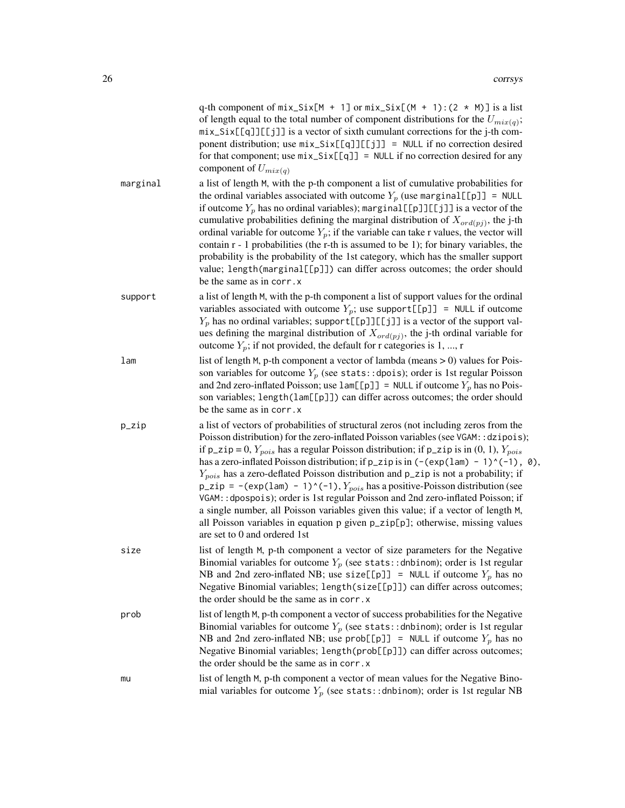|          | q-th component of $mix\_Six[M + 1]$ or $mix\_Six[(M + 1):(2 * M)]$ is a list<br>of length equal to the total number of component distributions for the $U_{mix(q)}$ ;<br>mix_Six[[q]][[j]] is a vector of sixth cumulant corrections for the j-th com-<br>ponent distribution; use $mix\_Six[[q]][[j]] = NULL$ if no correction desired<br>for that component; use $mix\_Six[[q]] = NULL$ if no correction desired for any<br>component of $U_{mix(q)}$                                                                                                                                                                                                                                                                                                                                                                                                        |
|----------|----------------------------------------------------------------------------------------------------------------------------------------------------------------------------------------------------------------------------------------------------------------------------------------------------------------------------------------------------------------------------------------------------------------------------------------------------------------------------------------------------------------------------------------------------------------------------------------------------------------------------------------------------------------------------------------------------------------------------------------------------------------------------------------------------------------------------------------------------------------|
| marginal | a list of length M, with the p-th component a list of cumulative probabilities for<br>the ordinal variables associated with outcome $Y_p$ (use marginal [[p]] = NULL<br>if outcome $Y_p$ has no ordinal variables); marginal [[p]][[j]] is a vector of the<br>cumulative probabilities defining the marginal distribution of $X_{\text{ord}(pj)}$ , the j-th<br>ordinal variable for outcome $Y_p$ ; if the variable can take r values, the vector will<br>contain $r - 1$ probabilities (the r-th is assumed to be 1); for binary variables, the<br>probability is the probability of the 1st category, which has the smaller support<br>value; length(marginal[[p]]) can differ across outcomes; the order should<br>be the same as in corr. x                                                                                                               |
| support  | a list of length M, with the p-th component a list of support values for the ordinal<br>variables associated with outcome $Y_p$ ; use support[[p]] = NULL if outcome<br>$Y_p$ has no ordinal variables; support [[p]][[j]] is a vector of the support val-<br>ues defining the marginal distribution of $X_{\text{ord}(pj)}$ , the j-th ordinal variable for<br>outcome $Y_p$ ; if not provided, the default for r categories is 1, , r                                                                                                                                                                                                                                                                                                                                                                                                                        |
| lam      | list of length $M$ , p-th component a vector of lambda (means $> 0$ ) values for Pois-<br>son variables for outcome $Y_p$ (see stats::dpois); order is 1st regular Poisson<br>and 2nd zero-inflated Poisson; use $lam[[p]] = NULL$ if outcome $Y_p$ has no Pois-<br>son variables; length(lam[[p]]) can differ across outcomes; the order should<br>be the same as in corr. x                                                                                                                                                                                                                                                                                                                                                                                                                                                                                  |
| p_zip    | a list of vectors of probabilities of structural zeros (not including zeros from the<br>Poisson distribution) for the zero-inflated Poisson variables (see VGAM:: dzipois);<br>if $p_z$ ip = 0, $Y_{pois}$ has a regular Poisson distribution; if $p_z$ ip is in (0, 1), $Y_{pois}$<br>has a zero-inflated Poisson distribution; if $p_z$ ip is in $(-(exp(1am) - 1)^(-1), 0)$ ,<br>$Y_{pois}$ has a zero-deflated Poisson distribution and $p_z$ zip is not a probability; if<br>p_zip = -(exp(lam) - 1)^(-1), $Y_{pois}$ has a positive-Poisson distribution (see<br>VGAM: : dpospois); order is 1st regular Poisson and 2nd zero-inflated Poisson; if<br>a single number, all Poisson variables given this value; if a vector of length M,<br>all Poisson variables in equation p given p_zip[p]; otherwise, missing values<br>are set to 0 and ordered 1st |
| size     | list of length M, p-th component a vector of size parameters for the Negative<br>Binomial variables for outcome $Y_p$ (see stats:: dnbinom); order is 1st regular<br>NB and 2nd zero-inflated NB; use size[[p]] = NULL if outcome $Y_p$ has no<br>Negative Binomial variables; length(size[[p]]) can differ across outcomes;<br>the order should be the same as in corr. x                                                                                                                                                                                                                                                                                                                                                                                                                                                                                     |
| prob     | list of length M, p-th component a vector of success probabilities for the Negative<br>Binomial variables for outcome $Y_p$ (see stats:: dnbinom); order is 1st regular<br>NB and 2nd zero-inflated NB; use $prob[[p]$ ] = NULL if outcome $Y_p$ has no<br>Negative Binomial variables; length(prob[[p]]) can differ across outcomes;<br>the order should be the same as in corr. x                                                                                                                                                                                                                                                                                                                                                                                                                                                                            |
| mu       | list of length M, p-th component a vector of mean values for the Negative Bino-<br>mial variables for outcome $Y_p$ (see stats:: dnbinom); order is 1st regular NB                                                                                                                                                                                                                                                                                                                                                                                                                                                                                                                                                                                                                                                                                             |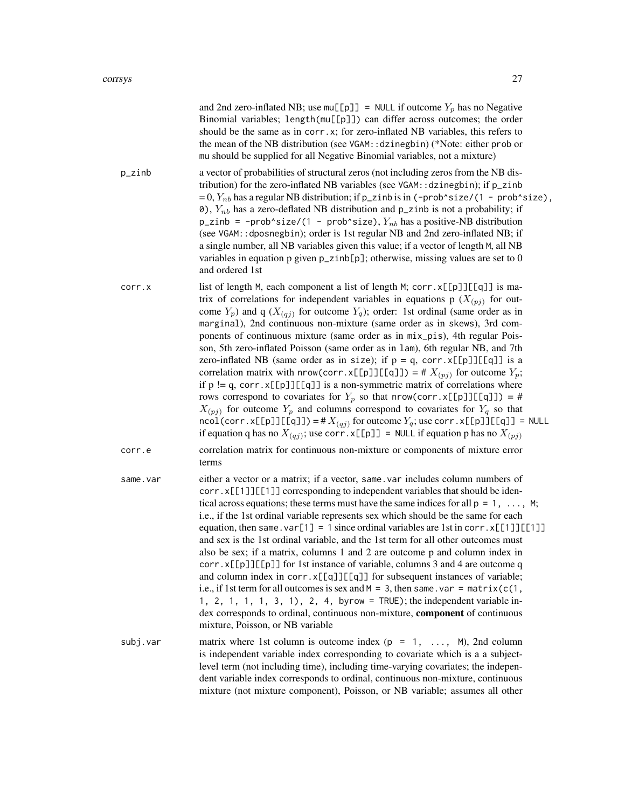|          | and 2nd zero-inflated NB; use $mu[[p]] = NULL$ if outcome $Y_p$ has no Negative<br>Binomial variables; length(mu[[p]]) can differ across outcomes; the order<br>should be the same as in corr.x; for zero-inflated NB variables, this refers to<br>the mean of the NB distribution (see VGAM:: dzinegbin) (*Note: either prob or<br>mu should be supplied for all Negative Binomial variables, not a mixture)                                                                                                                                                                                                                                                                                                                                                                                                                                                                                                                                                                                                                                                                                                                                                                                    |
|----------|--------------------------------------------------------------------------------------------------------------------------------------------------------------------------------------------------------------------------------------------------------------------------------------------------------------------------------------------------------------------------------------------------------------------------------------------------------------------------------------------------------------------------------------------------------------------------------------------------------------------------------------------------------------------------------------------------------------------------------------------------------------------------------------------------------------------------------------------------------------------------------------------------------------------------------------------------------------------------------------------------------------------------------------------------------------------------------------------------------------------------------------------------------------------------------------------------|
| p_zinb   | a vector of probabilities of structural zeros (not including zeros from the NB dis-<br>tribution) for the zero-inflated NB variables (see VGAM:: dzinegbin); if p_zinb<br>$= 0, Y_{nb}$ has a regular NB distribution; if p_zinb is in (-prob^size/(1 - prob^size),<br>0), $Y_{nb}$ has a zero-deflated NB distribution and p_zinb is not a probability; if<br>$p$ _zinb = -prob^size/(1 - prob^size), $Y_{nb}$ has a positive-NB distribution<br>(see VGAM:: dposnegbin); order is 1st regular NB and 2nd zero-inflated NB; if<br>a single number, all NB variables given this value; if a vector of length M, all NB<br>variables in equation p given $p$ _zinb[ $p$ ]; otherwise, missing values are set to 0<br>and ordered 1st                                                                                                                                                                                                                                                                                                                                                                                                                                                              |
| corr.x   | list of length M, each component a list of length M; corr. x[[p]][[q]] is ma-<br>trix of correlations for independent variables in equations p $(X_{(pj)})$ for out-<br>come $Y_p$ ) and q ( $X_{(qj)}$ for outcome $Y_q$ ); order: 1st ordinal (same order as in<br>marginal), 2nd continuous non-mixture (same order as in skews), 3rd com-<br>ponents of continuous mixture (same order as in mix_pis), 4th regular Pois-<br>son, 5th zero-inflated Poisson (same order as in 1am), 6th regular NB, and 7th<br>zero-inflated NB (same order as in size); if $p = q$ , corr. x[[p]][[q]] is a<br>correlation matrix with nrow(corr.x[[p]][[q]]) = # $X_{(pj)}$ for outcome $Y_p$ ;<br>if $p := q$ , corr. x[[p]][[q]] is a non-symmetric matrix of correlations where<br>rows correspond to covariates for $Y_p$ so that nrow(corr.x[[p]][[q]]) = #<br>$X_{(pj)}$ for outcome $Y_p$ and columns correspond to covariates for $Y_q$ so that<br>$\text{ncol}(corr.x[\text{p}]][\text{q}]] = #X_{(qj)}$ for outcome $Y_q$ ; use corr. $x[\text{p}]][\text{q}]] = \text{NULL}$<br>if equation q has no $X_{(qj)}$ ; use corr. $x[\lfloor p \rfloor] = \text{NULL}$ if equation p has no $X_{(pj)}$ |
| corr.e   | correlation matrix for continuous non-mixture or components of mixture error<br>terms                                                                                                                                                                                                                                                                                                                                                                                                                                                                                                                                                                                                                                                                                                                                                                                                                                                                                                                                                                                                                                                                                                            |
| same.var | either a vector or a matrix; if a vector, same var includes column numbers of<br>corr.x[[1]][[1]] corresponding to independent variables that should be iden-<br>tical across equations; these terms must have the same indices for all $p = 1, \ldots, M$ ;<br>i.e., if the 1st ordinal variable represents sex which should be the same for each<br>equation, then same. $var[1] = 1$ since ordinal variables are 1st in corr. $x[[1]][[1]]$<br>and sex is the 1st ordinal variable, and the 1st term for all other outcomes must<br>also be sex; if a matrix, columns 1 and 2 are outcome p and column index in<br>corr.x[[p]][[p]] for 1st instance of variable, columns 3 and 4 are outcome q<br>and column index in corr.x[[q]][[q]] for subsequent instances of variable;<br>i.e., if 1st term for all outcomes is sex and $M = 3$ , then same . var = matrix( $c(1)$ ,<br>1, 2, 1, 1, 1, 3, 1), 2, 4, byrow = $TRUE$ ); the independent variable in-<br>dex corresponds to ordinal, continuous non-mixture, component of continuous<br>mixture, Poisson, or NB variable                                                                                                                  |
| subj.var | matrix where 1st column is outcome index ( $p = 1, \ldots, M$ ), 2nd column<br>is independent variable index corresponding to covariate which is a a subject-<br>level term (not including time), including time-varying covariates; the indepen-<br>dent variable index corresponds to ordinal, continuous non-mixture, continuous<br>mixture (not mixture component), Poisson, or NB variable; assumes all other                                                                                                                                                                                                                                                                                                                                                                                                                                                                                                                                                                                                                                                                                                                                                                               |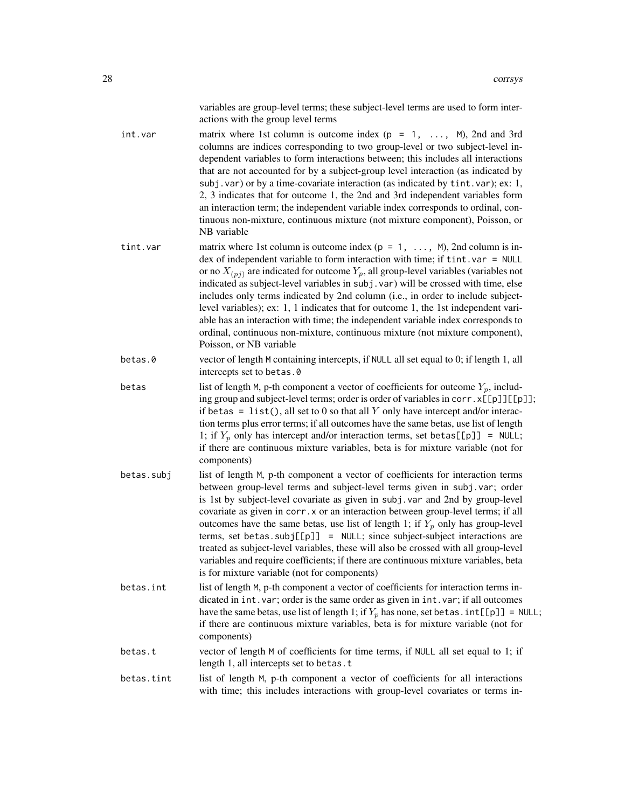variables are group-level terms; these subject-level terms are used to form interactions with the group level terms

- int.var matrix where 1st column is outcome index  $(p = 1, \ldots, M)$ , 2nd and 3rd columns are indices corresponding to two group-level or two subject-level independent variables to form interactions between; this includes all interactions that are not accounted for by a subject-group level interaction (as indicated by subj.var) or by a time-covariate interaction (as indicated by tint.var); ex: 1, 2, 3 indicates that for outcome 1, the 2nd and 3rd independent variables form an interaction term; the independent variable index corresponds to ordinal, continuous non-mixture, continuous mixture (not mixture component), Poisson, or NB variable
- tint.var matrix where 1st column is outcome index  $(p = 1, \ldots, M)$ , 2nd column is index of independent variable to form interaction with time; if tint.var = NULL or no  $X_{(pj)}$  are indicated for outcome  $Y_p$ , all group-level variables (variables not indicated as subject-level variables in subj.var) will be crossed with time, else includes only terms indicated by 2nd column (i.e., in order to include subjectlevel variables); ex: 1, 1 indicates that for outcome 1, the 1st independent variable has an interaction with time; the independent variable index corresponds to ordinal, continuous non-mixture, continuous mixture (not mixture component), Poisson, or NB variable

betas.0 vector of length M containing intercepts, if NULL all set equal to 0; if length 1, all intercepts set to betas.0

- betas list of length M, p-th component a vector of coefficients for outcome  $Y_p$ , including group and subject-level terms; order is order of variables in corr.  $x[[p]][[p]]$ ; if betas = list(), all set to 0 so that all Y only have intercept and/or interaction terms plus error terms; if all outcomes have the same betas, use list of length 1; if  $Y_p$  only has intercept and/or interaction terms, set betas [[p]] = NULL; if there are continuous mixture variables, beta is for mixture variable (not for components)
- betas.subj list of length M, p-th component a vector of coefficients for interaction terms between group-level terms and subject-level terms given in subj.var; order is 1st by subject-level covariate as given in subj.var and 2nd by group-level covariate as given in corr.x or an interaction between group-level terms; if all outcomes have the same betas, use list of length 1; if  $Y_p$  only has group-level terms, set betas.subj $[\lceil p \rceil]$  = NULL; since subject-subject interactions are treated as subject-level variables, these will also be crossed with all group-level variables and require coefficients; if there are continuous mixture variables, beta is for mixture variable (not for components)
- betas.int list of length M, p-th component a vector of coefficients for interaction terms indicated in int.var; order is the same order as given in int.var; if all outcomes have the same betas, use list of length 1; if  $Y_p$  has none, set betas.  $int[[p]] = NULL;$ if there are continuous mixture variables, beta is for mixture variable (not for components)
- betas.t vector of length M of coefficients for time terms, if NULL all set equal to 1; if length 1, all intercepts set to betas.t
- betas.tint list of length M, p-th component a vector of coefficients for all interactions with time; this includes interactions with group-level covariates or terms in-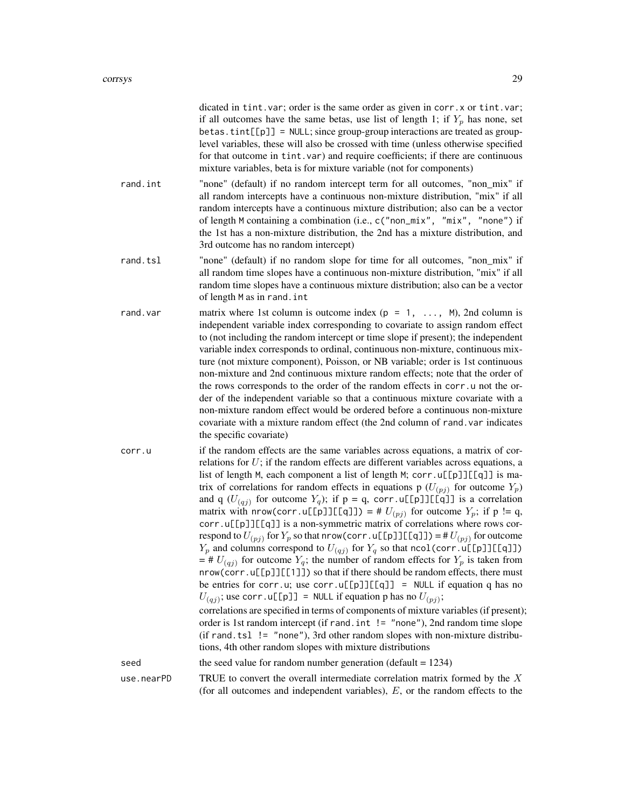dicated in tint.var; order is the same order as given in corr.x or tint.var; if all outcomes have the same betas, use list of length 1; if  $Y_p$  has none, set  $beta$ . tint $[[p]$  = NULL; since group-group interactions are treated as grouplevel variables, these will also be crossed with time (unless otherwise specified for that outcome in tint.var) and require coefficients; if there are continuous mixture variables, beta is for mixture variable (not for components) rand.int "none" (default) if no random intercept term for all outcomes, "non\_mix" if all random intercepts have a continuous non-mixture distribution, "mix" if all random intercepts have a continuous mixture distribution; also can be a vector of length M containing a combination (i.e., c("non\_mix", "mix", "none") if the 1st has a non-mixture distribution, the 2nd has a mixture distribution, and 3rd outcome has no random intercept) rand.tsl "none" (default) if no random slope for time for all outcomes, "non mix" if all random time slopes have a continuous non-mixture distribution, "mix" if all random time slopes have a continuous mixture distribution; also can be a vector of length M as in rand.int rand.var matrix where 1st column is outcome index  $(p = 1, \ldots, M)$ , 2nd column is independent variable index corresponding to covariate to assign random effect to (not including the random intercept or time slope if present); the independent variable index corresponds to ordinal, continuous non-mixture, continuous mixture (not mixture component), Poisson, or NB variable; order is 1st continuous non-mixture and 2nd continuous mixture random effects; note that the order of the rows corresponds to the order of the random effects in corr.u not the order of the independent variable so that a continuous mixture covariate with a non-mixture random effect would be ordered before a continuous non-mixture covariate with a mixture random effect (the 2nd column of rand.var indicates the specific covariate) corr.u if the random effects are the same variables across equations, a matrix of correlations for  $U$ ; if the random effects are different variables across equations, a list of length M, each component a list of length M; corr.u[[p]][[q]] is matrix of correlations for random effects in equations p  $(U_{(pj)})$  for outcome  $Y_p$ ) and q  $(U_{(qj)}$  for outcome  $Y_q$ ); if  $p = q$ , corr.u[[p]][[q]] is a correlation matrix with nrow(corr.u[[p]][[q]]) = #  $U_{(pj)}$  for outcome  $Y_p$ ; if p != q, corr.u[[p]][[q]] is a non-symmetric matrix of correlations where rows correspond to  $U_{(pj)}$  for  $Y_p$  so that nrow(corr.u[[p]][[q]]) = # $U_{(pj)}$  for outcome  $Y_p$  and columns correspond to  $U_{(qj)}$  for  $Y_q$  so that ncol(corr.u[[p]][[q]])  $=$  #  $U_{(qj)}$  for outcome  $Y_q$ ; the number of random effects for  $Y_p$  is taken from nrow(corr.u[[p]][[1]]) so that if there should be random effects, there must be entries for corr.u; use corr.u[[p]][[q]] = NULL if equation q has no  $U_{(qj)}$ ; use corr.u[[p]] = NULL if equation p has no  $U_{(pj)}$ ; correlations are specified in terms of components of mixture variables (if present); order is 1st random intercept (if rand.int != "none"), 2nd random time slope (if rand.tsl  $!=$  "none"), 3rd other random slopes with non-mixture distributions, 4th other random slopes with mixture distributions seed the seed value for random number generation (default = 1234) use.nearPD TRUE to convert the overall intermediate correlation matrix formed by the  $X$ (for all outcomes and independent variables), E, or the random effects to the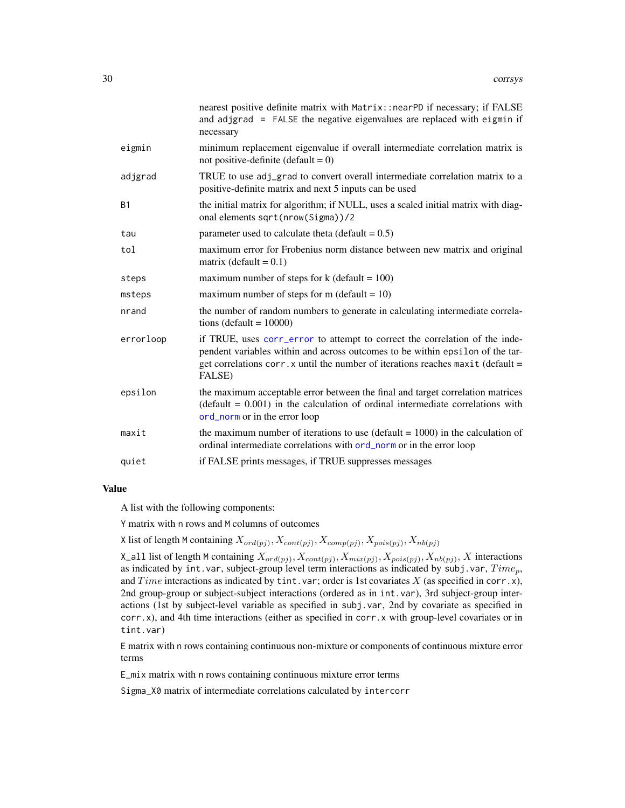|           | nearest positive definite matrix with Matrix:: nearPD if necessary; if FALSE<br>and adjgrad = $FALSE$ the negative eigenvalues are replaced with eigmin if<br>necessary                                                                                    |
|-----------|------------------------------------------------------------------------------------------------------------------------------------------------------------------------------------------------------------------------------------------------------------|
| eigmin    | minimum replacement eigenvalue if overall intermediate correlation matrix is<br>not positive-definite (default = $0$ )                                                                                                                                     |
| adjgrad   | TRUE to use adj_grad to convert overall intermediate correlation matrix to a<br>positive-definite matrix and next 5 inputs can be used                                                                                                                     |
| <b>B1</b> | the initial matrix for algorithm; if NULL, uses a scaled initial matrix with diag-<br>onal elements sqrt(nrow(Sigma))/2                                                                                                                                    |
| tau       | parameter used to calculate theta (default = $0.5$ )                                                                                                                                                                                                       |
| tol       | maximum error for Frobenius norm distance between new matrix and original<br>matrix (default = $0.1$ )                                                                                                                                                     |
| steps     | maximum number of steps for $k$ (default = 100)                                                                                                                                                                                                            |
| msteps    | maximum number of steps for m (default = $10$ )                                                                                                                                                                                                            |
| nrand     | the number of random numbers to generate in calculating intermediate correla-<br>tions (default = $10000$ )                                                                                                                                                |
| errorloop | if TRUE, uses corr_error to attempt to correct the correlation of the inde-<br>pendent variables within and across outcomes to be within epsilon of the tar-<br>get correlations corr. x until the number of iterations reaches maxit (default =<br>FALSE) |
| epsilon   | the maximum acceptable error between the final and target correlation matrices<br>$(default = 0.001)$ in the calculation of ordinal intermediate correlations with<br>ord_norm or in the error loop                                                        |
| maxit     | the maximum number of iterations to use (default $= 1000$ ) in the calculation of<br>ordinal intermediate correlations with ord_norm or in the error loop                                                                                                  |
| quiet     | if FALSE prints messages, if TRUE suppresses messages                                                                                                                                                                                                      |

# Value

A list with the following components:

Y matrix with n rows and M columns of outcomes

X list of length M containing  $X_{\text{ord}(pj)}$ ,  $X_{\text{cont}(pj)}$ ,  $X_{\text{comp}(pj)}$ ,  $X_{\text{pois}(pj)}$ ,  $X_{\text{nb}(pj)}$ 

X\_all list of length M containing  $X_{ord(pj)}$ ,  $X_{cont(pj)}$ ,  $X_{mix(pj)}$ ,  $X_{pois(pj)}$ ,  $X_{nb(pj)}$ , X interactions as indicated by int.var, subject-group level term interactions as indicated by subj.var,  $Time_p$ , and Time interactions as indicated by tint.var; order is 1st covariates X (as specified in corr.x), 2nd group-group or subject-subject interactions (ordered as in int.var), 3rd subject-group interactions (1st by subject-level variable as specified in subj.var, 2nd by covariate as specified in corr.x), and 4th time interactions (either as specified in corr.x with group-level covariates or in tint.var)

E matrix with n rows containing continuous non-mixture or components of continuous mixture error terms

E\_mix matrix with n rows containing continuous mixture error terms

Sigma\_X0 matrix of intermediate correlations calculated by intercorr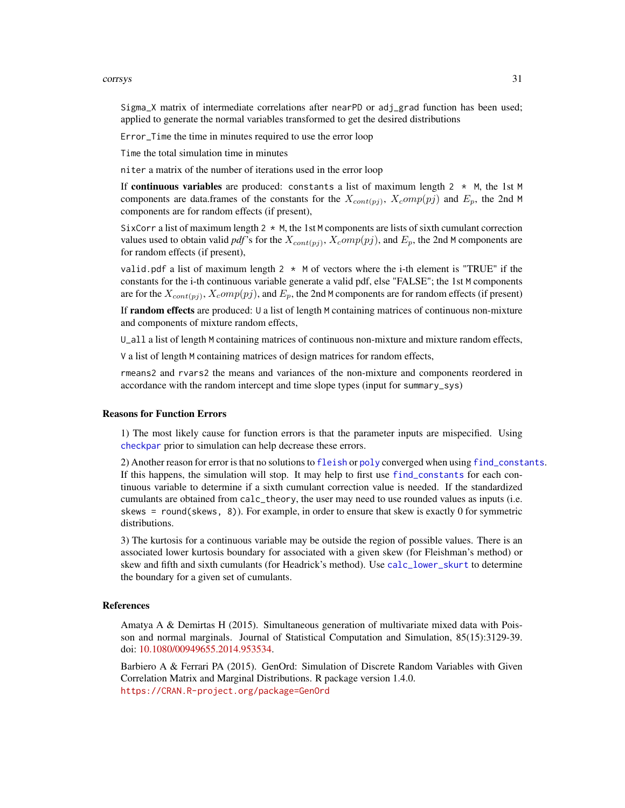Sigma\_X matrix of intermediate correlations after nearPD or adj\_grad function has been used; applied to generate the normal variables transformed to get the desired distributions

Error\_Time the time in minutes required to use the error loop

Time the total simulation time in minutes

niter a matrix of the number of iterations used in the error loop

If continuous variables are produced: constants a list of maximum length  $2 \times M$ , the 1st M components are data.frames of the constants for the  $X_{cont(pj)}$ ,  $X_{c}omp(pj)$  and  $E_p$ , the 2nd M components are for random effects (if present),

SixCorr a list of maximum length  $2 \times M$ , the 1st M components are lists of sixth cumulant correction values used to obtain valid *pdf*'s for the  $X_{cont(pj)}$ ,  $X_{c}omp(pj)$ , and  $E_p$ , the 2nd M components are for random effects (if present),

valid.pdf a list of maximum length  $2 \times M$  of vectors where the i-th element is "TRUE" if the constants for the i-th continuous variable generate a valid pdf, else "FALSE"; the 1st M components are for the  $X_{cont(pj)}$ ,  $X_{c}omp(pj)$ , and  $E_p$ , the 2nd M components are for random effects (if present)

If **random effects** are produced: U a list of length M containing matrices of continuous non-mixture and components of mixture random effects,

U\_all a list of length M containing matrices of continuous non-mixture and mixture random effects,

V a list of length M containing matrices of design matrices for random effects,

rmeans2 and rvars2 the means and variances of the non-mixture and components reordered in accordance with the random intercept and time slope types (input for summary\_sys)

#### Reasons for Function Errors

1) The most likely cause for function errors is that the parameter inputs are mispecified. Using [checkpar](#page-11-1) prior to simulation can help decrease these errors.

2) Another reason for error is that no solutions to [fleish](#page-0-0) or [poly](#page-0-0) converged when using [find\\_constants](#page-0-0). If this happens, the simulation will stop. It may help to first use [find\\_constants](#page-0-0) for each continuous variable to determine if a sixth cumulant correction value is needed. If the standardized cumulants are obtained from calc\_theory, the user may need to use rounded values as inputs (i.e. skews = round(skews, 8)). For example, in order to ensure that skew is exactly 0 for symmetric distributions.

3) The kurtosis for a continuous variable may be outside the region of possible values. There is an associated lower kurtosis boundary for associated with a given skew (for Fleishman's method) or skew and fifth and sixth cumulants (for Headrick's method). Use [calc\\_lower\\_skurt](#page-0-0) to determine the boundary for a given set of cumulants.

# References

Amatya A & Demirtas H (2015). Simultaneous generation of multivariate mixed data with Poisson and normal marginals. Journal of Statistical Computation and Simulation, 85(15):3129-39. doi: [10.1080/00949655.2014.953534.](http://doi.org/10.1080/00949655.2014.953534)

Barbiero A & Ferrari PA (2015). GenOrd: Simulation of Discrete Random Variables with Given Correlation Matrix and Marginal Distributions. R package version 1.4.0. <https://CRAN.R-project.org/package=GenOrd>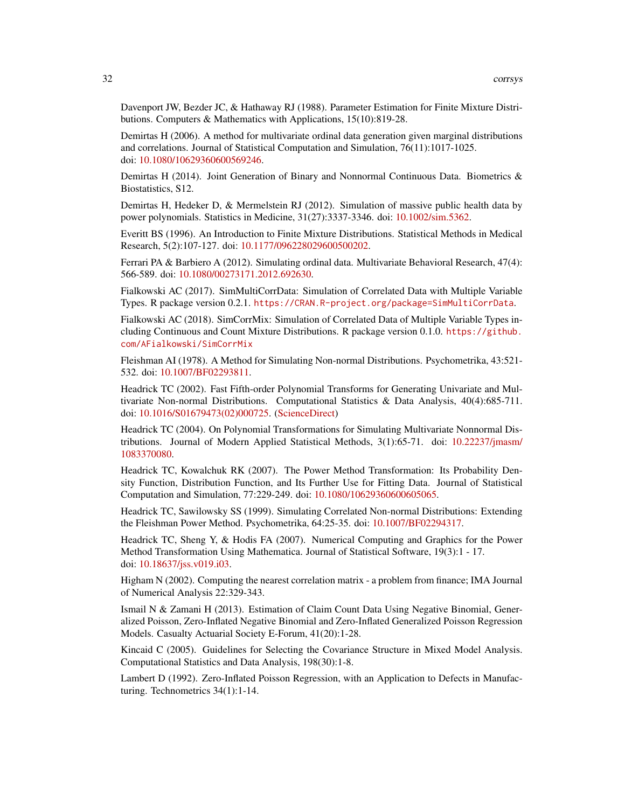Davenport JW, Bezder JC, & Hathaway RJ (1988). Parameter Estimation for Finite Mixture Distributions. Computers & Mathematics with Applications, 15(10):819-28.

Demirtas H (2006). A method for multivariate ordinal data generation given marginal distributions and correlations. Journal of Statistical Computation and Simulation, 76(11):1017-1025. doi: [10.1080/10629360600569246.](http://doi.org/10.1080/10629360600569246)

Demirtas H (2014). Joint Generation of Binary and Nonnormal Continuous Data. Biometrics & Biostatistics, S12.

Demirtas H, Hedeker D, & Mermelstein RJ (2012). Simulation of massive public health data by power polynomials. Statistics in Medicine, 31(27):3337-3346. doi: [10.1002/sim.5362.](http://doi.org/10.1002/sim.5362)

Everitt BS (1996). An Introduction to Finite Mixture Distributions. Statistical Methods in Medical Research, 5(2):107-127. doi: [10.1177/096228029600500202.](http://doi.org/10.1177/096228029600500202)

Ferrari PA & Barbiero A (2012). Simulating ordinal data. Multivariate Behavioral Research, 47(4): 566-589. doi: [10.1080/00273171.2012.692630.](http://doi.org/10.1080/00273171.2012.692630)

Fialkowski AC (2017). SimMultiCorrData: Simulation of Correlated Data with Multiple Variable Types. R package version 0.2.1. <https://CRAN.R-project.org/package=SimMultiCorrData>.

Fialkowski AC (2018). SimCorrMix: Simulation of Correlated Data of Multiple Variable Types including Continuous and Count Mixture Distributions. R package version 0.1.0. [https://github.](https://github.com/AFialkowski/SimCorrMix) [com/AFialkowski/SimCorrMix](https://github.com/AFialkowski/SimCorrMix)

Fleishman AI (1978). A Method for Simulating Non-normal Distributions. Psychometrika, 43:521- 532. doi: [10.1007/BF02293811.](http://doi.org/10.1007/BF02293811)

Headrick TC (2002). Fast Fifth-order Polynomial Transforms for Generating Univariate and Multivariate Non-normal Distributions. Computational Statistics & Data Analysis, 40(4):685-711. doi: [10.1016/S01679473\(02\)000725.](http://doi.org/10.1016/S0167-9473(02)00072-5) [\(ScienceDirect\)](http://www.sciencedirect.com/science/article/pii/S0167947302000725)

Headrick TC (2004). On Polynomial Transformations for Simulating Multivariate Nonnormal Distributions. Journal of Modern Applied Statistical Methods, 3(1):65-71. doi: [10.22237/jmasm/](http://doi.org/10.22237/jmasm/1083370080) [1083370080.](http://doi.org/10.22237/jmasm/1083370080)

Headrick TC, Kowalchuk RK (2007). The Power Method Transformation: Its Probability Density Function, Distribution Function, and Its Further Use for Fitting Data. Journal of Statistical Computation and Simulation, 77:229-249. doi: [10.1080/10629360600605065.](http://doi.org/10.1080/10629360600605065)

Headrick TC, Sawilowsky SS (1999). Simulating Correlated Non-normal Distributions: Extending the Fleishman Power Method. Psychometrika, 64:25-35. doi: [10.1007/BF02294317.](http://doi.org/10.1007/BF02294317)

Headrick TC, Sheng Y, & Hodis FA (2007). Numerical Computing and Graphics for the Power Method Transformation Using Mathematica. Journal of Statistical Software, 19(3):1 - 17. doi: [10.18637/jss.v019.i03.](http://doi.org/10.18637/jss.v019.i03)

Higham N (2002). Computing the nearest correlation matrix - a problem from finance; IMA Journal of Numerical Analysis 22:329-343.

Ismail N & Zamani H (2013). Estimation of Claim Count Data Using Negative Binomial, Generalized Poisson, Zero-Inflated Negative Binomial and Zero-Inflated Generalized Poisson Regression Models. Casualty Actuarial Society E-Forum, 41(20):1-28.

Kincaid C (2005). Guidelines for Selecting the Covariance Structure in Mixed Model Analysis. Computational Statistics and Data Analysis, 198(30):1-8.

Lambert D (1992). Zero-Inflated Poisson Regression, with an Application to Defects in Manufacturing. Technometrics 34(1):1-14.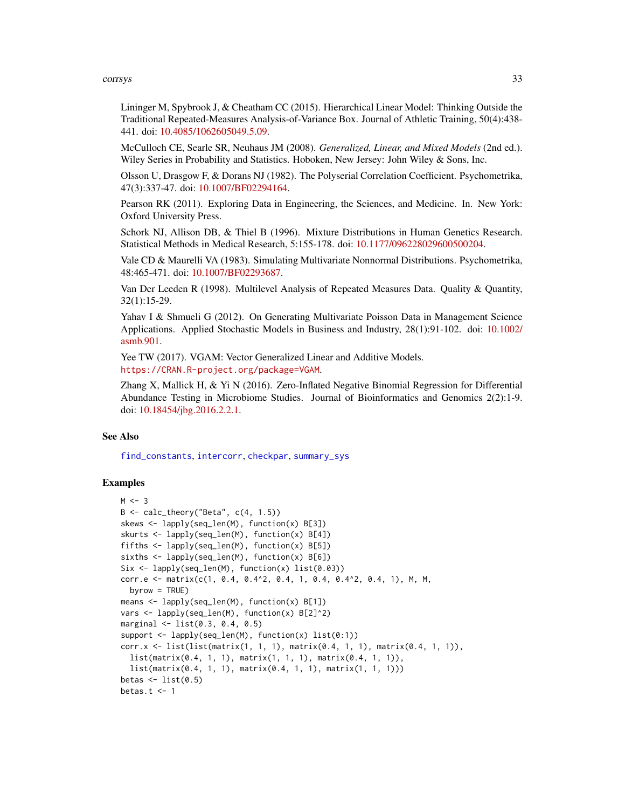Lininger M, Spybrook J, & Cheatham CC (2015). Hierarchical Linear Model: Thinking Outside the Traditional Repeated-Measures Analysis-of-Variance Box. Journal of Athletic Training, 50(4):438- 441. doi: [10.4085/1062605049.5.09.](http://doi.org/10.4085/1062-6050-49.5.09)

McCulloch CE, Searle SR, Neuhaus JM (2008). *Generalized, Linear, and Mixed Models* (2nd ed.). Wiley Series in Probability and Statistics. Hoboken, New Jersey: John Wiley & Sons, Inc.

Olsson U, Drasgow F, & Dorans NJ (1982). The Polyserial Correlation Coefficient. Psychometrika, 47(3):337-47. doi: [10.1007/BF02294164.](http://doi.org/10.1007/BF02294164)

Pearson RK (2011). Exploring Data in Engineering, the Sciences, and Medicine. In. New York: Oxford University Press.

Schork NJ, Allison DB, & Thiel B (1996). Mixture Distributions in Human Genetics Research. Statistical Methods in Medical Research, 5:155-178. doi: [10.1177/096228029600500204.](http://doi.org/10.1177/096228029600500204)

Vale CD & Maurelli VA (1983). Simulating Multivariate Nonnormal Distributions. Psychometrika, 48:465-471. doi: [10.1007/BF02293687.](http://doi.org/10.1007/BF02293687)

Van Der Leeden R (1998). Multilevel Analysis of Repeated Measures Data. Quality & Quantity, 32(1):15-29.

Yahav I & Shmueli G (2012). On Generating Multivariate Poisson Data in Management Science Applications. Applied Stochastic Models in Business and Industry, 28(1):91-102. doi: [10.1002/](http://doi.org/10.1002/asmb.901) [asmb.901.](http://doi.org/10.1002/asmb.901)

Yee TW (2017). VGAM: Vector Generalized Linear and Additive Models. <https://CRAN.R-project.org/package=VGAM>.

Zhang X, Mallick H, & Yi N (2016). Zero-Inflated Negative Binomial Regression for Differential Abundance Testing in Microbiome Studies. Journal of Bioinformatics and Genomics 2(2):1-9. doi: [10.18454/jbg.2016.2.2.1.](http://doi.org/10.18454/jbg.2016.2.2.1)

# See Also

[find\\_constants](#page-0-0), [intercorr](#page-0-0), [checkpar](#page-11-1), [summary\\_sys](#page-62-1)

```
M < -3B \leftarrow calc\_theory("Beta", c(4, 1.5))skews <- lapply(seq_len(M), function(x) B[3])
skurts <- lapply(seq_len(M), function(x) B[4])
fifths <- lapply(seq_len(M), function(x) B[5])
sixths <- lapply(seq_len(M), function(x) B[6])
Six <- lapply(seq_len(M), function(x) list(0.03))
corr.e <- matrix(c(1, 0.4, 0.4^2, 0.4, 1, 0.4, 0.4^2, 0.4, 1), M, M,
  byrow = TRUE)
means <- lapply(seq_len(M), function(x) B[1])
vars <- lapply(seq_len(M), function(x) B[2]^2)
marginal <- list(0.3, 0.4, 0.5)
support \leq lapply(seq_len(M), function(x) list(0:1))
corr.x <- list(list(matrix(1, 1, 1), matrix(0.4, 1, 1), matrix(0.4, 1, 1)),
  list(matrix(0.4, 1, 1), matrix(1, 1, 1), matrix(0.4, 1, 1)),
  list(matrix(0.4, 1, 1), matrix(0.4, 1, 1), matrix(1, 1, 1)))
betas \leq list(0.5)
betas.t <-1
```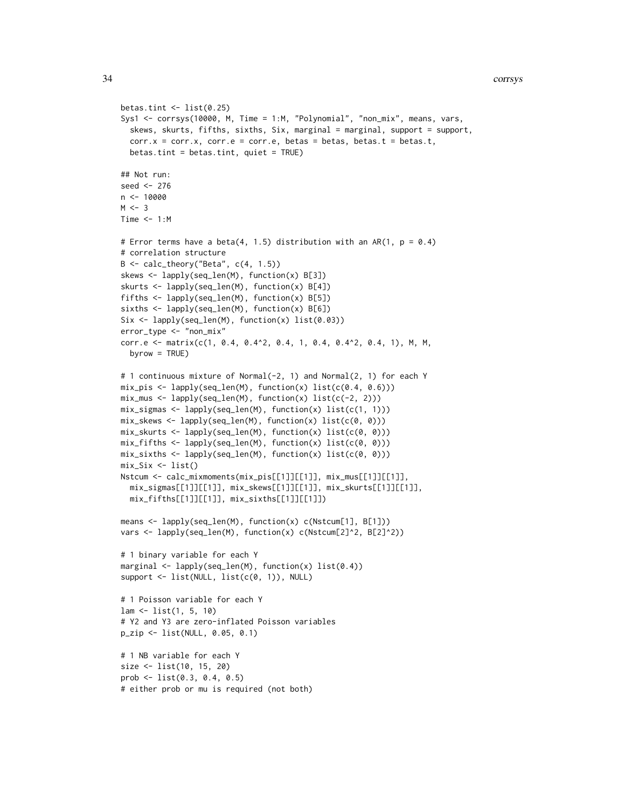```
betas.tint \leq - list(0.25)
Sys1 <- corrsys(10000, M, Time = 1:M, "Polynomial", "non_mix", means, vars,
  skews, skurts, fifths, sixths, Six, marginal = marginal, support = support,
  corr.x = corr.x, corr.e = corr.e, betas = betas, betas.t = betas.t,
  betas.tint = betas.tint, quiet = TRUE)
## Not run:
seed <- 276
n < -10000M < -3Time <-1:M# Error terms have a beta(4, 1.5) distribution with an AR(1, p = 0.4)
# correlation structure
B \leq - \text{calc\_theory}("Beta", c(4, 1.5))skews <- lapply(seq_len(M), function(x) B[3])
skurts <- lapply(seq_len(M), function(x) B[4])
fifths <- lapply(seq_len(M), function(x) B[5])
sixths <- lapply(seq_len(M), function(x) B[6])
Six <- lapply(seq_len(M), function(x) list(0.03))
error_type <- "non_mix"
corr.e <- matrix(c(1, 0.4, 0.4^2, 0.4, 1, 0.4, 0.4^2, 0.4, 1), M, M,
  byrow = TRUE)
# 1 continuous mixture of Normal(-2, 1) and Normal(2, 1) for each Y
mix_pis <- lapply(seq_len(M), function(x) list(c(0.4, 0.6)))
mix_mus \leftarrow \text{lapply}(\text{seq\_len}(M), \text{ function}(x) \text{ list}(c(-2, 2)))mix_sigmas <- lapply(seq_len(M), function(x) list(c(1, 1)))
mix_skews <- lapply(seq_len(M), function(x) list(c(0, 0)))
mix_skurts <- lapply(seq_len(M), function(x) list(c(0, 0)))
mix_fifths <- lapply(seq_len(M), function(x) list(c(0, 0)))
mix\_sixths \leftarrow lapply(seq\_len(M), function(x) list(c(0, 0)))mix\_Six \leftarrow list()Nstcum <- calc_mixmoments(mix_pis[[1]][[1]], mix_mus[[1]][[1]],
  mix_sigmas[[1]][[1]], mix_skews[[1]][[1]], mix_skurts[[1]][[1]],
  mix_fifths[[1]][[1]], mix_sixths[[1]][[1]])
means <- lapply(seq_len(M), function(x) c(Nstcum[1], B[1]))
vars <- lapply(seq_len(M), function(x) c(Nstcum[2]^2, B[2]^2))
# 1 binary variable for each Y
marginal <- lapply(seq_len(M), function(x) list(0.4))
support <- list(NULL, list(c(0, 1)), NULL)
# 1 Poisson variable for each Y
lam <- list(1, 5, 10)
# Y2 and Y3 are zero-inflated Poisson variables
p_zip <- list(NULL, 0.05, 0.1)
# 1 NB variable for each Y
size <- list(10, 15, 20)
prob <- list(0.3, 0.4, 0.5)
# either prob or mu is required (not both)
```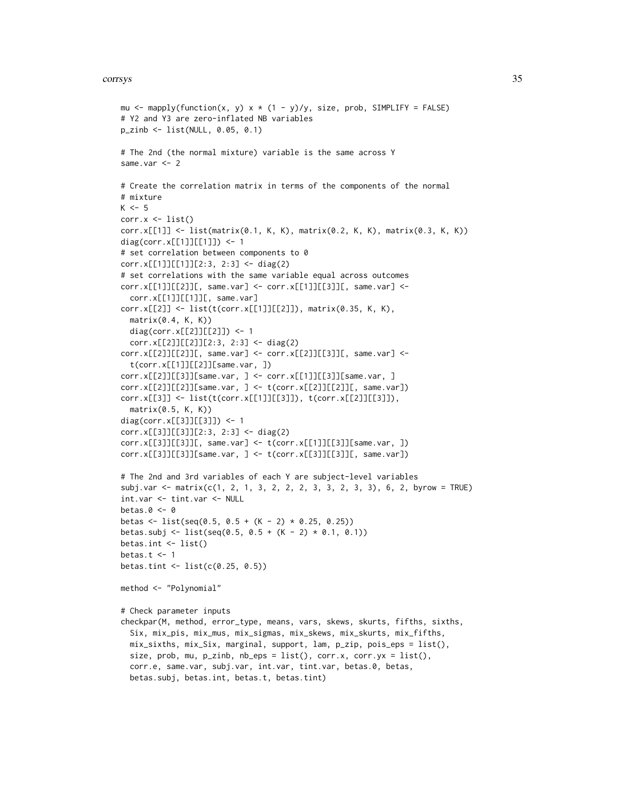```
mu <- mapply(function(x, y) x * (1 - y)/y, size, prob, SIMPLIFY = FALSE)
# Y2 and Y3 are zero-inflated NB variables
p_zinb <- list(NULL, 0.05, 0.1)
# The 2nd (the normal mixture) variable is the same across Y
same.var <- 2
# Create the correlation matrix in terms of the components of the normal
# mixture
K < -5corr.x \leftarrow list()corr.x[[1]] <- list(matrix(0.1, K, K), matrix(0.2, K, K), matrix(0.3, K, K))
diag(corr.x[[1]][[1]]) <- 1
# set correlation between components to 0
corr.x[[1]][[1]][2:3, 2:3] <- diag(2)
# set correlations with the same variable equal across outcomes
corr.x[[1]][[2]][, same.var] <- corr.x[[1]][[3]][, same.var] <-
  corr.x[[1]][[1]][, same.var]corr.x[[2]] <- list(t(corr.x[[1]][[2]]), matrix(0.35, K, K),
  matrix(0.4, K, K))
  diag(corr.x[[2]][[2]]) <- 1
  corr.x[[2]][[2]][2:3, 2:3] <- diag(2)
corr.x[[2]][[2]][, same.var] <- corr.x[[2]][[3]][, same.var] <-
  t(corr.x[[1]][[2]][same.var, ])
corr.x[[2]][[3]][same.var, ] <- corr.x[[1]][[3]][same.var, ]
corr.x[[2]][[2]][same.var, ] <- t(corr.x[[2]][[2]][, same.var])
corr.x[[3]] <- list(t(corr.x[[1]][[3]]), t(corr.x[[2]][[3]]),
  matrix(0.5, K, K))
diag(corr.x[[3]][[3]]) <- 1
corr.x[[3]][[3]][2:3, 2:3] <- diag(2)
corr.x[[3]][[3]][, same.var] < - t(corr.x[[1]][[3]][same.var, ])corr.x[[3]][[3]][same.var, ] < - t(corr.x[[3]][[3]][, same.var])# The 2nd and 3rd variables of each Y are subject-level variables
subj.var < - matrix(c(1, 2, 1, 3, 2, 2, 2, 3, 3, 2, 3, 3), 6, 2, byrow = TRUE)
int.var <- tint.var <- NULL
betas.0 < -0betas <- list(seq(0.5, 0.5 + (K - 2) * 0.25, 0.25))
betas.subj <- list(seq(0.5, 0.5 + (K - 2) * 0.1, 0.1))
betas.int <- list()
betas.t <-1betas.tint <- list(c(0.25, 0.5))
method <- "Polynomial"
# Check parameter inputs
checkpar(M, method, error_type, means, vars, skews, skurts, fifths, sixths,
  Six, mix_pis, mix_mus, mix_sigmas, mix_skews, mix_skurts, mix_fifths,
  mix_sixths, mix_Six, marginal, support, lam, p_zip, pois_eps = list(),
  size, prob, mu, p_zinb, nb_eps = list(), corr.x, corr.yx = list(),
  corr.e, same.var, subj.var, int.var, tint.var, betas.0, betas,
  betas.subj, betas.int, betas.t, betas.tint)
```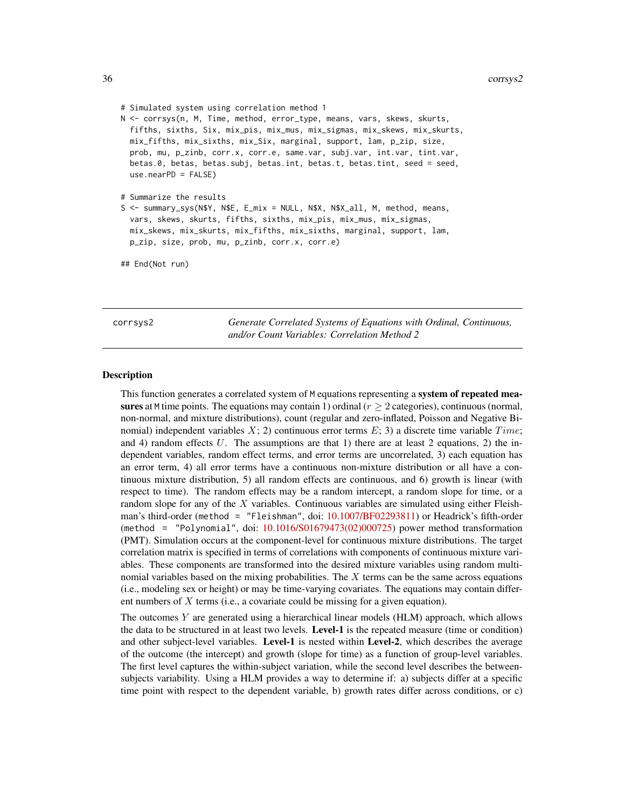# Simulated system using correlation method 1

N <- corrsys(n, M, Time, method, error\_type, means, vars, skews, skurts, fifths, sixths, Six, mix\_pis, mix\_mus, mix\_sigmas, mix\_skews, mix\_skurts, mix\_fifths, mix\_sixths, mix\_Six, marginal, support, lam, p\_zip, size, prob, mu, p\_zinb, corr.x, corr.e, same.var, subj.var, int.var, tint.var, betas.0, betas, betas.subj, betas.int, betas.t, betas.tint, seed = seed, use.nearPD = FALSE)

# Summarize the results

```
S <- summary_sys(N$Y, N$E, E_mix = NULL, N$X, N$X_all, M, method, means,
 vars, skews, skurts, fifths, sixths, mix_pis, mix_mus, mix_sigmas,
 mix_skews, mix_skurts, mix_fifths, mix_sixths, marginal, support, lam,
 p_zip, size, prob, mu, p_zinb, corr.x, corr.e)
```
## End(Not run)

<span id="page-35-1"></span>corrsys2 *Generate Correlated Systems of Equations with Ordinal, Continuous, and/or Count Variables: Correlation Method 2*

#### **Description**

This function generates a correlated system of M equations representing a **system of repeated mea**sures at M time points. The equations may contain 1) ordinal ( $r > 2$  categories), continuous (normal, non-normal, and mixture distributions), count (regular and zero-inflated, Poisson and Negative Binomial) independent variables  $X$ ; 2) continuous error terms  $E$ ; 3) a discrete time variable  $Time$ ; and 4) random effects U. The assumptions are that 1) there are at least 2 equations, 2) the independent variables, random effect terms, and error terms are uncorrelated, 3) each equation has an error term, 4) all error terms have a continuous non-mixture distribution or all have a continuous mixture distribution, 5) all random effects are continuous, and 6) growth is linear (with respect to time). The random effects may be a random intercept, a random slope for time, or a random slope for any of the  $X$  variables. Continuous variables are simulated using either Fleishman's third-order (method = "Fleishman", doi: [10.1007/BF02293811\)](http://doi.org/10.1007/BF02293811) or Headrick's fifth-order (method = "Polynomial", doi: [10.1016/S01679473\(02\)000725\)](http://doi.org/10.1016/S0167-9473(02)00072-5) power method transformation (PMT). Simulation occurs at the component-level for continuous mixture distributions. The target correlation matrix is specified in terms of correlations with components of continuous mixture variables. These components are transformed into the desired mixture variables using random multinomial variables based on the mixing probabilities. The  $X$  terms can be the same across equations (i.e., modeling sex or height) or may be time-varying covariates. The equations may contain different numbers of  $X$  terms (i.e., a covariate could be missing for a given equation).

The outcomes  $Y$  are generated using a hierarchical linear models (HLM) approach, which allows the data to be structured in at least two levels. Level-1 is the repeated measure (time or condition) and other subject-level variables. Level-1 is nested within Level-2, which describes the average of the outcome (the intercept) and growth (slope for time) as a function of group-level variables. The first level captures the within-subject variation, while the second level describes the betweensubjects variability. Using a HLM provides a way to determine if: a) subjects differ at a specific time point with respect to the dependent variable, b) growth rates differ across conditions, or c)

<span id="page-35-0"></span>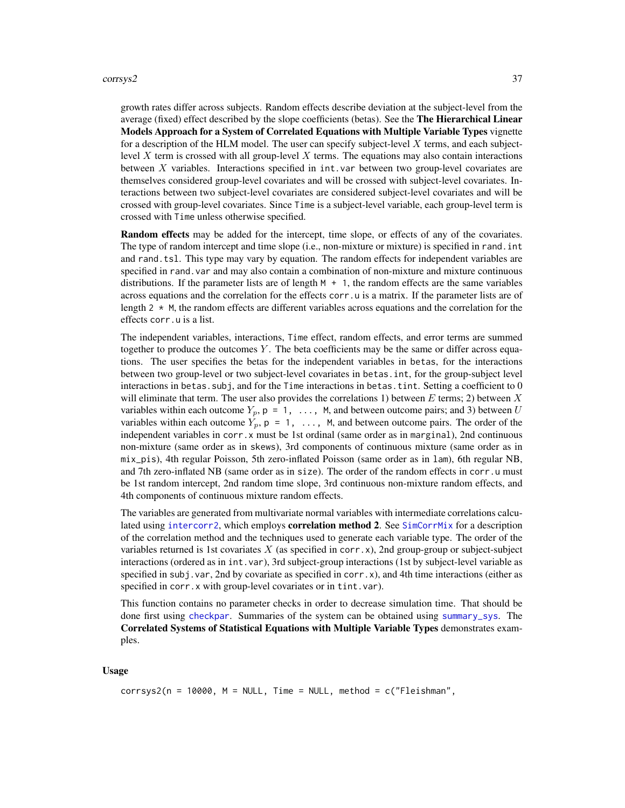### corrsys2 37

growth rates differ across subjects. Random effects describe deviation at the subject-level from the average (fixed) effect described by the slope coefficients (betas). See the The Hierarchical Linear Models Approach for a System of Correlated Equations with Multiple Variable Types vignette for a description of the HLM model. The user can specify subject-level  $X$  terms, and each subjectlevel X term is crossed with all group-level X terms. The equations may also contain interactions between  $X$  variables. Interactions specified in  $int.var$  between two group-level covariates are themselves considered group-level covariates and will be crossed with subject-level covariates. Interactions between two subject-level covariates are considered subject-level covariates and will be crossed with group-level covariates. Since Time is a subject-level variable, each group-level term is crossed with Time unless otherwise specified.

Random effects may be added for the intercept, time slope, or effects of any of the covariates. The type of random intercept and time slope (i.e., non-mixture or mixture) is specified in rand.int and rand.tsl. This type may vary by equation. The random effects for independent variables are specified in rand.var and may also contain a combination of non-mixture and mixture continuous distributions. If the parameter lists are of length  $M + 1$ , the random effects are the same variables across equations and the correlation for the effects corr. u is a matrix. If the parameter lists are of length  $2 \times M$ , the random effects are different variables across equations and the correlation for the effects corr.u is a list.

The independent variables, interactions, Time effect, random effects, and error terms are summed together to produce the outcomes  $Y$ . The beta coefficients may be the same or differ across equations. The user specifies the betas for the independent variables in betas, for the interactions between two group-level or two subject-level covariates in betas.int, for the group-subject level interactions in betas. subj, and for the Time interactions in betas. tint. Setting a coefficient to 0 will eliminate that term. The user also provides the correlations 1) between  $E$  terms; 2) between  $X$ variables within each outcome  $Y_p$ ,  $p = 1, \ldots, M$ , and between outcome pairs; and 3) between U variables within each outcome  $Y_p$ ,  $p = 1, \ldots, M$ , and between outcome pairs. The order of the independent variables in corr.x must be 1st ordinal (same order as in marginal), 2nd continuous non-mixture (same order as in skews), 3rd components of continuous mixture (same order as in mix\_pis), 4th regular Poisson, 5th zero-inflated Poisson (same order as in lam), 6th regular NB, and 7th zero-inflated NB (same order as in size). The order of the random effects in corr.u must be 1st random intercept, 2nd random time slope, 3rd continuous non-mixture random effects, and 4th components of continuous mixture random effects.

The variables are generated from multivariate normal variables with intermediate correlations calculated using [intercorr2](#page-0-0), which employs **correlation method 2**. See [SimCorrMix](#page-0-0) for a description of the correlation method and the techniques used to generate each variable type. The order of the variables returned is 1st covariates  $X$  (as specified in corr.x), 2nd group-group or subject-subject interactions (ordered as in int.var), 3rd subject-group interactions (1st by subject-level variable as specified in subj. var, 2nd by covariate as specified in corr.x), and 4th time interactions (either as specified in corr.x with group-level covariates or in tint.var).

This function contains no parameter checks in order to decrease simulation time. That should be done first using [checkpar](#page-11-0). Summaries of the system can be obtained using [summary\\_sys](#page-62-0). The Correlated Systems of Statistical Equations with Multiple Variable Types demonstrates examples.

# Usage

```
corrsys2(n = 10000, M = NULL, Time = NULL, method = c("Fleishman",
```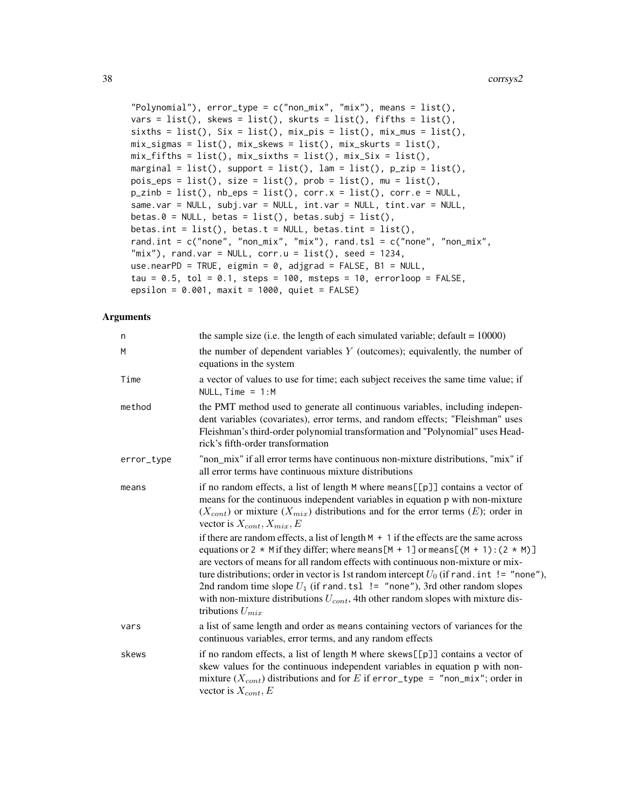```
"Polynomial"), error_type = c("non\_mix", "mix"), means = list(),
vars = list(), skews = list(), skurts = list(), fifths = list(),
sixths = list(), Six = list(), mix_pis = list(), mix_mus = list(),
mix_sigmas = list(), mix_skews = list(), mix_skurts = list(),
mix_fifths = list(), mix_sixths = list(), mix_six = list(),marginal = list(), support = list(), lam = list(), p_zip = list(),
pois_eps = list(), size = list(), prob = list(), mu = list(),
p\_zinb = list(), nb_eps = list(), corr.x = list(), corr.e = NULL,same.var = NULL, subj.var = NULL, int.var = NULL, tint.var = NULL,
beta.0 = NULL, beta = list(), beta.subj = list(),
betas.int = list(), betas.t = NULL, betas.tint = list(),
rand.int = c("none", "non\_mix", "mix"), rand.tsl = c("none", "non\_mix","mix"), rand.var = NULL, corr.u = list(), seed = 1234,
use.nearPD = TRUE, eigmin = 0, adjgrad = FALSE, B1 = NULL,
tau = 0.5, tol = 0.1, steps = 100, msteps = 10, errorloop = FALSE,
epsilon = 0.001, maxit = 1000, quiet = FALSE)
```
#### Arguments

| n          | the sample size (i.e. the length of each simulated variable; default $= 10000$ )                                                                                                                                                                                                                                                                                                                                                                                                                                                                                         |
|------------|--------------------------------------------------------------------------------------------------------------------------------------------------------------------------------------------------------------------------------------------------------------------------------------------------------------------------------------------------------------------------------------------------------------------------------------------------------------------------------------------------------------------------------------------------------------------------|
| M          | the number of dependent variables $Y$ (outcomes); equivalently, the number of<br>equations in the system                                                                                                                                                                                                                                                                                                                                                                                                                                                                 |
| Time       | a vector of values to use for time; each subject receives the same time value; if<br>NULL, $Time = 1:M$                                                                                                                                                                                                                                                                                                                                                                                                                                                                  |
| method     | the PMT method used to generate all continuous variables, including indepen-<br>dent variables (covariates), error terms, and random effects; "Fleishman" uses<br>Fleishman's third-order polynomial transformation and "Polynomial" uses Head-<br>rick's fifth-order transformation                                                                                                                                                                                                                                                                                     |
| error_type | "non_mix" if all error terms have continuous non-mixture distributions, "mix" if<br>all error terms have continuous mixture distributions                                                                                                                                                                                                                                                                                                                                                                                                                                |
| means      | if no random effects, a list of length M where means [[p]] contains a vector of<br>means for the continuous independent variables in equation p with non-mixture<br>$(X_{cont})$ or mixture $(X_{mix})$ distributions and for the error terms $(E)$ ; order in<br>vector is $X_{cont}$ , $X_{mix}$ , $E$                                                                                                                                                                                                                                                                 |
|            | if there are random effects, a list of length $M + 1$ if the effects are the same across<br>equations or 2 $*$ M if they differ; where means [M + 1] or means [(M + 1): (2 $*$ M)]<br>are vectors of means for all random effects with continuous non-mixture or mix-<br>ture distributions; order in vector is 1st random intercept $U_0$ (if rand. int != "none"),<br>2nd random time slope $U_1$ (if rand. tsl $!=$ "none"), 3rd other random slopes<br>with non-mixture distributions $U_{cont}$ , 4th other random slopes with mixture dis-<br>tributions $U_{mix}$ |
| vars       | a list of same length and order as means containing vectors of variances for the<br>continuous variables, error terms, and any random effects                                                                                                                                                                                                                                                                                                                                                                                                                            |
| skews      | if no random effects, a list of length M where skews[[p]] contains a vector of<br>skew values for the continuous independent variables in equation p with non-<br>mixture $(X_{cont})$ distributions and for E if error_type = "non_mix"; order in<br>vector is $X_{cont}$ , E                                                                                                                                                                                                                                                                                           |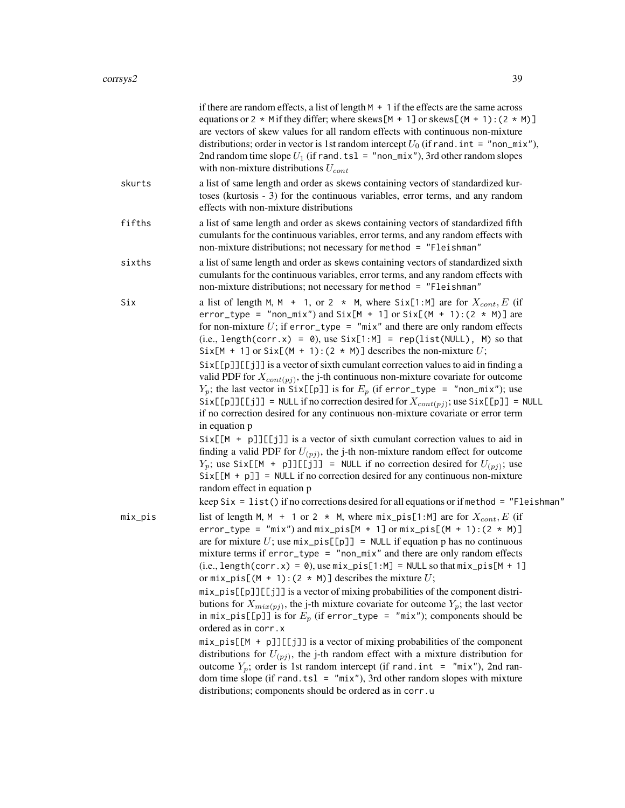|         | if there are random effects, a list of length $M + 1$ if the effects are the same across<br>equations or 2 $*$ M if they differ; where skews [M + 1] or skews [(M + 1): (2 $*$ M)]<br>are vectors of skew values for all random effects with continuous non-mixture<br>distributions; order in vector is 1st random intercept $U_0$ (if rand. int = "non_mix"),<br>2nd random time slope $U_1$ (if rand. tsl = "non_mix"), 3rd other random slopes<br>with non-mixture distributions $U_{cont}$                                                                                                                                                                                                                                                                                                                                                                                                                                                                                                                                                                                                                                                                                                                                                                                              |
|---------|----------------------------------------------------------------------------------------------------------------------------------------------------------------------------------------------------------------------------------------------------------------------------------------------------------------------------------------------------------------------------------------------------------------------------------------------------------------------------------------------------------------------------------------------------------------------------------------------------------------------------------------------------------------------------------------------------------------------------------------------------------------------------------------------------------------------------------------------------------------------------------------------------------------------------------------------------------------------------------------------------------------------------------------------------------------------------------------------------------------------------------------------------------------------------------------------------------------------------------------------------------------------------------------------|
| skurts  | a list of same length and order as skews containing vectors of standardized kur-<br>toses (kurtosis - 3) for the continuous variables, error terms, and any random<br>effects with non-mixture distributions                                                                                                                                                                                                                                                                                                                                                                                                                                                                                                                                                                                                                                                                                                                                                                                                                                                                                                                                                                                                                                                                                 |
| fifths  | a list of same length and order as skews containing vectors of standardized fifth<br>cumulants for the continuous variables, error terms, and any random effects with<br>non-mixture distributions; not necessary for method = "Fleishman"                                                                                                                                                                                                                                                                                                                                                                                                                                                                                                                                                                                                                                                                                                                                                                                                                                                                                                                                                                                                                                                   |
| sixths  | a list of same length and order as skews containing vectors of standardized sixth<br>cumulants for the continuous variables, error terms, and any random effects with<br>non-mixture distributions; not necessary for method = "Fleishman"                                                                                                                                                                                                                                                                                                                                                                                                                                                                                                                                                                                                                                                                                                                                                                                                                                                                                                                                                                                                                                                   |
| Six     | a list of length M, M + 1, or 2 $*$ M, where Six[1:M] are for $X_{cont}$ , E (if<br>error_type = "non_mix") and Six[M + 1] or Six[(M + 1): $(2 * M)$ ] are<br>for non-mixture $U$ ; if error_type = "mix" and there are only random effects<br>$(i.e., length(corr.x) = 0)$ , use $Six[1:M] = rep(list(NULL), M)$ so that<br>Six[M + 1] or Six[(M + 1): (2 $*$ M)] describes the non-mixture U;<br>Six[[p]][[j]] is a vector of sixth cumulant correction values to aid in finding a<br>valid PDF for $X_{cont(pj)}$ , the j-th continuous non-mixture covariate for outcome<br>$Y_p$ ; the last vector in Six[[p]] is for $E_p$ (if error_type = "non_mix"); use<br>Six[[p]][[j]] = NULL if no correction desired for $X_{cont(pj)}$ ; use Six[[p]] = NULL<br>if no correction desired for any continuous non-mixture covariate or error term<br>in equation p<br>$Six[[M + p]][[j]]$ is a vector of sixth cumulant correction values to aid in<br>finding a valid PDF for $U_{(pj)}$ , the j-th non-mixture random effect for outcome<br>$Y_p$ ; use Six[[M + p]][[j]] = NULL if no correction desired for $U_{(pj)}$ ; use<br>$Six[[M + p]] = NULL if no correction desired for any continuous non-mixture$<br>random effect in equation p                                                |
| mix_pis | keep $\text{Six} = \text{list}()$ if no corrections desired for all equations or if method = "Fleishman"<br>list of length M, M + 1 or 2 $*$ M, where $mix\_pis[1:M]$ are for $X_{cont}$ , E (if<br>$error_type = "mix")$ and $mix_pis[M + 1]$ or $mix_pis[(M + 1):(2 * M)]$<br>are for mixture U; use $mix\_pis[[p]] = NULL$ if equation p has no continuous<br>mixture terms if $error_type = "non\_mix"$ and there are only random effects<br>$(i.e., length(corr.x) = 0), use mix-pis[1:M] = NULL so that mix-pis[M + 1]$<br>or $mix\_pis[(M + 1):(2 * M)]$ describes the mixture U;<br>mix_pis[[p]][[j]] is a vector of mixing probabilities of the component distri-<br>butions for $X_{mix(pj)}$ , the j-th mixture covariate for outcome $Y_p$ ; the last vector<br>in $mix\_pis[[p]]$ is for $E_p$ (if error_type = "mix"); components should be<br>ordered as in corr.x<br>$mix\_pis[[M + p]][[jj]]$ is a vector of mixing probabilities of the component<br>distributions for $U_{(pj)}$ , the j-th random effect with a mixture distribution for<br>outcome $Y_p$ ; order is 1st random intercept (if rand. int = "mix"), 2nd ran-<br>dom time slope (if rand. tsl = $"mix"$ ), 3rd other random slopes with mixture<br>distributions; components should be ordered as in corr.u |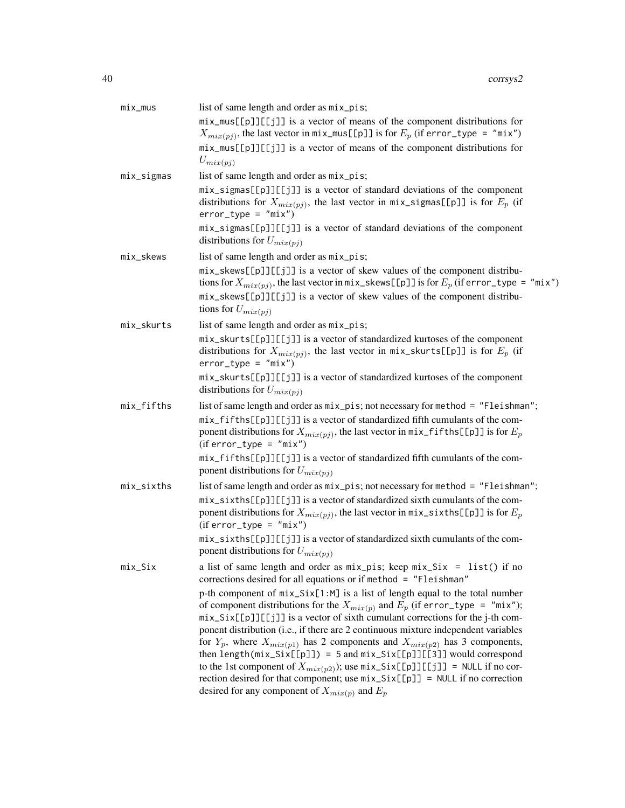| list of same length and order as $mix\_pis$ ;                                                                                                                                                                                                                                                                                                                                                                                                                                                                                                                                                                                                                                                                                                         |
|-------------------------------------------------------------------------------------------------------------------------------------------------------------------------------------------------------------------------------------------------------------------------------------------------------------------------------------------------------------------------------------------------------------------------------------------------------------------------------------------------------------------------------------------------------------------------------------------------------------------------------------------------------------------------------------------------------------------------------------------------------|
| mix_mus[[p]][[j]] is a vector of means of the component distributions for<br>$X_{mix(pj)}$ , the last vector in mix_mus[[p]] is for $E_p$ (if error_type = "mix")                                                                                                                                                                                                                                                                                                                                                                                                                                                                                                                                                                                     |
| mix_mus[[p]][[j]] is a vector of means of the component distributions for                                                                                                                                                                                                                                                                                                                                                                                                                                                                                                                                                                                                                                                                             |
| $U_{mix(pj)}$                                                                                                                                                                                                                                                                                                                                                                                                                                                                                                                                                                                                                                                                                                                                         |
| list of same length and order as mix_pis;                                                                                                                                                                                                                                                                                                                                                                                                                                                                                                                                                                                                                                                                                                             |
| mix_sigmas[[p]][[j]] is a vector of standard deviations of the component<br>distributions for $X_{mix(pj)}$ , the last vector in mix_sigmas[[p]] is for $E_p$ (if<br>$error_type = "mix")$                                                                                                                                                                                                                                                                                                                                                                                                                                                                                                                                                            |
| mix_sigmas[[p]][[j]] is a vector of standard deviations of the component<br>distributions for $U_{mix(pj)}$                                                                                                                                                                                                                                                                                                                                                                                                                                                                                                                                                                                                                                           |
| list of same length and order as mix_pis;                                                                                                                                                                                                                                                                                                                                                                                                                                                                                                                                                                                                                                                                                                             |
| mix_skews[[p]][[j]] is a vector of skew values of the component distribu-<br>tions for $X_{mix(pj)}$ , the last vector in mix_skews[[p]] is for $E_p$ (if error_type = "mix")                                                                                                                                                                                                                                                                                                                                                                                                                                                                                                                                                                         |
| mix_skews[[p]][[j]] is a vector of skew values of the component distribu-<br>tions for $U_{mix(pj)}$                                                                                                                                                                                                                                                                                                                                                                                                                                                                                                                                                                                                                                                  |
| list of same length and order as mix_pis;                                                                                                                                                                                                                                                                                                                                                                                                                                                                                                                                                                                                                                                                                                             |
| mix_skurts[[p]][[j]] is a vector of standardized kurtoses of the component<br>distributions for $X_{mix(pj)}$ , the last vector in mix_skurts[[p]] is for $E_p$ (if<br>$error_type = "mix")$                                                                                                                                                                                                                                                                                                                                                                                                                                                                                                                                                          |
| mix_skurts[[p]][[j]] is a vector of standardized kurtoses of the component<br>distributions for $U_{mix(pj)}$                                                                                                                                                                                                                                                                                                                                                                                                                                                                                                                                                                                                                                         |
| list of same length and order as $mix\_pis$ ; not necessary for method = "Fleishman";                                                                                                                                                                                                                                                                                                                                                                                                                                                                                                                                                                                                                                                                 |
| mix_fifths[[p]][[j]] is a vector of standardized fifth cumulants of the com-<br>ponent distributions for $X_{mix(pj)}$ , the last vector in mix_fifths[[p]] is for $E_p$<br>$(iferror_type = "mix")$                                                                                                                                                                                                                                                                                                                                                                                                                                                                                                                                                  |
| mix_fifths[[p]][[j]] is a vector of standardized fifth cumulants of the com-<br>ponent distributions for $U_{mix(pj)}$                                                                                                                                                                                                                                                                                                                                                                                                                                                                                                                                                                                                                                |
| list of same length and order as mix_pis; not necessary for method = "Fleishman";                                                                                                                                                                                                                                                                                                                                                                                                                                                                                                                                                                                                                                                                     |
| mix_sixths[[p]][[j]] is a vector of standardized sixth cumulants of the com-<br>ponent distributions for $X_{mix(pj)}$ , the last vector in $mix\_sixths[[p]]$ is for $E_p$<br>$(iferror_type = "mix")$                                                                                                                                                                                                                                                                                                                                                                                                                                                                                                                                               |
| mix_sixths[[p]][[j]] is a vector of standardized sixth cumulants of the com-<br>ponent distributions for $U_{mix(pj)}$                                                                                                                                                                                                                                                                                                                                                                                                                                                                                                                                                                                                                                |
| a list of same length and order as $mix\_pis$ ; keep $mix\_Six = list()$ if no<br>corrections desired for all equations or if method = "Fleishman"                                                                                                                                                                                                                                                                                                                                                                                                                                                                                                                                                                                                    |
| p-th component of $mix\_Six[1:M]$ is a list of length equal to the total number<br>of component distributions for the $X_{mix(p)}$ and $E_p$ (if error_type = "mix");<br>mix_Six[[p]][[j]] is a vector of sixth cumulant corrections for the j-th com-<br>ponent distribution (i.e., if there are 2 continuous mixture independent variables<br>for $Y_p$ , where $X_{mix(p1)}$ has 2 components and $X_{mix(p2)}$ has 3 components,<br>then length( $mix\_Six[[p]]$ ) = 5 and $mix\_Six[[p]][[3]]$ would correspond<br>to the 1st component of $X_{mix(p2)}$ ); use $mix\_Six[[p]][[j]] = NULL$ if no cor-<br>rection desired for that component; use $mix\_Six[[p]] = NULL$ if no correction<br>desired for any component of $X_{mix(p)}$ and $E_p$ |
|                                                                                                                                                                                                                                                                                                                                                                                                                                                                                                                                                                                                                                                                                                                                                       |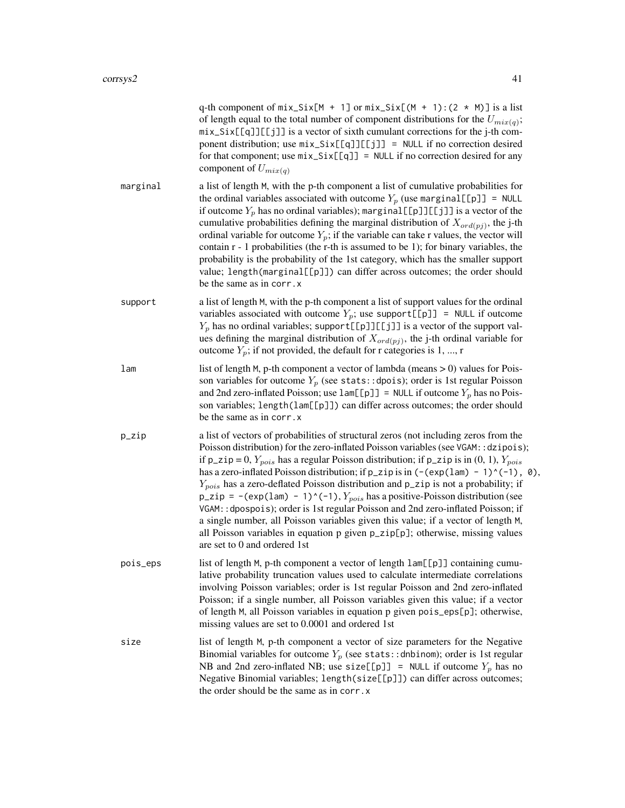|          | q-th component of $mix\_Six[M + 1]$ or $mix\_Six[(M + 1):(2 * M)]$ is a list<br>of length equal to the total number of component distributions for the $U_{mix(q)}$ ;<br>mix_Six[[q]][[j]] is a vector of sixth cumulant corrections for the j-th com-<br>ponent distribution; use $mix\_Six[[q]][[j]] = NULL$ if no correction desired<br>for that component; use $mix\_Six[[q]] = NULL$ if no correction desired for any<br>component of $U_{mix(a)}$                                                                                                                                                                                                                                                                                                                                                                                                                 |
|----------|-------------------------------------------------------------------------------------------------------------------------------------------------------------------------------------------------------------------------------------------------------------------------------------------------------------------------------------------------------------------------------------------------------------------------------------------------------------------------------------------------------------------------------------------------------------------------------------------------------------------------------------------------------------------------------------------------------------------------------------------------------------------------------------------------------------------------------------------------------------------------|
| marginal | a list of length M, with the p-th component a list of cumulative probabilities for<br>the ordinal variables associated with outcome $Y_p$ (use marginal [[p]] = NULL<br>if outcome $Y_p$ has no ordinal variables); marginal [[p]] [[j]] is a vector of the<br>cumulative probabilities defining the marginal distribution of $X_{\text{ord}(pj)}$ , the j-th<br>ordinal variable for outcome $Y_p$ ; if the variable can take r values, the vector will<br>contain $r - 1$ probabilities (the r-th is assumed to be 1); for binary variables, the<br>probability is the probability of the 1st category, which has the smaller support<br>value; length(marginal[[p]]) can differ across outcomes; the order should<br>be the same as in corr. x                                                                                                                       |
| support  | a list of length M, with the p-th component a list of support values for the ordinal<br>variables associated with outcome $Y_p$ ; use support[[p]] = NULL if outcome<br>$Y_p$ has no ordinal variables; support [[p]][[j]] is a vector of the support val-<br>ues defining the marginal distribution of $X_{\text{ord}(pj)}$ , the j-th ordinal variable for<br>outcome $Y_p$ ; if not provided, the default for r categories is 1, , r                                                                                                                                                                                                                                                                                                                                                                                                                                 |
| lam      | list of length M, p-th component a vector of lambda (means > 0) values for Pois-<br>son variables for outcome $Y_p$ (see stats::dpois); order is 1st regular Poisson<br>and 2nd zero-inflated Poisson; use $lam[[p]] = NULL$ if outcome $Y_p$ has no Pois-<br>son variables; length(lam[[p]]) can differ across outcomes; the order should<br>be the same as in corr.x                                                                                                                                                                                                                                                                                                                                                                                                                                                                                                  |
| p_zip    | a list of vectors of probabilities of structural zeros (not including zeros from the<br>Poisson distribution) for the zero-inflated Poisson variables (see VGAM: : dzipois);<br>if $p_z$ ip = 0, $Y_{pois}$ has a regular Poisson distribution; if $p_z$ ip is in (0, 1), $Y_{pois}$<br>has a zero-inflated Poisson distribution; if $p_z$ ip is in $(-(\exp(\text{lam}) - 1)^(-1), 0)$ ,<br>$Y_{pois}$ has a zero-deflated Poisson distribution and $p_z$ zip is not a probability; if<br>p_zip = -(exp(1am) - 1)^(-1), $Y_{pois}$ has a positive-Poisson distribution (see<br>VGAM: : dpospois); order is 1st regular Poisson and 2nd zero-inflated Poisson; if<br>a single number, all Poisson variables given this value; if a vector of length M,<br>all Poisson variables in equation p given p_zip[p]; otherwise, missing values<br>are set to 0 and ordered 1st |
| pois_eps | list of length M, p-th component a vector of length lam[[p]] containing cumu-<br>lative probability truncation values used to calculate intermediate correlations<br>involving Poisson variables; order is 1st regular Poisson and 2nd zero-inflated<br>Poisson; if a single number, all Poisson variables given this value; if a vector<br>of length M, all Poisson variables in equation p given pois_eps[p]; otherwise,<br>missing values are set to 0.0001 and ordered 1st                                                                                                                                                                                                                                                                                                                                                                                          |
| size     | list of length M, p-th component a vector of size parameters for the Negative<br>Binomial variables for outcome $Y_p$ (see stats:: dnbinom); order is 1st regular<br>NB and 2nd zero-inflated NB; use size[[p]] = NULL if outcome $Y_p$ has no<br>Negative Binomial variables; length(size[[p]]) can differ across outcomes;                                                                                                                                                                                                                                                                                                                                                                                                                                                                                                                                            |

the order should be the same as in corr.x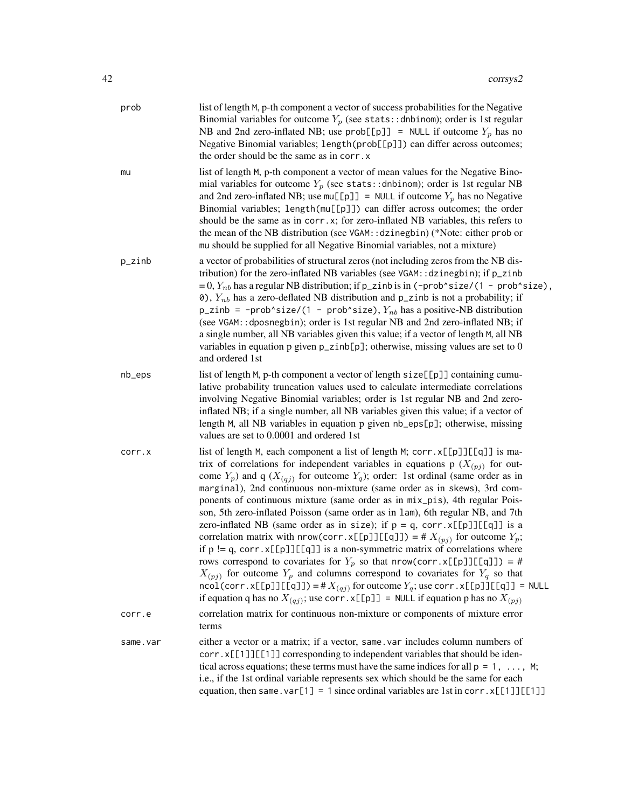| prob     | list of length M, p-th component a vector of success probabilities for the Negative<br>Binomial variables for outcome $Y_p$ (see stats:: dnbinom); order is 1st regular<br>NB and 2nd zero-inflated NB; use prob[[p]] = NULL if outcome $Y_p$ has no<br>Negative Binomial variables; length(prob[[p]]) can differ across outcomes;<br>the order should be the same as in corr. x                                                                                                                                                                                                                                                                                                                                                                                                                                                                                                                                                                                                                                                                                                                                                                                                     |
|----------|--------------------------------------------------------------------------------------------------------------------------------------------------------------------------------------------------------------------------------------------------------------------------------------------------------------------------------------------------------------------------------------------------------------------------------------------------------------------------------------------------------------------------------------------------------------------------------------------------------------------------------------------------------------------------------------------------------------------------------------------------------------------------------------------------------------------------------------------------------------------------------------------------------------------------------------------------------------------------------------------------------------------------------------------------------------------------------------------------------------------------------------------------------------------------------------|
| mu       | list of length M, p-th component a vector of mean values for the Negative Bino-<br>mial variables for outcome $Y_p$ (see stats:: dnbinom); order is 1st regular NB<br>and 2nd zero-inflated NB; use $mu[[p]] = NULL$ if outcome $Y_p$ has no Negative<br>Binomial variables; length(mu[[p]]) can differ across outcomes; the order<br>should be the same as in corr.x; for zero-inflated NB variables, this refers to<br>the mean of the NB distribution (see VGAM:: dzinegbin) (*Note: either prob or<br>mu should be supplied for all Negative Binomial variables, not a mixture)                                                                                                                                                                                                                                                                                                                                                                                                                                                                                                                                                                                                  |
| p_zinb   | a vector of probabilities of structural zeros (not including zeros from the NB dis-<br>tribution) for the zero-inflated NB variables (see VGAM:: dzinegbin); if p_zinb<br>= 0, $Y_{nb}$ has a regular NB distribution; if p_zinb is in (-prob^size/(1 - prob^size),<br>0), $Y_{nb}$ has a zero-deflated NB distribution and p_zinb is not a probability; if<br>$p$ _zinb = -prob^size/(1 - prob^size), $Y_{nb}$ has a positive-NB distribution<br>(see VGAM:: dposnegbin); order is 1st regular NB and 2nd zero-inflated NB; if<br>a single number, all NB variables given this value; if a vector of length M, all NB<br>variables in equation p given $p$ _zinb[ $p$ ]; otherwise, missing values are set to 0<br>and ordered 1st                                                                                                                                                                                                                                                                                                                                                                                                                                                  |
| nb_eps   | list of length M, p-th component a vector of length size[[p]] containing cumu-<br>lative probability truncation values used to calculate intermediate correlations<br>involving Negative Binomial variables; order is 1st regular NB and 2nd zero-<br>inflated NB; if a single number, all NB variables given this value; if a vector of<br>length M, all NB variables in equation p given nb_eps[p]; otherwise, missing<br>values are set to 0.0001 and ordered 1st                                                                                                                                                                                                                                                                                                                                                                                                                                                                                                                                                                                                                                                                                                                 |
| corr.x   | list of length M, each component a list of length M; corr. x[[p]][[q]] is ma-<br>trix of correlations for independent variables in equations p $(X_{(pj)})$ for out-<br>come $Y_p$ ) and q ( $X_{(qj)}$ for outcome $Y_q$ ); order: 1st ordinal (same order as in<br>marginal), 2nd continuous non-mixture (same order as in skews), 3rd com-<br>ponents of continuous mixture (same order as in mix_pis), 4th regular Pois-<br>son, 5th zero-inflated Poisson (same order as in 1am), 6th regular NB, and 7th<br>zero-inflated NB (same order as in size); if $p = q$ , corr. $x[[p]][[q]]$ is a<br>correlation matrix with nrow(corr.x[[p]][[q]]) = # $X_{(pj)}$ for outcome $Y_p$ ;<br>if $p := q$ , corr. $x[[p]][[q]]$ is a non-symmetric matrix of correlations where<br>rows correspond to covariates for $Y_p$ so that nrow(corr.x[[p]][[q]]) = #<br>$X_{(pj)}$ for outcome $Y_p$ and columns correspond to covariates for $Y_q$ so that<br>$\text{ncol}(\text{corr}.x[\text{p}]][\text{q}]] = #X_{(qj)}$ for outcome $Y_q$ ; use corr. $x[\text{p}]][\text{q}]] = \text{NULL}$<br>if equation q has no $X_{(qj)}$ ; use corr. x[[p]] = NULL if equation p has no $X_{(pj)}$ |
| corr.e   | correlation matrix for continuous non-mixture or components of mixture error<br>terms                                                                                                                                                                                                                                                                                                                                                                                                                                                                                                                                                                                                                                                                                                                                                                                                                                                                                                                                                                                                                                                                                                |
| same.var | either a vector or a matrix; if a vector, same var includes column numbers of<br>corr.x[[1]][[1]] corresponding to independent variables that should be iden-<br>tical across equations; these terms must have the same indices for all $p = 1, \ldots, M$ ;<br>i.e., if the 1st ordinal variable represents sex which should be the same for each<br>equation, then same. $var[1] = 1$ since ordinal variables are 1st in corr. $x[[1]][[1]]$                                                                                                                                                                                                                                                                                                                                                                                                                                                                                                                                                                                                                                                                                                                                       |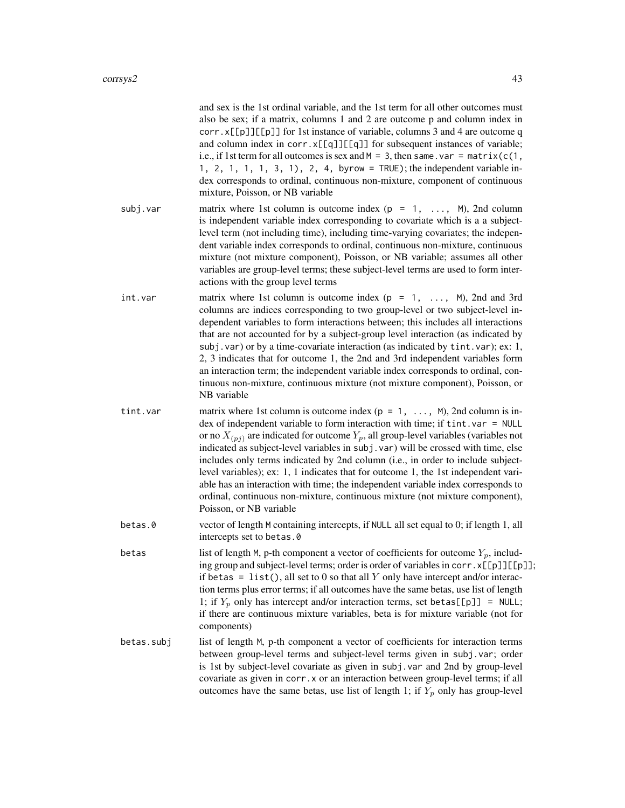and sex is the 1st ordinal variable, and the 1st term for all other outcomes must also be sex; if a matrix, columns 1 and 2 are outcome p and column index in corr.  $x[\lceil p]$ [ $\lceil p \rceil$ ] for 1st instance of variable, columns 3 and 4 are outcome q and column index in corr. $x[[q]][[q]]$  for subsequent instances of variable; i.e., if 1st term for all outcomes is sex and  $M = 3$ , then same. var = matrix( $c(1,$ 1, 2, 1, 1, 1, 3, 1), 2, 4, byrow = TRUE); the independent variable index corresponds to ordinal, continuous non-mixture, component of continuous mixture, Poisson, or NB variable

- subj.var matrix where 1st column is outcome index  $(p = 1, \ldots, M)$ , 2nd column is independent variable index corresponding to covariate which is a a subjectlevel term (not including time), including time-varying covariates; the independent variable index corresponds to ordinal, continuous non-mixture, continuous mixture (not mixture component), Poisson, or NB variable; assumes all other variables are group-level terms; these subject-level terms are used to form interactions with the group level terms
- int.var matrix where 1st column is outcome index  $(p = 1, \ldots, M)$ , 2nd and 3rd columns are indices corresponding to two group-level or two subject-level independent variables to form interactions between; this includes all interactions that are not accounted for by a subject-group level interaction (as indicated by subj.var) or by a time-covariate interaction (as indicated by tint.var); ex: 1, 2, 3 indicates that for outcome 1, the 2nd and 3rd independent variables form an interaction term; the independent variable index corresponds to ordinal, continuous non-mixture, continuous mixture (not mixture component), Poisson, or NB variable
- tint. var matrix where 1st column is outcome index  $(p = 1, \ldots, M)$ , 2nd column is index of independent variable to form interaction with time; if tint.var = NULL or no  $X_{(pj)}$  are indicated for outcome  $Y_p$ , all group-level variables (variables not indicated as subject-level variables in subj.var) will be crossed with time, else includes only terms indicated by 2nd column (i.e., in order to include subjectlevel variables); ex: 1, 1 indicates that for outcome 1, the 1st independent variable has an interaction with time; the independent variable index corresponds to ordinal, continuous non-mixture, continuous mixture (not mixture component), Poisson, or NB variable
- betas.0 vector of length M containing intercepts, if NULL all set equal to 0; if length 1, all intercepts set to betas.0
- betas list of length M, p-th component a vector of coefficients for outcome  $Y_p$ , including group and subject-level terms; order is order of variables in corr.  $x[[p]][[p]]$ ; if betas = list(), all set to 0 so that all Y only have intercept and/or interaction terms plus error terms; if all outcomes have the same betas, use list of length 1; if  $Y_p$  only has intercept and/or interaction terms, set betas [[p]] = NULL; if there are continuous mixture variables, beta is for mixture variable (not for components)
- betas.subj list of length M, p-th component a vector of coefficients for interaction terms between group-level terms and subject-level terms given in subj.var; order is 1st by subject-level covariate as given in subj.var and 2nd by group-level covariate as given in corr.x or an interaction between group-level terms; if all outcomes have the same betas, use list of length 1; if  $Y_p$  only has group-level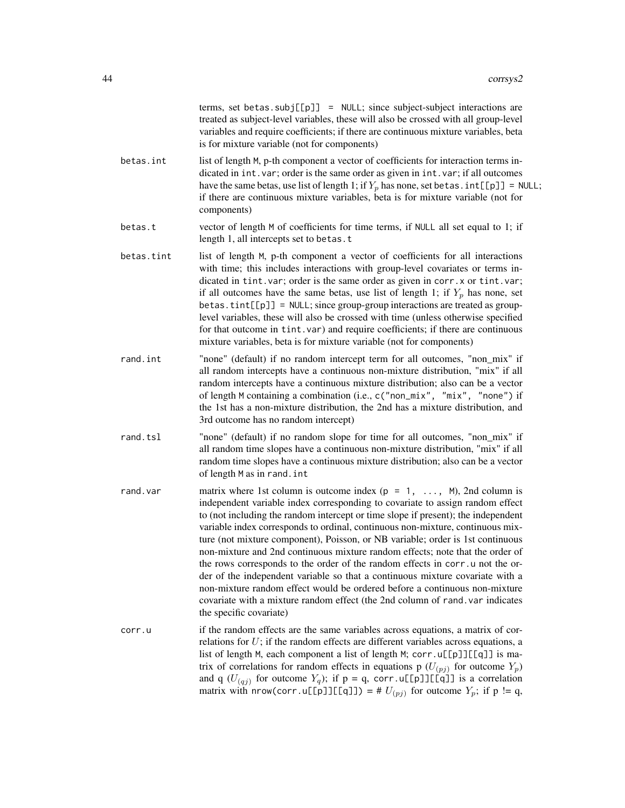|            | terms, set betas.subj[[p]] = NULL; since subject-subject interactions are<br>treated as subject-level variables, these will also be crossed with all group-level<br>variables and require coefficients; if there are continuous mixture variables, beta<br>is for mixture variable (not for components)                                                                                                                                                                                                                                                                                                                                                                                                                                                                                                                                                                |
|------------|------------------------------------------------------------------------------------------------------------------------------------------------------------------------------------------------------------------------------------------------------------------------------------------------------------------------------------------------------------------------------------------------------------------------------------------------------------------------------------------------------------------------------------------------------------------------------------------------------------------------------------------------------------------------------------------------------------------------------------------------------------------------------------------------------------------------------------------------------------------------|
| betas.int  | list of length M, p-th component a vector of coefficients for interaction terms in-<br>dicated in int. var; order is the same order as given in int. var; if all outcomes<br>have the same betas, use list of length 1; if $Y_p$ has none, set betas. $int[\![p]\!]$ = NULL;<br>if there are continuous mixture variables, beta is for mixture variable (not for<br>components)                                                                                                                                                                                                                                                                                                                                                                                                                                                                                        |
| betas.t    | vector of length M of coefficients for time terms, if NULL all set equal to 1; if<br>length 1, all intercepts set to betas.t                                                                                                                                                                                                                                                                                                                                                                                                                                                                                                                                                                                                                                                                                                                                           |
| betas.tint | list of length M, p-th component a vector of coefficients for all interactions<br>with time; this includes interactions with group-level covariates or terms in-<br>dicated in tint. var; order is the same order as given in corr. x or tint. var;<br>if all outcomes have the same betas, use list of length 1; if $Y_p$ has none, set<br>betas.tint[[p]] = NULL; since group-group interactions are treated as group-<br>level variables, these will also be crossed with time (unless otherwise specified<br>for that outcome in tint. var) and require coefficients; if there are continuous<br>mixture variables, beta is for mixture variable (not for components)                                                                                                                                                                                              |
| rand.int   | "none" (default) if no random intercept term for all outcomes, "non_mix" if<br>all random intercepts have a continuous non-mixture distribution, "mix" if all<br>random intercepts have a continuous mixture distribution; also can be a vector<br>of length M containing a combination (i.e., c("non_mix", "mix", "none") if<br>the 1st has a non-mixture distribution, the 2nd has a mixture distribution, and<br>3rd outcome has no random intercept)                                                                                                                                                                                                                                                                                                                                                                                                               |
| rand.tsl   | "none" (default) if no random slope for time for all outcomes, "non_mix" if<br>all random time slopes have a continuous non-mixture distribution, "mix" if all<br>random time slopes have a continuous mixture distribution; also can be a vector<br>of length M as in rand. int                                                                                                                                                                                                                                                                                                                                                                                                                                                                                                                                                                                       |
| rand.var   | matrix where 1st column is outcome index ( $p = 1, \ldots, M$ ), 2nd column is<br>independent variable index corresponding to covariate to assign random effect<br>to (not including the random intercept or time slope if present); the independent<br>variable index corresponds to ordinal, continuous non-mixture, continuous mix-<br>ture (not mixture component), Poisson, or NB variable; order is 1st continuous<br>non-mixture and 2nd continuous mixture random effects; note that the order of<br>the rows corresponds to the order of the random effects in corr. u not the or-<br>der of the independent variable so that a continuous mixture covariate with a<br>non-mixture random effect would be ordered before a continuous non-mixture<br>covariate with a mixture random effect (the 2nd column of rand. var indicates<br>the specific covariate) |
| corr.u     | if the random effects are the same variables across equations, a matrix of cor-<br>relations for $U$ ; if the random effects are different variables across equations, a<br>list of length M, each component a list of length M; corr.u[[p]][[q]] is ma-<br>trix of correlations for random effects in equations p $(U_{(pj)}$ for outcome $Y_p$ )<br>and q $(U_{(qj)}$ for outcome $Y_q$ ); if $p = q$ , corr.u[[p]][[q]] is a correlation                                                                                                                                                                                                                                                                                                                                                                                                                            |

matrix with nrow(corr.u[[p]][[q]]) = #  $U_{(pj)}$  for outcome  $Y_p$ ; if p != q,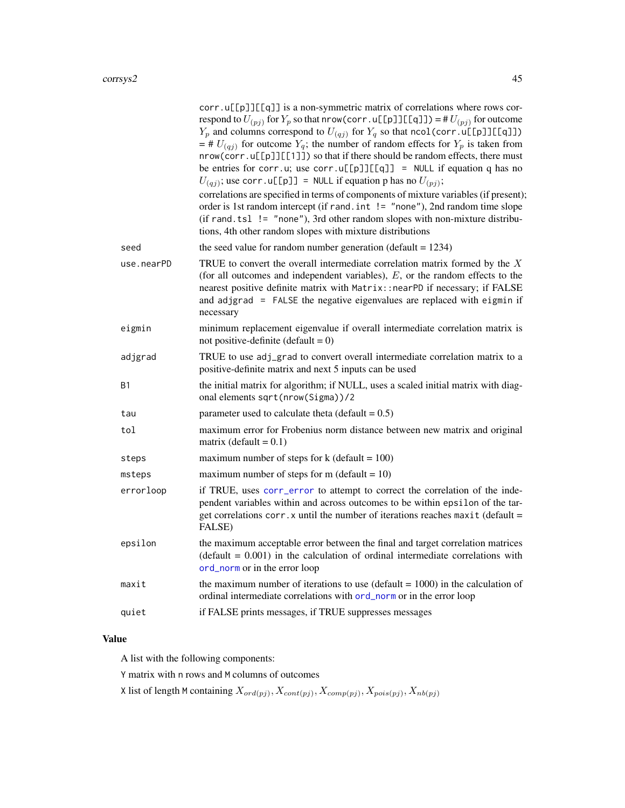|            | corr.u[[p]][[q]] is a non-symmetric matrix of correlations where rows cor-<br>respond to $U_{(pj)}$ for $Y_p$ so that nrow (corr. u[[p]][[q]]) = # $U_{(pj)}$ for outcome<br>$Y_p$ and columns correspond to $U_{(qj)}$ for $Y_q$ so that ncol(corr.u[[p]][[q]])<br>$=$ # $U_{(qj)}$ for outcome $Y_q$ ; the number of random effects for $Y_p$ is taken from<br>nrow(corr.u[[p]][[1]]) so that if there should be random effects, there must<br>be entries for corr.u; use corr.u[[p]][[q]] = NULL if equation q has no<br>$U_{(qj)}$ ; use corr. u[[p]] = NULL if equation p has no $U_{(pj)}$ ;<br>correlations are specified in terms of components of mixture variables (if present);<br>order is 1st random intercept (if rand. int != "none"), 2nd random time slope<br>$(if \text{ rand.tsl} != "none"), 3rd other random slopes with non-mixture distribu-$<br>tions, 4th other random slopes with mixture distributions |
|------------|-----------------------------------------------------------------------------------------------------------------------------------------------------------------------------------------------------------------------------------------------------------------------------------------------------------------------------------------------------------------------------------------------------------------------------------------------------------------------------------------------------------------------------------------------------------------------------------------------------------------------------------------------------------------------------------------------------------------------------------------------------------------------------------------------------------------------------------------------------------------------------------------------------------------------------------|
| seed       | the seed value for random number generation (default $= 1234$ )                                                                                                                                                                                                                                                                                                                                                                                                                                                                                                                                                                                                                                                                                                                                                                                                                                                                   |
| use.nearPD | TRUE to convert the overall intermediate correlation matrix formed by the $X$<br>(for all outcomes and independent variables), $E$ , or the random effects to the<br>nearest positive definite matrix with Matrix:: nearPD if necessary; if FALSE<br>and adjgrad = FALSE the negative eigenvalues are replaced with eigmin if<br>necessary                                                                                                                                                                                                                                                                                                                                                                                                                                                                                                                                                                                        |
| eigmin     | minimum replacement eigenvalue if overall intermediate correlation matrix is<br>not positive-definite (default = $0$ )                                                                                                                                                                                                                                                                                                                                                                                                                                                                                                                                                                                                                                                                                                                                                                                                            |
| adjgrad    | TRUE to use adj_grad to convert overall intermediate correlation matrix to a<br>positive-definite matrix and next 5 inputs can be used                                                                                                                                                                                                                                                                                                                                                                                                                                                                                                                                                                                                                                                                                                                                                                                            |
| B1         | the initial matrix for algorithm; if NULL, uses a scaled initial matrix with diag-<br>onal elements sqrt(nrow(Sigma))/2                                                                                                                                                                                                                                                                                                                                                                                                                                                                                                                                                                                                                                                                                                                                                                                                           |
| tau        | parameter used to calculate theta (default = $0.5$ )                                                                                                                                                                                                                                                                                                                                                                                                                                                                                                                                                                                                                                                                                                                                                                                                                                                                              |
| tol        | maximum error for Frobenius norm distance between new matrix and original<br>matrix (default = $0.1$ )                                                                                                                                                                                                                                                                                                                                                                                                                                                                                                                                                                                                                                                                                                                                                                                                                            |
| steps      | maximum number of steps for $k$ (default = 100)                                                                                                                                                                                                                                                                                                                                                                                                                                                                                                                                                                                                                                                                                                                                                                                                                                                                                   |
| msteps     | maximum number of steps for m (default = $10$ )                                                                                                                                                                                                                                                                                                                                                                                                                                                                                                                                                                                                                                                                                                                                                                                                                                                                                   |
| errorloop  | if TRUE, uses corr_error to attempt to correct the correlation of the inde-<br>pendent variables within and across outcomes to be within epsilon of the tar-<br>get correlations corr. x until the number of iterations reaches maxit (default =<br>FALSE)                                                                                                                                                                                                                                                                                                                                                                                                                                                                                                                                                                                                                                                                        |
| epsilon    | the maximum acceptable error between the final and target correlation matrices<br>$(default = 0.001)$ in the calculation of ordinal intermediate correlations with<br>ord_norm or in the error loop                                                                                                                                                                                                                                                                                                                                                                                                                                                                                                                                                                                                                                                                                                                               |
| maxit      | the maximum number of iterations to use (default $= 1000$ ) in the calculation of<br>ordinal intermediate correlations with ord_norm or in the error loop                                                                                                                                                                                                                                                                                                                                                                                                                                                                                                                                                                                                                                                                                                                                                                         |
| quiet      | if FALSE prints messages, if TRUE suppresses messages                                                                                                                                                                                                                                                                                                                                                                                                                                                                                                                                                                                                                                                                                                                                                                                                                                                                             |
|            |                                                                                                                                                                                                                                                                                                                                                                                                                                                                                                                                                                                                                                                                                                                                                                                                                                                                                                                                   |

# Value

A list with the following components:

Y matrix with n rows and M columns of outcomes

X list of length M containing  $X_{\text{ord}(pj)}, X_{\text{cont}(pj)}, X_{\text{comp}(pj)}, X_{\text{pois}(pj)}, X_{\text{nb}(pj)}$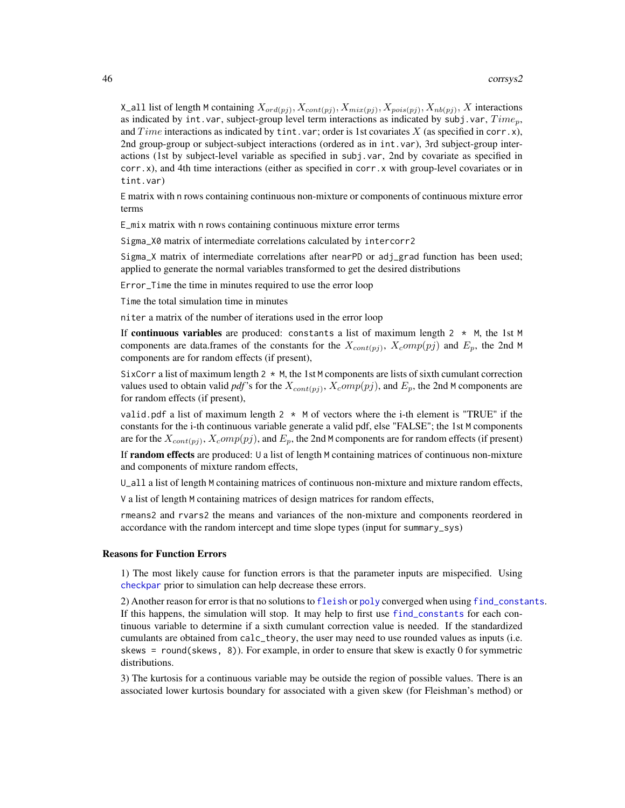X\_all list of length M containing  $X_{ord(pj)}, X_{cont(pj)}, X_{mix(pj)}, X_{pois(pj)}, X_{nb(pj)}, X$  interactions as indicated by int.var, subject-group level term interactions as indicated by subj.var,  $Time<sub>p</sub>$ , and Time interactions as indicated by tint.var; order is 1st covariates X (as specified in corr.x), 2nd group-group or subject-subject interactions (ordered as in int.var), 3rd subject-group interactions (1st by subject-level variable as specified in subj.var, 2nd by covariate as specified in corr.x), and 4th time interactions (either as specified in corr.x with group-level covariates or in tint.var)

E matrix with n rows containing continuous non-mixture or components of continuous mixture error terms

E\_mix matrix with n rows containing continuous mixture error terms

Sigma\_X0 matrix of intermediate correlations calculated by intercorr2

Sigma\_X matrix of intermediate correlations after nearPD or adj\_grad function has been used; applied to generate the normal variables transformed to get the desired distributions

Error\_Time the time in minutes required to use the error loop

Time the total simulation time in minutes

niter a matrix of the number of iterations used in the error loop

If continuous variables are produced: constants a list of maximum length  $2 \times M$ , the 1st M components are data.frames of the constants for the  $X_{cont(pj)}$ ,  $X_{c}omp(pj)$  and  $E_p$ , the 2nd M components are for random effects (if present),

SixCorr a list of maximum length  $2 \times M$ , the 1st M components are lists of sixth cumulant correction values used to obtain valid *pdf*'s for the  $X_{cont(pj)}$ ,  $X_{c}omp(pj)$ , and  $E_p$ , the 2nd M components are for random effects (if present),

valid.pdf a list of maximum length  $2 \times M$  of vectors where the i-th element is "TRUE" if the constants for the i-th continuous variable generate a valid pdf, else "FALSE"; the 1st M components are for the  $X_{cont(pj)}$ ,  $X_{c}omp(pj)$ , and  $E_p$ , the 2nd M components are for random effects (if present)

If random effects are produced: U a list of length M containing matrices of continuous non-mixture and components of mixture random effects,

U\_all a list of length M containing matrices of continuous non-mixture and mixture random effects,

V a list of length M containing matrices of design matrices for random effects,

rmeans2 and rvars2 the means and variances of the non-mixture and components reordered in accordance with the random intercept and time slope types (input for summary\_sys)

#### Reasons for Function Errors

1) The most likely cause for function errors is that the parameter inputs are mispecified. Using [checkpar](#page-11-0) prior to simulation can help decrease these errors.

2) Another reason for error is that no solutions to [fleish](#page-0-0) or [poly](#page-0-0) converged when using [find\\_constants](#page-0-0). If this happens, the simulation will stop. It may help to first use [find\\_constants](#page-0-0) for each continuous variable to determine if a sixth cumulant correction value is needed. If the standardized cumulants are obtained from calc\_theory, the user may need to use rounded values as inputs (i.e. skews = round(skews, 8)). For example, in order to ensure that skew is exactly 0 for symmetric distributions.

3) The kurtosis for a continuous variable may be outside the region of possible values. There is an associated lower kurtosis boundary for associated with a given skew (for Fleishman's method) or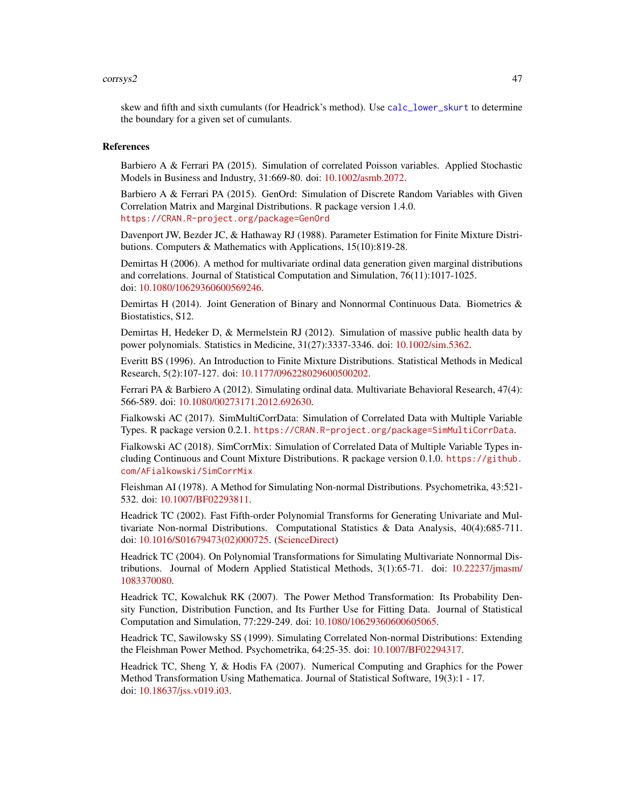### corrsys2 47

skew and fifth and sixth cumulants (for Headrick's method). Use [calc\\_lower\\_skurt](#page-0-0) to determine the boundary for a given set of cumulants.

# References

Barbiero A & Ferrari PA (2015). Simulation of correlated Poisson variables. Applied Stochastic Models in Business and Industry, 31:669-80. doi: [10.1002/asmb.2072.](http://doi.org/10.1002/asmb.2072)

Barbiero A & Ferrari PA (2015). GenOrd: Simulation of Discrete Random Variables with Given Correlation Matrix and Marginal Distributions. R package version 1.4.0. <https://CRAN.R-project.org/package=GenOrd>

Davenport JW, Bezder JC, & Hathaway RJ (1988). Parameter Estimation for Finite Mixture Distributions. Computers & Mathematics with Applications, 15(10):819-28.

Demirtas H (2006). A method for multivariate ordinal data generation given marginal distributions and correlations. Journal of Statistical Computation and Simulation, 76(11):1017-1025. doi: [10.1080/10629360600569246.](http://doi.org/10.1080/10629360600569246)

Demirtas H (2014). Joint Generation of Binary and Nonnormal Continuous Data. Biometrics & Biostatistics, S12.

Demirtas H, Hedeker D, & Mermelstein RJ (2012). Simulation of massive public health data by power polynomials. Statistics in Medicine, 31(27):3337-3346. doi: [10.1002/sim.5362.](http://doi.org/10.1002/sim.5362)

Everitt BS (1996). An Introduction to Finite Mixture Distributions. Statistical Methods in Medical Research, 5(2):107-127. doi: [10.1177/096228029600500202.](http://doi.org/10.1177/096228029600500202)

Ferrari PA & Barbiero A (2012). Simulating ordinal data. Multivariate Behavioral Research, 47(4): 566-589. doi: [10.1080/00273171.2012.692630.](http://doi.org/10.1080/00273171.2012.692630)

Fialkowski AC (2017). SimMultiCorrData: Simulation of Correlated Data with Multiple Variable Types. R package version 0.2.1. <https://CRAN.R-project.org/package=SimMultiCorrData>.

Fialkowski AC (2018). SimCorrMix: Simulation of Correlated Data of Multiple Variable Types including Continuous and Count Mixture Distributions. R package version 0.1.0. [https://github.](https://github.com/AFialkowski/SimCorrMix) [com/AFialkowski/SimCorrMix](https://github.com/AFialkowski/SimCorrMix)

Fleishman AI (1978). A Method for Simulating Non-normal Distributions. Psychometrika, 43:521- 532. doi: [10.1007/BF02293811.](http://doi.org/10.1007/BF02293811)

Headrick TC (2002). Fast Fifth-order Polynomial Transforms for Generating Univariate and Multivariate Non-normal Distributions. Computational Statistics & Data Analysis, 40(4):685-711. doi: [10.1016/S01679473\(02\)000725.](http://doi.org/10.1016/S0167-9473(02)00072-5) [\(ScienceDirect\)](http://www.sciencedirect.com/science/article/pii/S0167947302000725)

Headrick TC (2004). On Polynomial Transformations for Simulating Multivariate Nonnormal Distributions. Journal of Modern Applied Statistical Methods, 3(1):65-71. doi: [10.22237/jmasm/](http://doi.org/10.22237/jmasm/1083370080) [1083370080.](http://doi.org/10.22237/jmasm/1083370080)

Headrick TC, Kowalchuk RK (2007). The Power Method Transformation: Its Probability Density Function, Distribution Function, and Its Further Use for Fitting Data. Journal of Statistical Computation and Simulation, 77:229-249. doi: [10.1080/10629360600605065.](http://doi.org/10.1080/10629360600605065)

Headrick TC, Sawilowsky SS (1999). Simulating Correlated Non-normal Distributions: Extending the Fleishman Power Method. Psychometrika, 64:25-35. doi: [10.1007/BF02294317.](http://doi.org/10.1007/BF02294317)

Headrick TC, Sheng Y, & Hodis FA (2007). Numerical Computing and Graphics for the Power Method Transformation Using Mathematica. Journal of Statistical Software, 19(3):1 - 17. doi: [10.18637/jss.v019.i03.](http://doi.org/10.18637/jss.v019.i03)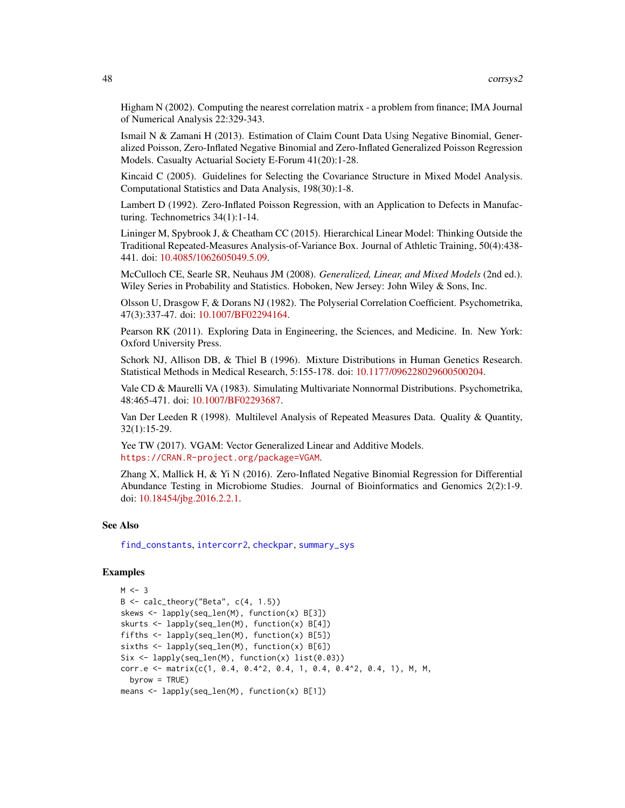Higham N (2002). Computing the nearest correlation matrix - a problem from finance; IMA Journal of Numerical Analysis 22:329-343.

Ismail N & Zamani H (2013). Estimation of Claim Count Data Using Negative Binomial, Generalized Poisson, Zero-Inflated Negative Binomial and Zero-Inflated Generalized Poisson Regression Models. Casualty Actuarial Society E-Forum 41(20):1-28.

Kincaid C (2005). Guidelines for Selecting the Covariance Structure in Mixed Model Analysis. Computational Statistics and Data Analysis, 198(30):1-8.

Lambert D (1992). Zero-Inflated Poisson Regression, with an Application to Defects in Manufacturing. Technometrics 34(1):1-14.

Lininger M, Spybrook J, & Cheatham CC (2015). Hierarchical Linear Model: Thinking Outside the Traditional Repeated-Measures Analysis-of-Variance Box. Journal of Athletic Training, 50(4):438- 441. doi: [10.4085/1062605049.5.09.](http://doi.org/10.4085/1062-6050-49.5.09)

McCulloch CE, Searle SR, Neuhaus JM (2008). *Generalized, Linear, and Mixed Models* (2nd ed.). Wiley Series in Probability and Statistics. Hoboken, New Jersey: John Wiley & Sons, Inc.

Olsson U, Drasgow F, & Dorans NJ (1982). The Polyserial Correlation Coefficient. Psychometrika, 47(3):337-47. doi: [10.1007/BF02294164.](http://doi.org/10.1007/BF02294164)

Pearson RK (2011). Exploring Data in Engineering, the Sciences, and Medicine. In. New York: Oxford University Press.

Schork NJ, Allison DB, & Thiel B (1996). Mixture Distributions in Human Genetics Research. Statistical Methods in Medical Research, 5:155-178. doi: [10.1177/096228029600500204.](http://doi.org/10.1177/096228029600500204)

Vale CD & Maurelli VA (1983). Simulating Multivariate Nonnormal Distributions. Psychometrika, 48:465-471. doi: [10.1007/BF02293687.](http://doi.org/10.1007/BF02293687)

Van Der Leeden R (1998). Multilevel Analysis of Repeated Measures Data. Quality & Quantity, 32(1):15-29.

Yee TW (2017). VGAM: Vector Generalized Linear and Additive Models. <https://CRAN.R-project.org/package=VGAM>.

Zhang X, Mallick H, & Yi N (2016). Zero-Inflated Negative Binomial Regression for Differential Abundance Testing in Microbiome Studies. Journal of Bioinformatics and Genomics 2(2):1-9. doi: [10.18454/jbg.2016.2.2.1.](http://doi.org/10.18454/jbg.2016.2.2.1)

# See Also

[find\\_constants](#page-0-0), [intercorr2](#page-0-0), [checkpar](#page-11-0), [summary\\_sys](#page-62-0)

# Examples

```
M < -3B \leq - \text{ calc\_theory}("Beta", c(4, 1.5))skews <- lapply(seq_len(M), function(x) B[3])
skurts <- lapply(seq_len(M), function(x) B[4])
fifths <- lapply(seq_len(M), function(x) B[5])
sixths <- lapply(seq_len(M), function(x) B[6])
Six <- lapply(seq_len(M), function(x) list(0.03))
corr.e <- matrix(c(1, 0.4, 0.4^2, 0.4, 1, 0.4, 0.4^2, 0.4, 1), M, M,
  byrow = TRUE)
means <- lapply(seq_len(M), function(x) B[1])
```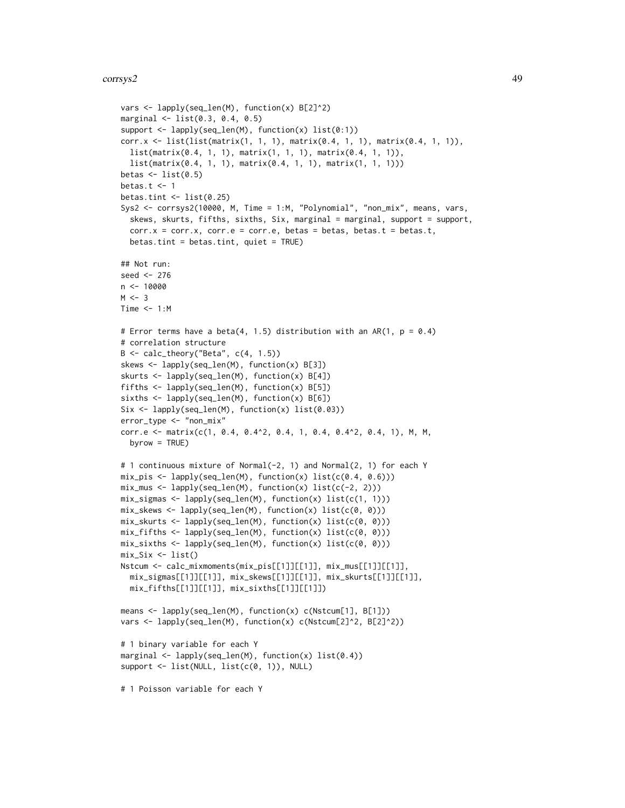```
vars <- lapply(seq_len(M), function(x) B[2]^2)
marginal <- list(0.3, 0.4, 0.5)
support <- lapply(seq_len(M), function(x) list(0:1))
corr.x <- list(list(matrix(1, 1, 1), matrix(0.4, 1, 1), matrix(0.4, 1, 1)),
  list(matrix(0.4, 1, 1), matrix(1, 1, 1), matrix(0.4, 1, 1)),
  list(matrix(0.4, 1, 1), matrix(0.4, 1, 1), matrix(1, 1, 1)))
betas \leq list(0.5)
betas.t \leq 1
betas.tint \leq - list(0.25)
Sys2 <- corrsys2(10000, M, Time = 1:M, "Polynomial", "non_mix", means, vars,
  skews, skurts, fifths, sixths, Six, marginal = marginal, support = support,
  corr.x = corr.x, corr.e = corr.e, betas = betas, betas.t = betas.t,
  betas.tint = betas.tint, quiet = TRUE)
## Not run:
seed <- 276
n < -10000M < -3Time <-1:M# Error terms have a beta(4, 1.5) distribution with an AR(1, p = 0.4)
# correlation structure
B \leftarrow calc\_theory("Beta", c(4, 1.5))skews <- lapply(seq_len(M), function(x) B[3])
skurts <- lapply(seq_len(M), function(x) B[4])
fifths <- lapply(seq_len(M), function(x) B[5])
sixths <- lapply(seq_len(M), function(x) B[6])
Six <- lapply(seq_len(M), function(x) list(0.03))
error_type <- "non_mix"
corr.e <- matrix(c(1, 0.4, 0.4^2, 0.4, 1, 0.4, 0.4^2, 0.4, 1), M, M,
  byrow = TRUE)
# 1 continuous mixture of Normal(-2, 1) and Normal(2, 1) for each Y
mix\_pis \leftarrow \text{lapply}(\text{seq\_len}(M), function(x) \text{list}(c(0.4, 0.6)))mix_mus \leftarrow \text{lapply}(\text{seq\_len}(M), function(x) \text{list}(c(-2, 2)))mix_sigmas <- lapply(seq_len(M), function(x) list(c(1, 1)))
mix_skews <- lapply(seq_len(M), function(x) list(c(0, 0)))
mix_skurts <- lapply(seq_len(M), function(x) list(c(0, 0)))
mix_fifths \leftarrow lapply(seq_len(M), function(x) list(c(0, 0)))mix\_sixths \leftarrow \text{lapply}(\text{seq\_len}(M), function(x) list(c(0, 0)))mix\_Six \leftarrow list()Nstcum <- calc_mixmoments(mix_pis[[1]][[1]], mix_mus[[1]][[1]],
  mix_sigmas[[1]][[1]], mix_skews[[1]][[1]], mix_skurts[[1]][[1]],
  mix_fifths[[1]][[1]], mix_sixths[[1]][[1]])
means <- lapply(seq_len(M), function(x) c(Nstcum[1], B[1]))
vars <- lapply(seq_len(M), function(x) c(Nstcum[2]^2, B[2]^2))
# 1 binary variable for each Y
marginal \leq lapply(seq_len(M), function(x) list(0.4))
support <- list(NULL, list(c(0, 1)), NULL)
# 1 Poisson variable for each Y
```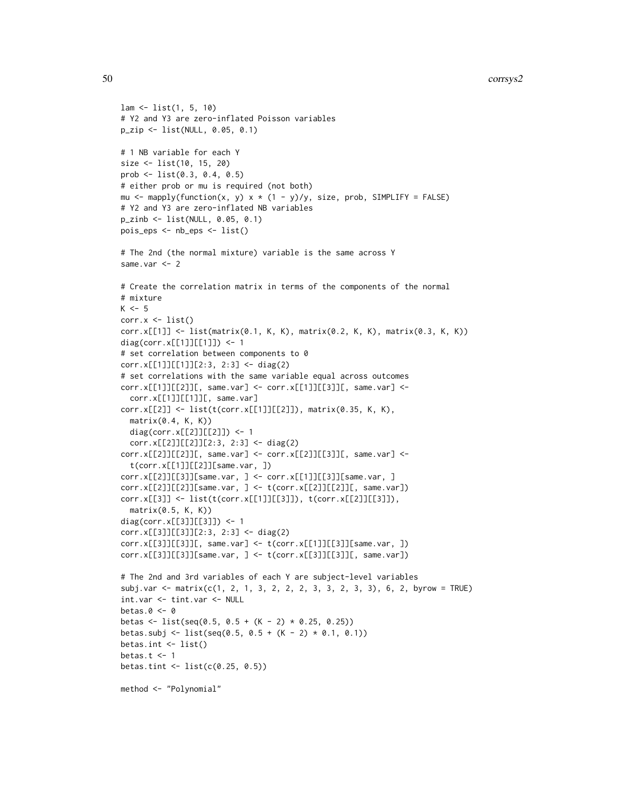```
lam <- list(1, 5, 10)
# Y2 and Y3 are zero-inflated Poisson variables
p_zip <- list(NULL, 0.05, 0.1)
# 1 NB variable for each Y
size <- list(10, 15, 20)
prob <- list(0.3, 0.4, 0.5)
# either prob or mu is required (not both)
mu <- mapply(function(x, y) x * (1 - y)/y, size, prob, SIMPLIFY = FALSE)
# Y2 and Y3 are zero-inflated NB variables
p_zinb <- list(NULL, 0.05, 0.1)
pois_eps <- nb_eps <- list()
# The 2nd (the normal mixture) variable is the same across Y
same.var <- 2
# Create the correlation matrix in terms of the components of the normal
# mixture
K < -5corr.x \leftarrow list()corr.x[[1]] <- list(matrix(0.1, K, K), matrix(0.2, K, K), matrix(0.3, K, K))
diag(corr.x[[1]][[1]]) <- 1
# set correlation between components to 0
corr.x[[1]][[1]][2:3, 2:3] <- diag(2)
# set correlations with the same variable equal across outcomes
corr.x[[1]][[2]][, same.var] <- corr.x[[1]][[3]][, same.var] <-
  corr.x[[1]][[1]][, same.var]
corr.x[[2]] <- list(t(corr.x[[1]][[2]]), matrix(0.35, K, K),
  matrix(0.4, K, K))
  diag(corr.x[[2]][[2]]) <- 1
  corr.x[[2]][[2]][2:3, 2:3] <- diag(2)
corr.x[[2]][[2]][, same.var] <- corr.x[[2]][[3]][, same.var] <-
  t(corr.x[[1]][[2]][same.var, ])
corr.x[[2]][[3]][same.var, ] <- corr.x[[1]][[3]][same.var, ]
corr.x[[2]][[2]][same.var, ] <- t(corr.x[[2]][[2]][, same.var])
corr.x[[3]] <- list(t(corr.x[[1]][[3]]), t(corr.x[[2]][[3]]),
  matrix(0.5, K, K))
diag(corr.x[[3]][[3]]) <- 1
corr.x[[3]][[3]][2:3, 2:3] <- diag(2)
corr.x[[3]][[3]][, same.var] <- t(corr.x[[1]][[3]][same.var, ])
corr.x[[3]][[3]][same.var, ] <- t(corr.x[[3]][[3]][, same.var])
# The 2nd and 3rd variables of each Y are subject-level variables
subj.var <- matrix(c(1, 2, 1, 3, 2, 2, 2, 3, 3, 2, 3, 3), 6, 2, byrow = TRUE)
int.var <- tint.var <- NULL
betas.0 < -0betas <- list(seq(0.5, 0.5 + (K - 2) * 0.25, 0.25))
betas.subj <- list(seq(0.5, 0.5 + (K - 2) * 0.1, 0.1))
betas.int <- list()
betas.t <-1betas.tint <- list(c(0.25, 0.5))
method <- "Polynomial"
```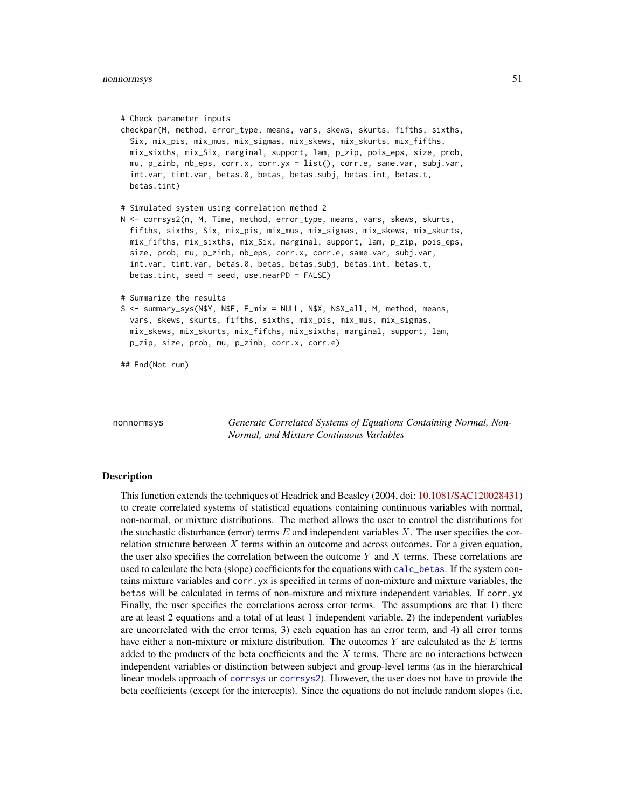```
# Check parameter inputs
checkpar(M, method, error_type, means, vars, skews, skurts, fifths, sixths,
 Six, mix_pis, mix_mus, mix_sigmas, mix_skews, mix_skurts, mix_fifths,
 mix_sixths, mix_Six, marginal, support, lam, p_zip, pois_eps, size, prob,
 mu, p_zinb, nb_eps, corr.x, corr.yx = list(), corr.e, same.var, subj.var,
 int.var, tint.var, betas.0, betas, betas.subj, betas.int, betas.t,
 betas.tint)
# Simulated system using correlation method 2
N <- corrsys2(n, M, Time, method, error_type, means, vars, skews, skurts,
 fifths, sixths, Six, mix_pis, mix_mus, mix_sigmas, mix_skews, mix_skurts,
 mix_fifths, mix_sixths, mix_Six, marginal, support, lam, p_zip, pois_eps,
 size, prob, mu, p_zinb, nb_eps, corr.x, corr.e, same.var, subj.var,
  int.var, tint.var, betas.0, betas, betas.subj, betas.int, betas.t,
 betas.tint, seed = seed, use.nearPD = FALSE)
# Summarize the results
S <- summary_sys(N$Y, N$E, E_mix = NULL, N$X, N$X_all, M, method, means,
 vars, skews, skurts, fifths, sixths, mix_pis, mix_mus, mix_sigmas,
 mix_skews, mix_skurts, mix_fifths, mix_sixths, marginal, support, lam,
 p_zip, size, prob, mu, p_zinb, corr.x, corr.e)
## End(Not run)
```
<span id="page-50-0"></span>nonnormsys *Generate Correlated Systems of Equations Containing Normal, Non-Normal, and Mixture Continuous Variables*

# Description

This function extends the techniques of Headrick and Beasley (2004, doi: [10.1081/SAC120028431\)](http://doi.org/10.1081/SAC-120028431) to create correlated systems of statistical equations containing continuous variables with normal, non-normal, or mixture distributions. The method allows the user to control the distributions for the stochastic disturbance (error) terms  $E$  and independent variables  $X$ . The user specifies the correlation structure between  $X$  terms within an outcome and across outcomes. For a given equation, the user also specifies the correlation between the outcome Y and X terms. These correlations are used to calculate the beta (slope) coefficients for the equations with [calc\\_betas](#page-3-0). If the system contains mixture variables and corr.yx is specified in terms of non-mixture and mixture variables, the betas will be calculated in terms of non-mixture and mixture independent variables. If corr.yx Finally, the user specifies the correlations across error terms. The assumptions are that 1) there are at least 2 equations and a total of at least 1 independent variable, 2) the independent variables are uncorrelated with the error terms, 3) each equation has an error term, and 4) all error terms have either a non-mixture or mixture distribution. The outcomes Y are calculated as the  $E$  terms added to the products of the beta coefficients and the  $X$  terms. There are no interactions between independent variables or distinction between subject and group-level terms (as in the hierarchical linear models approach of [corrsys](#page-20-0) or [corrsys2](#page-35-0)). However, the user does not have to provide the beta coefficients (except for the intercepts). Since the equations do not include random slopes (i.e.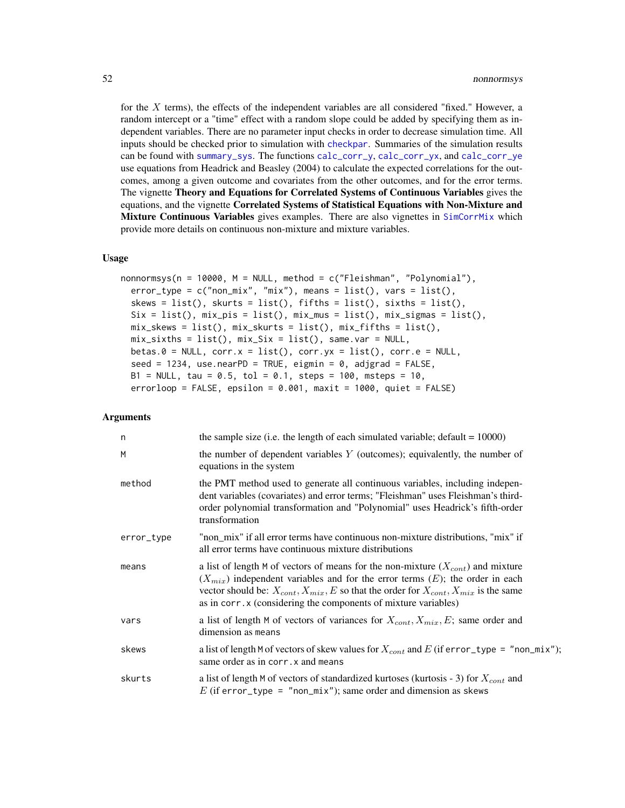for the  $X$  terms), the effects of the independent variables are all considered "fixed." However, a random intercept or a "time" effect with a random slope could be added by specifying them as independent variables. There are no parameter input checks in order to decrease simulation time. All inputs should be checked prior to simulation with [checkpar](#page-11-0). Summaries of the simulation results can be found with [summary\\_sys](#page-62-0). The functions [calc\\_corr\\_y](#page-5-0), [calc\\_corr\\_yx](#page-9-0), and [calc\\_corr\\_ye](#page-7-0) use equations from Headrick and Beasley (2004) to calculate the expected correlations for the outcomes, among a given outcome and covariates from the other outcomes, and for the error terms. The vignette Theory and Equations for Correlated Systems of Continuous Variables gives the equations, and the vignette Correlated Systems of Statistical Equations with Non-Mixture and Mixture Continuous Variables gives examples. There are also vignettes in [SimCorrMix](#page-0-0) which provide more details on continuous non-mixture and mixture variables.

# Usage

```
nonnormsys(n = 10000, M = NULL, method = c("Fleishman", "Polynomial"),
  error_type = c("non\_mix", "mix"), means = list(), vars = list(),skews = list(), skurts = list(), fifths = list(), sixths = list(),
  Six = list(), mix_pis = list(), mix_mus = list(), mix_signas = list(),mix\_skews = list(), mix\_skurts = list(), mix_fifths = list(),mix\_sixths = list(), mix\_Six = list(), same-var = NULL,betas.0 = NULL, corr.x = list(), corr.yx = list(), corr.e = NULL,seed = 1234, use.nearPD = TRUE, eigmin = 0, adjgrad = FALSE,
 B1 = NULL, tau = 0.5, tol = 0.1, steps = 100, msteps = 10,
  errorloop = FALSE, epsilon = 0.001, maxit = 1000, quiet = FALSE)
```
#### Arguments

| n          | the sample size (i.e. the length of each simulated variable; default $= 10000$ )                                                                                                                                                                                                                                                                       |
|------------|--------------------------------------------------------------------------------------------------------------------------------------------------------------------------------------------------------------------------------------------------------------------------------------------------------------------------------------------------------|
| M          | the number of dependent variables $Y$ (outcomes); equivalently, the number of<br>equations in the system                                                                                                                                                                                                                                               |
| method     | the PMT method used to generate all continuous variables, including indepen-<br>dent variables (covariates) and error terms; "Fleishman" uses Fleishman's third-<br>order polynomial transformation and "Polynomial" uses Headrick's fifth-order<br>transformation                                                                                     |
| error_type | "non_mix" if all error terms have continuous non-mixture distributions, "mix" if<br>all error terms have continuous mixture distributions                                                                                                                                                                                                              |
| means      | a list of length M of vectors of means for the non-mixture $(X_{cont})$ and mixture<br>$(X_{mix})$ independent variables and for the error terms $(E)$ ; the order in each<br>vector should be: $X_{cont}$ , $X_{mix}$ , E so that the order for $X_{cont}$ , $X_{mix}$ is the same<br>as in corr. x (considering the components of mixture variables) |
| vars       | a list of length M of vectors of variances for $X_{cont}$ , $X_{mix}$ , $E$ ; same order and<br>dimension as means                                                                                                                                                                                                                                     |
| skews      | a list of length M of vectors of skew values for $X_{cont}$ and E (if error_type = "non_mix");<br>same order as in corr. x and means                                                                                                                                                                                                                   |
| skurts     | a list of length M of vectors of standardized kurtoses (kurtosis - 3) for $X_{cont}$ and<br>E (if error_type = "non_mix"); same order and dimension as skews                                                                                                                                                                                           |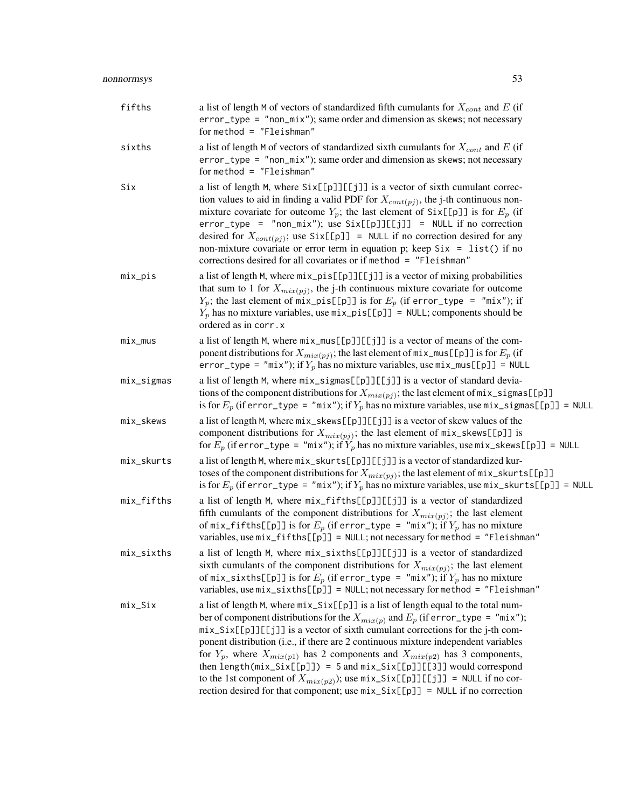| fifths     | a list of length M of vectors of standardized fifth cumulants for $X_{cont}$ and E (if<br>error_type = "non_mix"); same order and dimension as skews; not necessary<br>for method = $"Fleishman"$                                                                                                                                                                                                                                                                                                                                                                                                                                                                                                        |
|------------|----------------------------------------------------------------------------------------------------------------------------------------------------------------------------------------------------------------------------------------------------------------------------------------------------------------------------------------------------------------------------------------------------------------------------------------------------------------------------------------------------------------------------------------------------------------------------------------------------------------------------------------------------------------------------------------------------------|
| sixths     | a list of length M of vectors of standardized sixth cumulants for $X_{cont}$ and E (if<br>error_type = "non_mix"); same order and dimension as skews; not necessary<br>for method = $"Fleishman"$                                                                                                                                                                                                                                                                                                                                                                                                                                                                                                        |
| Six        | a list of length M, where Six[[p]][[j]] is a vector of sixth cumulant correc-<br>tion values to aid in finding a valid PDF for $X_{cont(pj)}$ , the j-th continuous non-<br>mixture covariate for outcome $Y_p$ ; the last element of Six[[p]] is for $E_p$ (if<br>$error_type = "non\_mix")$ ; use $Six[[p]][[j]] = NULL$ if no correction<br>desired for $X_{cont(pj)}$ ; use $Six[\lfloor p \rfloor] = NULL$ if no correction desired for any<br>non-mixture covariate or error term in equation p; keep $Six = list()$ if no<br>corrections desired for all covariates or if method = "Fleishman"                                                                                                    |
| $mix\_pis$ | a list of length M, where $mix\_pis[[p]][[j]]$ is a vector of mixing probabilities<br>that sum to 1 for $X_{mix(pj)}$ , the j-th continuous mixture covariate for outcome<br>$Y_p$ ; the last element of mix_pis[[p]] is for $E_p$ (if error_type = "mix"); if<br>$Y_p$ has no mixture variables, use mix_pis[[p]] = NULL; components should be<br>ordered as in corr.x                                                                                                                                                                                                                                                                                                                                  |
| $mix_mus$  | a list of length M, where $mix\_mus[[p]][[j]]$ is a vector of means of the com-<br>ponent distributions for $X_{mix(pj)}$ ; the last element of mix_mus[[p]] is for $E_p$ (if<br>error_type = "mix"); if $Y_p$ has no mixture variables, use mix_mus[[p]] = NULL                                                                                                                                                                                                                                                                                                                                                                                                                                         |
| mix_sigmas | a list of length M, where $mix\_signas[[p]][[j]]$ is a vector of standard devia-<br>tions of the component distributions for $X_{mix(pj)}$ ; the last element of $mix\_signas[$<br>is for $E_p$ (if error_type = "mix"); if $Y_p$ has no mixture variables, use mix_sigmas[[p]] = NULL                                                                                                                                                                                                                                                                                                                                                                                                                   |
| mix_skews  | a list of length M, where $mix\_skews[[p]][[j]]$ is a vector of skew values of the<br>component distributions for $X_{mix(pj)}$ ; the last element of mix_skews[[p]] is<br>for $E_p$ (if error_type = "mix"); if $Y_p$ has no mixture variables, use mix_skews[[p]] = NULL                                                                                                                                                                                                                                                                                                                                                                                                                               |
| mix_skurts | a list of length M, where mix_skurts[[p]][[j]] is a vector of standardized kur-<br>toses of the component distributions for $X_{mix(pj)}$ ; the last element of mix_skurts[[p]]<br>is for $E_p$ (if error_type = "mix"); if $Y_p$ has no mixture variables, use mix_skurts[[p]] = NULL                                                                                                                                                                                                                                                                                                                                                                                                                   |
| mix_fifths | a list of length M, where $mix_fifths[[p]][[j]]$ is a vector of standardized<br>fifth cumulants of the component distributions for $X_{mix(pj)}$ ; the last element<br>of mix_fifths[[p]] is for $E_p$ (if error_type = "mix"); if $Y_p$ has no mixture<br>variables, use mix_fifths[[p]] = NULL; not necessary for method = "Fleishman"                                                                                                                                                                                                                                                                                                                                                                 |
| mix_sixths | a list of length M, where $mix\_sixths[[p]][[j]]$ is a vector of standardized<br>sixth cumulants of the component distributions for $X_{mix(pj)}$ ; the last element<br>of $mix\_sixths[[p]]$ is for $E_p$ (if error_type = "mix"); if $Y_p$ has no mixture<br>variables, use mix_sixths[[p]] = NULL; not necessary for method = "Fleishman"                                                                                                                                                                                                                                                                                                                                                             |
| mix_Six    | a list of length M, where $mix\_Six[[p]]$ is a list of length equal to the total num-<br>ber of component distributions for the $X_{mix(p)}$ and $E_p$ (if error_type = "mix");<br>mix_Six[[p]][[j]] is a vector of sixth cumulant corrections for the j-th com-<br>ponent distribution (i.e., if there are 2 continuous mixture independent variables<br>for $Y_p$ , where $X_{mix(p1)}$ has 2 components and $X_{mix(p2)}$ has 3 components,<br>then length( $mix\_Six[[p]]$ ) = 5 and $mix\_Six[[p]][[3]]$ would correspond<br>to the 1st component of $X_{mix(p2)}$ ); use $mix\_Six[[p]][[j]] = NULL$ if no cor-<br>rection desired for that component; use $mix\_Six[[p]] = NULL$ if no correction |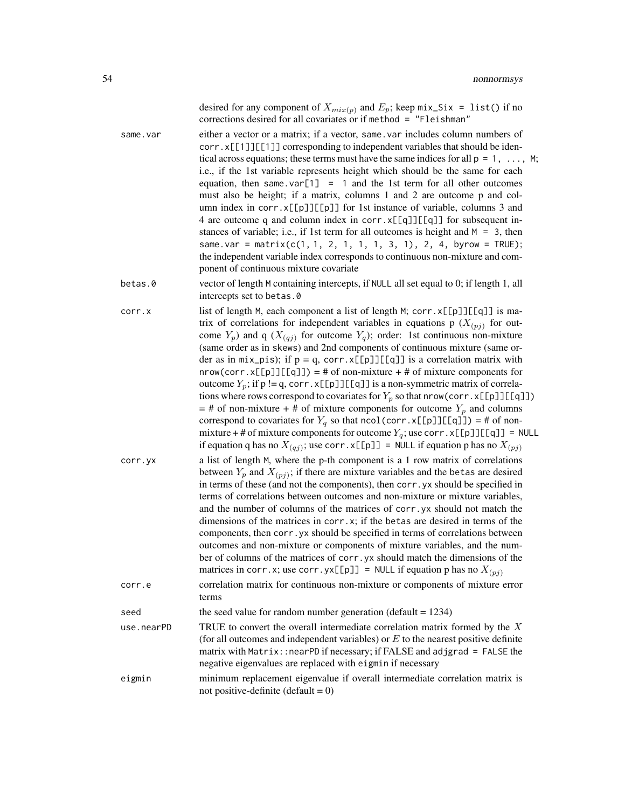|                   | desired for any component of $X_{mix(p)}$ and $E_p$ ; keep mix_Six = list() if no<br>corrections desired for all covariates or if method = "Fleishman"                                                                                                                                                                                                                                                                                                                                                                                                                                                                                                                                                                                                                                                                                                                                                                                                                                                                                                                                                                                                                                                                     |
|-------------------|----------------------------------------------------------------------------------------------------------------------------------------------------------------------------------------------------------------------------------------------------------------------------------------------------------------------------------------------------------------------------------------------------------------------------------------------------------------------------------------------------------------------------------------------------------------------------------------------------------------------------------------------------------------------------------------------------------------------------------------------------------------------------------------------------------------------------------------------------------------------------------------------------------------------------------------------------------------------------------------------------------------------------------------------------------------------------------------------------------------------------------------------------------------------------------------------------------------------------|
| same.var          | either a vector or a matrix; if a vector, same var includes column numbers of<br>corr.x[[1]][[1]] corresponding to independent variables that should be iden-<br>tical across equations; these terms must have the same indices for all $p = 1, \ldots, M$ ;<br>i.e., if the 1st variable represents height which should be the same for each<br>equation, then same var[1] = 1 and the 1st term for all other outcomes<br>must also be height; if a matrix, columns 1 and 2 are outcome p and col-<br>umn index in corr. x[[p]][[p]] for 1st instance of variable, columns 3 and<br>4 are outcome q and column index in corr. x[[q]][[q]] for subsequent in-<br>stances of variable; i.e., if 1st term for all outcomes is height and $M = 3$ , then<br>same.var = matrix( $c(1, 1, 2, 1, 1, 1, 3, 1)$ , 2, 4, byrow = TRUE);<br>the independent variable index corresponds to continuous non-mixture and com-<br>ponent of continuous mixture covariate                                                                                                                                                                                                                                                                  |
| betas.0           | vector of length M containing intercepts, if NULL all set equal to 0; if length 1, all<br>intercepts set to betas.0                                                                                                                                                                                                                                                                                                                                                                                                                                                                                                                                                                                                                                                                                                                                                                                                                                                                                                                                                                                                                                                                                                        |
| corr.x<br>corr.yx | list of length M, each component a list of length M; corr. x[[p]][[q]] is ma-<br>trix of correlations for independent variables in equations p $(X_{(pj)})$ for out-<br>come $Y_p$ ) and q ( $X_{(qj)}$ for outcome $Y_q$ ); order: 1st continuous non-mixture<br>(same order as in skews) and 2nd components of continuous mixture (same or-<br>der as in mix_pis); if $p = q$ , corr.x[[p]][[q]] is a correlation matrix with<br>$nrow(corr.x[[p]][[q]]) = # of non-mixture + # of mixture components for$<br>outcome $Y_p$ ; if p != q, corr. x[[p]][[q]] is a non-symmetric matrix of correla-<br>tions where rows correspond to covariates for $Y_p$ so that nrow(corr. x[[p]][[q]])<br>$=$ # of non-mixture + # of mixture components for outcome $Y_p$ and columns<br>correspond to covariates for $Y_q$ so that ncol(corr.x[[p]][[q]]) = # of non-<br>mixture + # of mixture components for outcome $Y_q$ ; use corr. x[[p]][[q]] = NULL<br>if equation q has no $X_{(qj)}$ ; use corr. x[[p]] = NULL if equation p has no $X_{(pj)}$<br>a list of length M, where the p-th component is a 1 row matrix of correlations<br>between $Y_p$ and $X_{(pj)}$ ; if there are mixture variables and the betas are desired |
|                   | in terms of these (and not the components), then corr. yx should be specified in<br>terms of correlations between outcomes and non-mixture or mixture variables,<br>and the number of columns of the matrices of corr. yx should not match the<br>dimensions of the matrices in $corr.x$ ; if the betas are desired in terms of the<br>components, then corr. yx should be specified in terms of correlations between<br>outcomes and non-mixture or components of mixture variables, and the num-<br>ber of columns of the matrices of corr. yx should match the dimensions of the<br>matrices in corr. x; use corr. $yx[[p]] = NULL$ if equation p has no $X_{(pj)}$                                                                                                                                                                                                                                                                                                                                                                                                                                                                                                                                                     |
| corr.e            | correlation matrix for continuous non-mixture or components of mixture error<br>terms                                                                                                                                                                                                                                                                                                                                                                                                                                                                                                                                                                                                                                                                                                                                                                                                                                                                                                                                                                                                                                                                                                                                      |
| seed              | the seed value for random number generation (default $= 1234$ )                                                                                                                                                                                                                                                                                                                                                                                                                                                                                                                                                                                                                                                                                                                                                                                                                                                                                                                                                                                                                                                                                                                                                            |
| use.nearPD        | TRUE to convert the overall intermediate correlation matrix formed by the $X$<br>(for all outcomes and independent variables) or $E$ to the nearest positive definite<br>matrix with Matrix:: nearPD if necessary; if FALSE and adjgrad = FALSE the<br>negative eigenvalues are replaced with eigmin if necessary                                                                                                                                                                                                                                                                                                                                                                                                                                                                                                                                                                                                                                                                                                                                                                                                                                                                                                          |
| eigmin            | minimum replacement eigenvalue if overall intermediate correlation matrix is<br>not positive-definite (default = $0$ )                                                                                                                                                                                                                                                                                                                                                                                                                                                                                                                                                                                                                                                                                                                                                                                                                                                                                                                                                                                                                                                                                                     |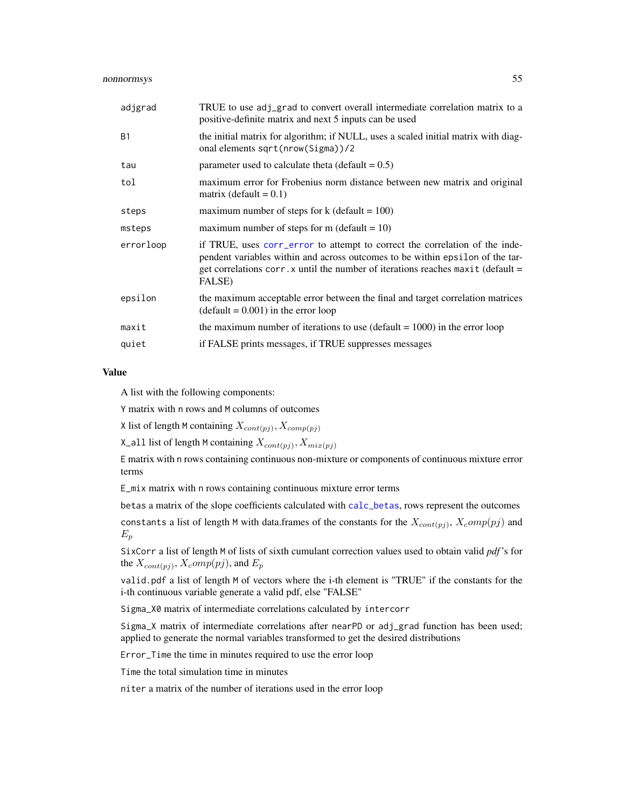| TRUE to use adj_grad to convert overall intermediate correlation matrix to a<br>positive-definite matrix and next 5 inputs can be used                                                                                                                       |
|--------------------------------------------------------------------------------------------------------------------------------------------------------------------------------------------------------------------------------------------------------------|
| the initial matrix for algorithm; if NULL, uses a scaled initial matrix with diag-<br>onal elements sqrt(nrow(Sigma))/2                                                                                                                                      |
| parameter used to calculate theta (default $= 0.5$ )                                                                                                                                                                                                         |
| maximum error for Frobenius norm distance between new matrix and original<br>matrix (default = $0.1$ )                                                                                                                                                       |
| maximum number of steps for $k$ (default = 100)                                                                                                                                                                                                              |
| maximum number of steps for m (default = $10$ )                                                                                                                                                                                                              |
| if TRUE, uses corr_error to attempt to correct the correlation of the inde-<br>pendent variables within and across outcomes to be within epsilon of the tar-<br>get correlations corr. x until the number of iterations reaches maxit (default $=$<br>FALSE) |
| the maximum acceptable error between the final and target correlation matrices<br>$(detault = 0.001)$ in the error loop                                                                                                                                      |
| the maximum number of iterations to use (default $= 1000$ ) in the error loop                                                                                                                                                                                |
| if FALSE prints messages, if TRUE suppresses messages                                                                                                                                                                                                        |
|                                                                                                                                                                                                                                                              |

# Value

A list with the following components:

Y matrix with n rows and M columns of outcomes

X list of length M containing  $X_{cont(pj)}$ ,  $X_{comp(pj)}$ 

X\_all list of length M containing  $X_{cont(pj)}$ ,  $X_{mix(pj)}$ 

E matrix with n rows containing continuous non-mixture or components of continuous mixture error terms

E\_mix matrix with n rows containing continuous mixture error terms

betas a matrix of the slope coefficients calculated with [calc\\_betas](#page-3-0), rows represent the outcomes

constants a list of length M with data.frames of the constants for the  $X_{cont(pj)}$ ,  $X_{c}omp(pj)$  and  $E_p$ 

SixCorr a list of length M of lists of sixth cumulant correction values used to obtain valid *pdf*'s for the  $X_{cont(pj)}$ ,  $X_{c}omp(pj)$ , and  $E_{p}$ 

valid.pdf a list of length M of vectors where the i-th element is "TRUE" if the constants for the i-th continuous variable generate a valid pdf, else "FALSE"

Sigma\_X0 matrix of intermediate correlations calculated by intercorr

Sigma\_X matrix of intermediate correlations after nearPD or adj\_grad function has been used; applied to generate the normal variables transformed to get the desired distributions

Error\_Time the time in minutes required to use the error loop

Time the total simulation time in minutes

niter a matrix of the number of iterations used in the error loop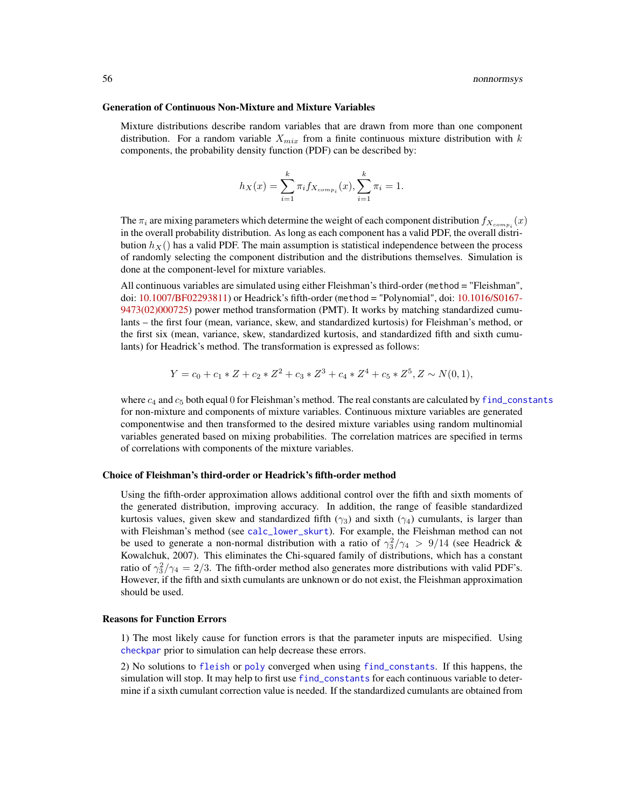#### Generation of Continuous Non-Mixture and Mixture Variables

Mixture distributions describe random variables that are drawn from more than one component distribution. For a random variable  $X_{mix}$  from a finite continuous mixture distribution with k components, the probability density function (PDF) can be described by:

$$
h_X(x) = \sum_{i=1}^{k} \pi_i f_{X_{comp_i}}(x), \sum_{i=1}^{k} \pi_i = 1.
$$

The  $\pi_i$  are mixing parameters which determine the weight of each component distribution  $f_{X_{comp_i}}(x)$ in the overall probability distribution. As long as each component has a valid PDF, the overall distribution  $h_X()$  has a valid PDF. The main assumption is statistical independence between the process of randomly selecting the component distribution and the distributions themselves. Simulation is done at the component-level for mixture variables.

All continuous variables are simulated using either Fleishman's third-order (method = "Fleishman", doi: [10.1007/BF02293811\)](http://doi.org/10.1007/BF02293811) or Headrick's fifth-order (method = "Polynomial", doi: [10.1016/S0167-](http://doi.org/10.1016/S0167-9473(02)00072-5) [9473\(02\)000725\)](http://doi.org/10.1016/S0167-9473(02)00072-5) power method transformation (PMT). It works by matching standardized cumulants – the first four (mean, variance, skew, and standardized kurtosis) for Fleishman's method, or the first six (mean, variance, skew, standardized kurtosis, and standardized fifth and sixth cumulants) for Headrick's method. The transformation is expressed as follows:

$$
Y = c_0 + c_1 * Z + c_2 * Z^2 + c_3 * Z^3 + c_4 * Z^4 + c_5 * Z^5, Z \sim N(0, 1),
$$

where  $c_4$  and  $c_5$  both equal 0 for Fleishman's method. The real constants are calculated by [find\\_constants](#page-0-0) for non-mixture and components of mixture variables. Continuous mixture variables are generated componentwise and then transformed to the desired mixture variables using random multinomial variables generated based on mixing probabilities. The correlation matrices are specified in terms of correlations with components of the mixture variables.

#### Choice of Fleishman's third-order or Headrick's fifth-order method

Using the fifth-order approximation allows additional control over the fifth and sixth moments of the generated distribution, improving accuracy. In addition, the range of feasible standardized kurtosis values, given skew and standardized fifth ( $\gamma_3$ ) and sixth ( $\gamma_4$ ) cumulants, is larger than with Fleishman's method (see [calc\\_lower\\_skurt](#page-0-0)). For example, the Fleishman method can not be used to generate a non-normal distribution with a ratio of  $\gamma_3^2/\gamma_4 > 9/14$  (see Headrick & Kowalchuk, 2007). This eliminates the Chi-squared family of distributions, which has a constant ratio of  $\gamma_3^2/\gamma_4 = 2/3$ . The fifth-order method also generates more distributions with valid PDF's. However, if the fifth and sixth cumulants are unknown or do not exist, the Fleishman approximation should be used.

#### Reasons for Function Errors

1) The most likely cause for function errors is that the parameter inputs are mispecified. Using [checkpar](#page-11-0) prior to simulation can help decrease these errors.

2) No solutions to [fleish](#page-0-0) or [poly](#page-0-0) converged when using [find\\_constants](#page-0-0). If this happens, the simulation will stop. It may help to first use [find\\_constants](#page-0-0) for each continuous variable to determine if a sixth cumulant correction value is needed. If the standardized cumulants are obtained from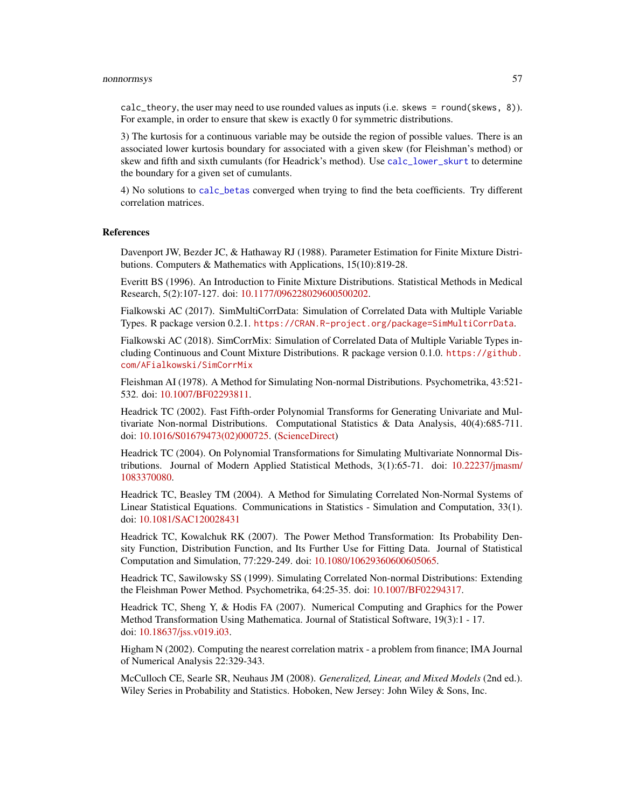### nonnormsys 57

calc\_theory, the user may need to use rounded values as inputs (i.e. skews = round(skews, 8)). For example, in order to ensure that skew is exactly 0 for symmetric distributions.

3) The kurtosis for a continuous variable may be outside the region of possible values. There is an associated lower kurtosis boundary for associated with a given skew (for Fleishman's method) or skew and fifth and sixth cumulants (for Headrick's method). Use [calc\\_lower\\_skurt](#page-0-0) to determine the boundary for a given set of cumulants.

4) No solutions to [calc\\_betas](#page-3-0) converged when trying to find the beta coefficients. Try different correlation matrices.

#### References

Davenport JW, Bezder JC, & Hathaway RJ (1988). Parameter Estimation for Finite Mixture Distributions. Computers & Mathematics with Applications, 15(10):819-28.

Everitt BS (1996). An Introduction to Finite Mixture Distributions. Statistical Methods in Medical Research, 5(2):107-127. doi: [10.1177/096228029600500202.](http://doi.org/10.1177/096228029600500202)

Fialkowski AC (2017). SimMultiCorrData: Simulation of Correlated Data with Multiple Variable Types. R package version 0.2.1. <https://CRAN.R-project.org/package=SimMultiCorrData>.

Fialkowski AC (2018). SimCorrMix: Simulation of Correlated Data of Multiple Variable Types including Continuous and Count Mixture Distributions. R package version 0.1.0. [https://github.](https://github.com/AFialkowski/SimCorrMix) [com/AFialkowski/SimCorrMix](https://github.com/AFialkowski/SimCorrMix)

Fleishman AI (1978). A Method for Simulating Non-normal Distributions. Psychometrika, 43:521- 532. doi: [10.1007/BF02293811.](http://doi.org/10.1007/BF02293811)

Headrick TC (2002). Fast Fifth-order Polynomial Transforms for Generating Univariate and Multivariate Non-normal Distributions. Computational Statistics & Data Analysis, 40(4):685-711. doi: [10.1016/S01679473\(02\)000725.](http://doi.org/10.1016/S0167-9473(02)00072-5) [\(ScienceDirect\)](http://www.sciencedirect.com/science/article/pii/S0167947302000725)

Headrick TC (2004). On Polynomial Transformations for Simulating Multivariate Nonnormal Distributions. Journal of Modern Applied Statistical Methods, 3(1):65-71. doi: [10.22237/jmasm/](http://doi.org/10.22237/jmasm/1083370080) [1083370080.](http://doi.org/10.22237/jmasm/1083370080)

Headrick TC, Beasley TM (2004). A Method for Simulating Correlated Non-Normal Systems of Linear Statistical Equations. Communications in Statistics - Simulation and Computation, 33(1). doi: [10.1081/SAC120028431](http://doi.org/10.1081/SAC-120028431)

Headrick TC, Kowalchuk RK (2007). The Power Method Transformation: Its Probability Density Function, Distribution Function, and Its Further Use for Fitting Data. Journal of Statistical Computation and Simulation, 77:229-249. doi: [10.1080/10629360600605065.](http://doi.org/10.1080/10629360600605065)

Headrick TC, Sawilowsky SS (1999). Simulating Correlated Non-normal Distributions: Extending the Fleishman Power Method. Psychometrika, 64:25-35. doi: [10.1007/BF02294317.](http://doi.org/10.1007/BF02294317)

Headrick TC, Sheng Y, & Hodis FA (2007). Numerical Computing and Graphics for the Power Method Transformation Using Mathematica. Journal of Statistical Software, 19(3):1 - 17. doi: [10.18637/jss.v019.i03.](http://doi.org/10.18637/jss.v019.i03)

Higham N (2002). Computing the nearest correlation matrix - a problem from finance; IMA Journal of Numerical Analysis 22:329-343.

McCulloch CE, Searle SR, Neuhaus JM (2008). *Generalized, Linear, and Mixed Models* (2nd ed.). Wiley Series in Probability and Statistics. Hoboken, New Jersey: John Wiley & Sons, Inc.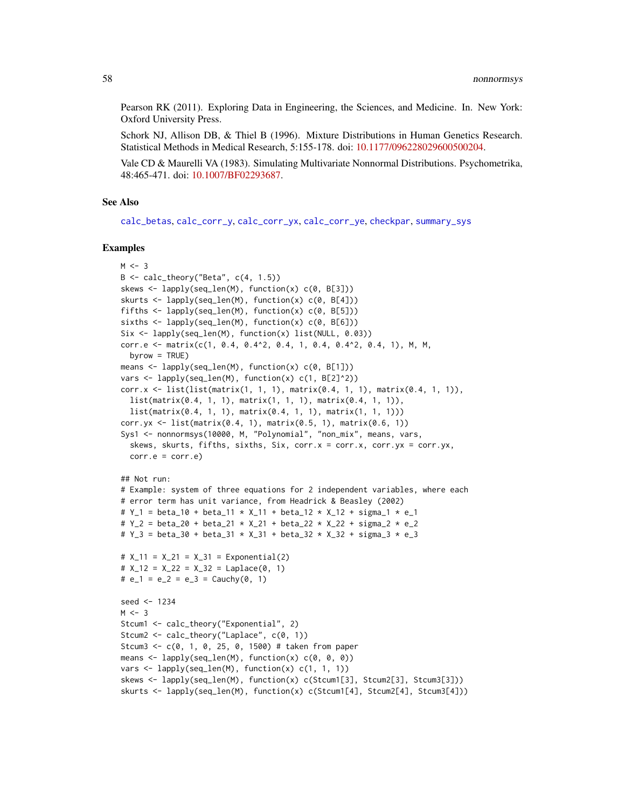Pearson RK (2011). Exploring Data in Engineering, the Sciences, and Medicine. In. New York: Oxford University Press.

Schork NJ, Allison DB, & Thiel B (1996). Mixture Distributions in Human Genetics Research. Statistical Methods in Medical Research, 5:155-178. doi: [10.1177/096228029600500204.](http://doi.org/10.1177/096228029600500204)

Vale CD & Maurelli VA (1983). Simulating Multivariate Nonnormal Distributions. Psychometrika, 48:465-471. doi: [10.1007/BF02293687.](http://doi.org/10.1007/BF02293687)

# See Also

[calc\\_betas](#page-3-0), [calc\\_corr\\_y](#page-5-0), [calc\\_corr\\_yx](#page-9-0), [calc\\_corr\\_ye](#page-7-0), [checkpar](#page-11-0), [summary\\_sys](#page-62-0)

# Examples

```
M < -3B \leq - \text{calc\_theory}('Beta', c(4, 1.5))skews <- lapply(seq_len(M), function(x) c(0, B[3]))
skurts <- lapply(seq_len(M), function(x) c(0, B[4]))
fifths \leq lapply(seq_len(M), function(x) c(0, B[5]))
sixths \leq lapply(seq_len(M), function(x) c(0, B[6]))
Six <- lapply(seq_len(M), function(x) list(NULL, 0.03))
corr.e <- matrix(c(1, 0.4, 0.4^2, 0.4, 1, 0.4, 0.4^2, 0.4, 1), M, M,
  byrow = TRUE)
means <- lapply(seq_len(M), function(x) c(0, B[1]))
vars \leq lapply(seq_len(M), function(x) c(1, B[2]^2))
corr.x <- list(list(matrix(1, 1, 1), matrix(0.4, 1, 1), matrix(0.4, 1, 1)),
 list(matrix(0.4, 1, 1), matrix(1, 1, 1), matrix(0.4, 1, 1)),
  list(matrix(0.4, 1, 1), matrix(0.4, 1, 1), matrix(1, 1, 1)))
corr.yx <- list(matrix(0.4, 1), matrix(0.5, 1), matrix(0.6, 1))
Sys1 <- nonnormsys(10000, M, "Polynomial", "non_mix", means, vars,
  skews, skurts, fifths, sixths, Six, corr.x = corr.x, corr.yx = corr.yx,
  corr.e = corr.e)## Not run:
# Example: system of three equations for 2 independent variables, where each
# error term has unit variance, from Headrick & Beasley (2002)
# Y_1 = beta_10 + beta_11 * X_11 + beta_12 * X_12 + sigma_1 * e_1
# Y_2 = beta_20 + beta_21 * X_21 + beta_22 * X_22 + sigma_2 * e_2
# Y_3 = beta_30 + beta_31 * X_31 + beta_32 * X_32 + sigma_3 * e_3
# X_11 = X_21 = X_31 = Exponential(2)
# X_12 = X_22 = X_32 = Laplace(0, 1)\# e_1 = e_2 = e_3 = Cauchy(0, 1)
seed <- 1234
M < - 3Stcum1 <- calc_theory("Exponential", 2)
Stcum2 <- calc_theory("Laplace", c(0, 1))
Stcum3 <- c(0, 1, 0, 25, 0, 1500) # taken from paper
means \leq lapply(seq_len(M), function(x) c(\emptyset, \emptyset, \emptyset))
vars \leq lapply(seq_len(M), function(x) c(1, 1, 1))
skews <- lapply(seq_len(M), function(x) c(Stcum1[3], Stcum2[3], Stcum3[3]))
skurts <- lapply(seq_len(M), function(x) c(Stcum1[4], Stcum2[4], Stcum3[4]))
```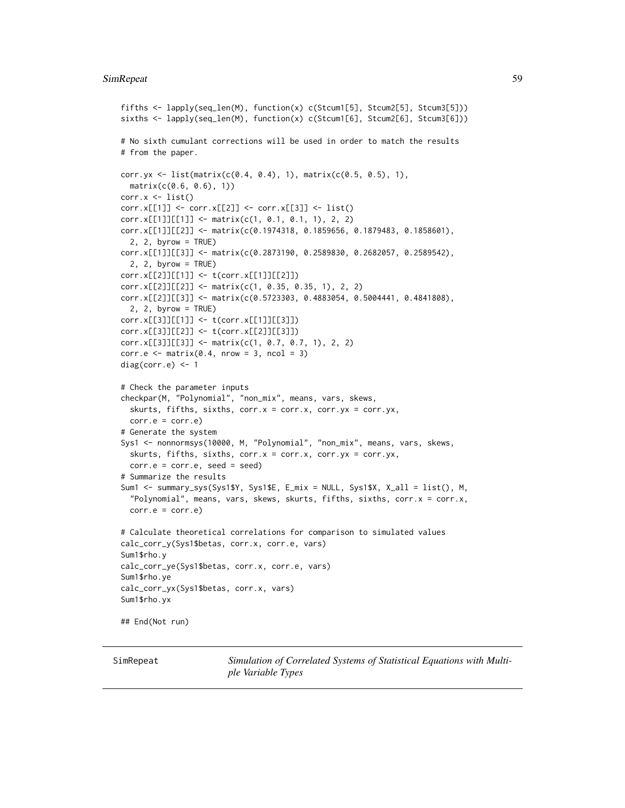### SimRepeat 59

```
fifths <- lapply(seq_len(M), function(x) c(Stcum1[5], Stcum2[5], Stcum3[5]))
sixths <- lapply(seq_len(M), function(x) c(Stcum1[6], Stcum2[6], Stcum3[6]))
# No sixth cumulant corrections will be used in order to match the results
# from the paper.
corr.yx <- list(matrix(c(0.4, 0.4), 1), matrix(c(0.5, 0.5), 1),
  matrix(c(0.6, 0.6), 1))
corr.x \leftarrow list()corr.x[[1]] <- corr.x[[2]] <- corr.x[[3]] <- list()
corr.x[[1]][[1]] \leftarrow matrix(c(1, 0.1, 0.1, 1), 2, 2)corr.x[[1]][[2]] <- matrix(c(0.1974318, 0.1859656, 0.1879483, 0.1858601),
  2, 2, byrow = TRUE)
corr.x[[1]][[3]] <- matrix(c(0.2873190, 0.2589830, 0.2682057, 0.2589542),
  2, 2, byrow = TRUE)
corr.x[[2]][[1]] <- t(corr.x[[1]][[2]])
corr.x[[2]][[2]] <- matrix(c(1, 0.35, 0.35, 1), 2, 2)
corr.x[[2]][[3]] <- matrix(c(0.5723303, 0.4883054, 0.5004441, 0.4841808),
  2, 2, byrow = TRUE)
corr.x[[3]][[1]] <- t(corr.x[[1]][[3]])
corr.x[[3]][[2]] <- t(corr.x[[2]][[3]])
corr.x[[3]][[3]] \leftarrow matrix(c(1, 0.7, 0.7, 1), 2, 2)corr.e <- matrix(0.4, nrow = 3, ncol = 3)diag(corr.e) <-1# Check the parameter inputs
checkpar(M, "Polynomial", "non_mix", means, vars, skews,
  skurts, fifths, sixths, corr.x = corr.x, corr.yx = corr.yx,
  corr.e = corr.e)# Generate the system
Sys1 <- nonnormsys(10000, M, "Polynomial", "non_mix", means, vars, skews,
  skurts, fifths, sixths, corr.x = corr.x, corr.yx = corr.yx,
  corr.e = corr.e, seed = seed)# Summarize the results
Sum1 <- summary_sys(Sys1$Y, Sys1$E, E_mix = NULL, Sys1$X, X_all = list(), M,
  "Polynomial", means, vars, skews, skurts, fifths, sixths, corr.x = corr.x,
  corr.e = corr.e)# Calculate theoretical correlations for comparison to simulated values
calc_corr_y(Sys1$betas, corr.x, corr.e, vars)
Sum1$rho.y
calc_corr_ye(Sys1$betas, corr.x, corr.e, vars)
Sum1$rho.ye
calc_corr_yx(Sys1$betas, corr.x, vars)
Sum1$rho.yx
## End(Not run)
```
<span id="page-58-0"></span>SimRepeat *Simulation of Correlated Systems of Statistical Equations with Multiple Variable Types*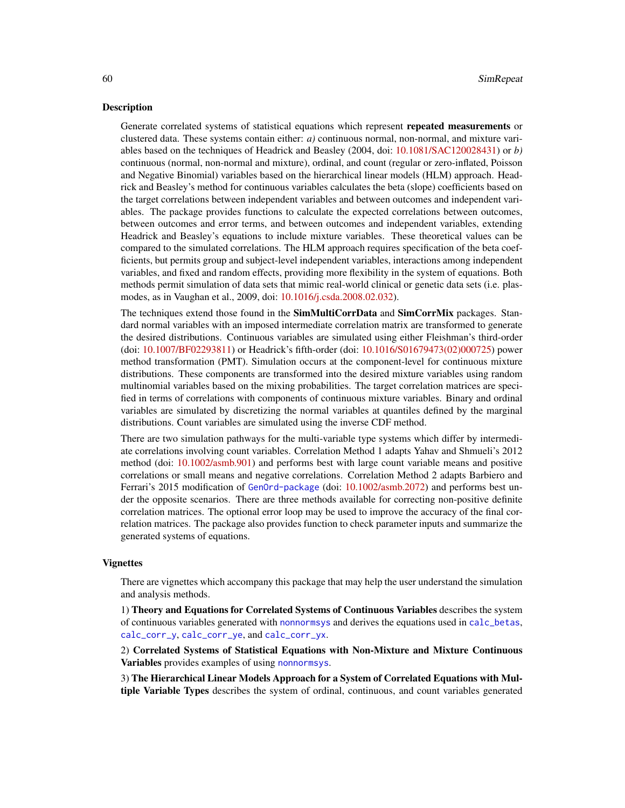# Description

Generate correlated systems of statistical equations which represent repeated measurements or clustered data. These systems contain either: *a)* continuous normal, non-normal, and mixture variables based on the techniques of Headrick and Beasley (2004, doi: [10.1081/SAC120028431\)](http://doi.org/10.1081/SAC-120028431) or *b)* continuous (normal, non-normal and mixture), ordinal, and count (regular or zero-inflated, Poisson and Negative Binomial) variables based on the hierarchical linear models (HLM) approach. Headrick and Beasley's method for continuous variables calculates the beta (slope) coefficients based on the target correlations between independent variables and between outcomes and independent variables. The package provides functions to calculate the expected correlations between outcomes, between outcomes and error terms, and between outcomes and independent variables, extending Headrick and Beasley's equations to include mixture variables. These theoretical values can be compared to the simulated correlations. The HLM approach requires specification of the beta coefficients, but permits group and subject-level independent variables, interactions among independent variables, and fixed and random effects, providing more flexibility in the system of equations. Both methods permit simulation of data sets that mimic real-world clinical or genetic data sets (i.e. plasmodes, as in Vaughan et al., 2009, doi: [10.1016/j.csda.2008.02.032\)](http://doi.org/10.1016/j.csda.2008.02.032).

The techniques extend those found in the **SimMultiCorrData** and **SimCorrMix** packages. Standard normal variables with an imposed intermediate correlation matrix are transformed to generate the desired distributions. Continuous variables are simulated using either Fleishman's third-order (doi: [10.1007/BF02293811\)](http://doi.org/10.1007/BF02293811) or Headrick's fifth-order (doi: [10.1016/S01679473\(02\)000725\)](http://doi.org/10.1016/S0167-9473(02)00072-5) power method transformation (PMT). Simulation occurs at the component-level for continuous mixture distributions. These components are transformed into the desired mixture variables using random multinomial variables based on the mixing probabilities. The target correlation matrices are specified in terms of correlations with components of continuous mixture variables. Binary and ordinal variables are simulated by discretizing the normal variables at quantiles defined by the marginal distributions. Count variables are simulated using the inverse CDF method.

There are two simulation pathways for the multi-variable type systems which differ by intermediate correlations involving count variables. Correlation Method 1 adapts Yahav and Shmueli's 2012 method (doi: [10.1002/asmb.901\)](http://doi.org/10.1002/asmb.901) and performs best with large count variable means and positive correlations or small means and negative correlations. Correlation Method 2 adapts Barbiero and Ferrari's 2015 modification of [GenOrd-package](#page-0-0) (doi: [10.1002/asmb.2072\)](http://doi.org/10.1002/asmb.2072) and performs best under the opposite scenarios. There are three methods available for correcting non-positive definite correlation matrices. The optional error loop may be used to improve the accuracy of the final correlation matrices. The package also provides function to check parameter inputs and summarize the generated systems of equations.

# Vignettes

There are vignettes which accompany this package that may help the user understand the simulation and analysis methods.

1) Theory and Equations for Correlated Systems of Continuous Variables describes the system of continuous variables generated with [nonnormsys](#page-50-0) and derives the equations used in [calc\\_betas](#page-3-0), [calc\\_corr\\_y](#page-5-0), [calc\\_corr\\_ye](#page-7-0), and [calc\\_corr\\_yx](#page-9-0).

2) Correlated Systems of Statistical Equations with Non-Mixture and Mixture Continuous Variables provides examples of using [nonnormsys](#page-50-0).

3) The Hierarchical Linear Models Approach for a System of Correlated Equations with Multiple Variable Types describes the system of ordinal, continuous, and count variables generated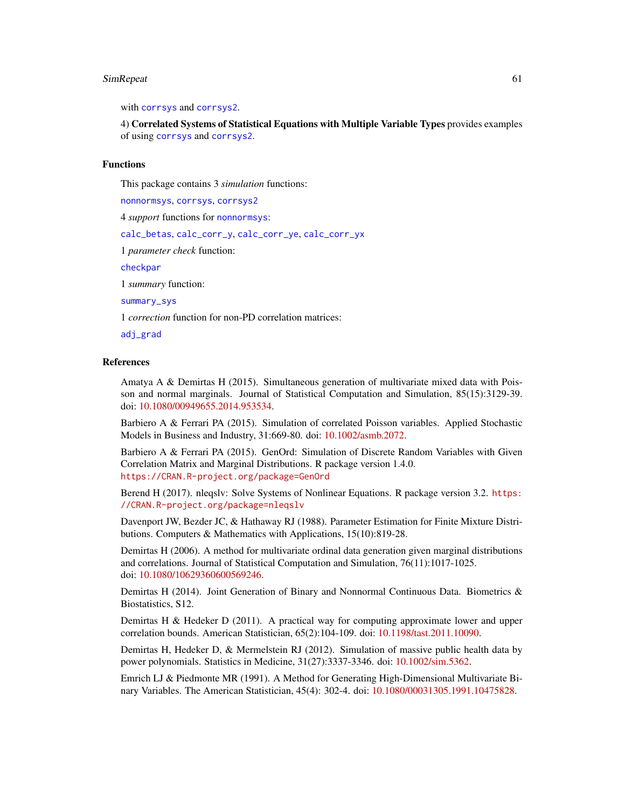### SimRepeat 61

with [corrsys](#page-20-0) and [corrsys2](#page-35-0).

4) Correlated Systems of Statistical Equations with Multiple Variable Types provides examples of using [corrsys](#page-20-0) and [corrsys2](#page-35-0).

# Functions

This package contains 3 *simulation* functions:

[nonnormsys](#page-50-0), [corrsys](#page-20-0), [corrsys2](#page-35-0)

4 *support* functions for [nonnormsys](#page-50-0):

[calc\\_betas](#page-3-0), [calc\\_corr\\_y](#page-5-0), [calc\\_corr\\_ye](#page-7-0), [calc\\_corr\\_yx](#page-9-0)

1 *parameter check* function:

[checkpar](#page-11-0)

1 *summary* function:

[summary\\_sys](#page-62-0)

1 *correction* function for non-PD correlation matrices:

[adj\\_grad](#page-2-0)

#### References

Amatya A & Demirtas H (2015). Simultaneous generation of multivariate mixed data with Poisson and normal marginals. Journal of Statistical Computation and Simulation, 85(15):3129-39. doi: [10.1080/00949655.2014.953534.](http://doi.org/10.1080/00949655.2014.953534)

Barbiero A & Ferrari PA (2015). Simulation of correlated Poisson variables. Applied Stochastic Models in Business and Industry, 31:669-80. doi: [10.1002/asmb.2072.](http://doi.org/10.1002/asmb.2072)

Barbiero A & Ferrari PA (2015). GenOrd: Simulation of Discrete Random Variables with Given Correlation Matrix and Marginal Distributions. R package version 1.4.0. <https://CRAN.R-project.org/package=GenOrd>

Berend H (2017). nleqslv: Solve Systems of Nonlinear Equations. R package version 3.2. [https:](https://CRAN.R-project.org/package=nleqslv) [//CRAN.R-project.org/package=nleqslv](https://CRAN.R-project.org/package=nleqslv)

Davenport JW, Bezder JC, & Hathaway RJ (1988). Parameter Estimation for Finite Mixture Distributions. Computers & Mathematics with Applications, 15(10):819-28.

Demirtas H (2006). A method for multivariate ordinal data generation given marginal distributions and correlations. Journal of Statistical Computation and Simulation, 76(11):1017-1025. doi: [10.1080/10629360600569246.](http://doi.org/10.1080/10629360600569246)

Demirtas H (2014). Joint Generation of Binary and Nonnormal Continuous Data. Biometrics & Biostatistics, S12.

Demirtas H & Hedeker D (2011). A practical way for computing approximate lower and upper correlation bounds. American Statistician, 65(2):104-109. doi: [10.1198/tast.2011.10090.](http://doi.org/10.1198/tast.2011.10090)

Demirtas H, Hedeker D, & Mermelstein RJ (2012). Simulation of massive public health data by power polynomials. Statistics in Medicine, 31(27):3337-3346. doi: [10.1002/sim.5362.](http://doi.org/10.1002/sim.5362)

Emrich LJ & Piedmonte MR (1991). A Method for Generating High-Dimensional Multivariate Binary Variables. The American Statistician, 45(4): 302-4. doi: [10.1080/00031305.1991.10475828.](http://doi.org/10.1080/00031305.1991.10475828)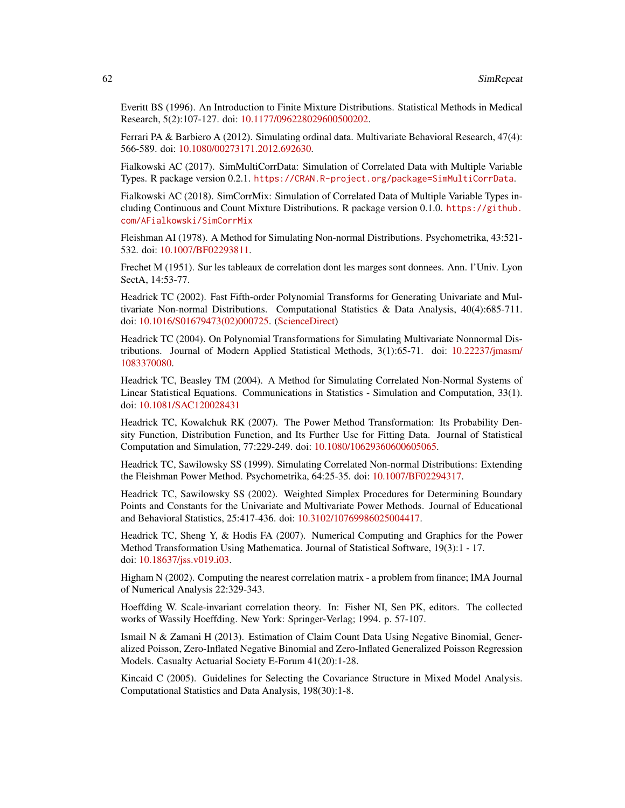Everitt BS (1996). An Introduction to Finite Mixture Distributions. Statistical Methods in Medical Research, 5(2):107-127. doi: [10.1177/096228029600500202.](http://doi.org/10.1177/096228029600500202)

Ferrari PA & Barbiero A (2012). Simulating ordinal data. Multivariate Behavioral Research, 47(4): 566-589. doi: [10.1080/00273171.2012.692630.](http://doi.org/10.1080/00273171.2012.692630)

Fialkowski AC (2017). SimMultiCorrData: Simulation of Correlated Data with Multiple Variable Types. R package version 0.2.1. <https://CRAN.R-project.org/package=SimMultiCorrData>.

Fialkowski AC (2018). SimCorrMix: Simulation of Correlated Data of Multiple Variable Types including Continuous and Count Mixture Distributions. R package version 0.1.0. [https://github.](https://github.com/AFialkowski/SimCorrMix) [com/AFialkowski/SimCorrMix](https://github.com/AFialkowski/SimCorrMix)

Fleishman AI (1978). A Method for Simulating Non-normal Distributions. Psychometrika, 43:521- 532. doi: [10.1007/BF02293811.](http://doi.org/10.1007/BF02293811)

Frechet M (1951). Sur les tableaux de correlation dont les marges sont donnees. Ann. l'Univ. Lyon SectA, 14:53-77.

Headrick TC (2002). Fast Fifth-order Polynomial Transforms for Generating Univariate and Multivariate Non-normal Distributions. Computational Statistics & Data Analysis, 40(4):685-711. doi: [10.1016/S01679473\(02\)000725.](http://doi.org/10.1016/S0167-9473(02)00072-5) [\(ScienceDirect\)](http://www.sciencedirect.com/science/article/pii/S0167947302000725)

Headrick TC (2004). On Polynomial Transformations for Simulating Multivariate Nonnormal Distributions. Journal of Modern Applied Statistical Methods, 3(1):65-71. doi: [10.22237/jmasm/](http://doi.org/10.22237/jmasm/1083370080) [1083370080.](http://doi.org/10.22237/jmasm/1083370080)

Headrick TC, Beasley TM (2004). A Method for Simulating Correlated Non-Normal Systems of Linear Statistical Equations. Communications in Statistics - Simulation and Computation, 33(1). doi: [10.1081/SAC120028431](http://doi.org/10.1081/SAC-120028431)

Headrick TC, Kowalchuk RK (2007). The Power Method Transformation: Its Probability Density Function, Distribution Function, and Its Further Use for Fitting Data. Journal of Statistical Computation and Simulation, 77:229-249. doi: [10.1080/10629360600605065.](http://doi.org/10.1080/10629360600605065)

Headrick TC, Sawilowsky SS (1999). Simulating Correlated Non-normal Distributions: Extending the Fleishman Power Method. Psychometrika, 64:25-35. doi: [10.1007/BF02294317.](http://doi.org/10.1007/BF02294317)

Headrick TC, Sawilowsky SS (2002). Weighted Simplex Procedures for Determining Boundary Points and Constants for the Univariate and Multivariate Power Methods. Journal of Educational and Behavioral Statistics, 25:417-436. doi: [10.3102/10769986025004417.](http://doi.org/10.3102/10769986025004417)

Headrick TC, Sheng Y, & Hodis FA (2007). Numerical Computing and Graphics for the Power Method Transformation Using Mathematica. Journal of Statistical Software, 19(3):1 - 17. doi: [10.18637/jss.v019.i03.](http://doi.org/10.18637/jss.v019.i03)

Higham N (2002). Computing the nearest correlation matrix - a problem from finance; IMA Journal of Numerical Analysis 22:329-343.

Hoeffding W. Scale-invariant correlation theory. In: Fisher NI, Sen PK, editors. The collected works of Wassily Hoeffding. New York: Springer-Verlag; 1994. p. 57-107.

Ismail N & Zamani H (2013). Estimation of Claim Count Data Using Negative Binomial, Generalized Poisson, Zero-Inflated Negative Binomial and Zero-Inflated Generalized Poisson Regression Models. Casualty Actuarial Society E-Forum 41(20):1-28.

Kincaid C (2005). Guidelines for Selecting the Covariance Structure in Mixed Model Analysis. Computational Statistics and Data Analysis, 198(30):1-8.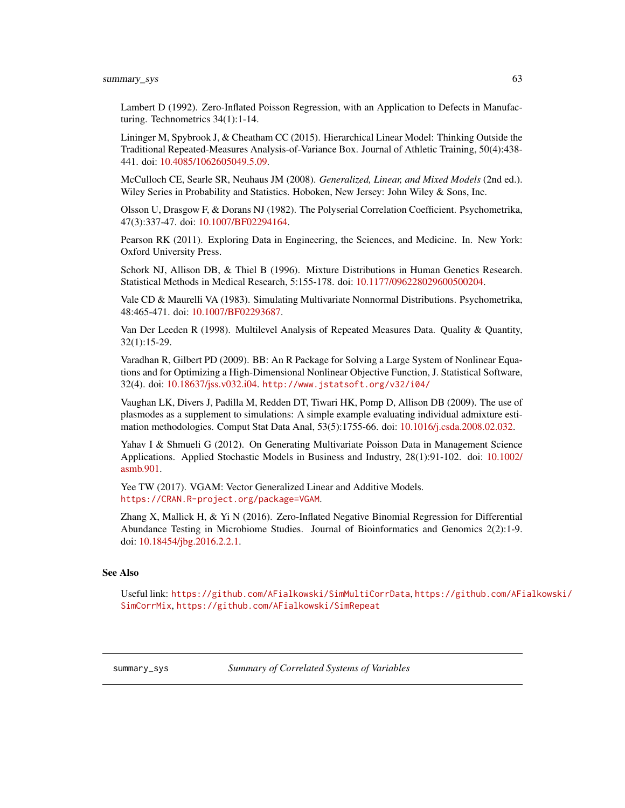# summary\_sys 63

Lambert D (1992). Zero-Inflated Poisson Regression, with an Application to Defects in Manufacturing. Technometrics 34(1):1-14.

Lininger M, Spybrook J, & Cheatham CC (2015). Hierarchical Linear Model: Thinking Outside the Traditional Repeated-Measures Analysis-of-Variance Box. Journal of Athletic Training, 50(4):438- 441. doi: [10.4085/1062605049.5.09.](http://doi.org/10.4085/1062-6050-49.5.09)

McCulloch CE, Searle SR, Neuhaus JM (2008). *Generalized, Linear, and Mixed Models* (2nd ed.). Wiley Series in Probability and Statistics. Hoboken, New Jersey: John Wiley & Sons, Inc.

Olsson U, Drasgow F, & Dorans NJ (1982). The Polyserial Correlation Coefficient. Psychometrika, 47(3):337-47. doi: [10.1007/BF02294164.](http://doi.org/10.1007/BF02294164)

Pearson RK (2011). Exploring Data in Engineering, the Sciences, and Medicine. In. New York: Oxford University Press.

Schork NJ, Allison DB, & Thiel B (1996). Mixture Distributions in Human Genetics Research. Statistical Methods in Medical Research, 5:155-178. doi: [10.1177/096228029600500204.](http://doi.org/10.1177/096228029600500204)

Vale CD & Maurelli VA (1983). Simulating Multivariate Nonnormal Distributions. Psychometrika, 48:465-471. doi: [10.1007/BF02293687.](http://doi.org/10.1007/BF02293687)

Van Der Leeden R (1998). Multilevel Analysis of Repeated Measures Data. Quality & Quantity, 32(1):15-29.

Varadhan R, Gilbert PD (2009). BB: An R Package for Solving a Large System of Nonlinear Equations and for Optimizing a High-Dimensional Nonlinear Objective Function, J. Statistical Software, 32(4). doi: [10.18637/jss.v032.i04.](http://doi.org/10.18637/jss.v032.i04) <http://www.jstatsoft.org/v32/i04/>

Vaughan LK, Divers J, Padilla M, Redden DT, Tiwari HK, Pomp D, Allison DB (2009). The use of plasmodes as a supplement to simulations: A simple example evaluating individual admixture estimation methodologies. Comput Stat Data Anal, 53(5):1755-66. doi: [10.1016/j.csda.2008.02.032.](http://doi.org/10.1016/j.csda.2008.02.032)

Yahav I & Shmueli G (2012). On Generating Multivariate Poisson Data in Management Science Applications. Applied Stochastic Models in Business and Industry, 28(1):91-102. doi: [10.1002/](http://doi.org/10.1002/asmb.901) [asmb.901.](http://doi.org/10.1002/asmb.901)

Yee TW (2017). VGAM: Vector Generalized Linear and Additive Models. <https://CRAN.R-project.org/package=VGAM>.

Zhang X, Mallick H, & Yi N (2016). Zero-Inflated Negative Binomial Regression for Differential Abundance Testing in Microbiome Studies. Journal of Bioinformatics and Genomics 2(2):1-9. doi: [10.18454/jbg.2016.2.2.1.](http://doi.org/10.18454/jbg.2016.2.2.1)

#### See Also

Useful link: <https://github.com/AFialkowski/SimMultiCorrData>, [https://github.com/AFi](https://github.com/AFialkowski/SimCorrMix)alkowski/ [SimCorrMix](https://github.com/AFialkowski/SimCorrMix), <https://github.com/AFialkowski/SimRepeat>

<span id="page-62-0"></span>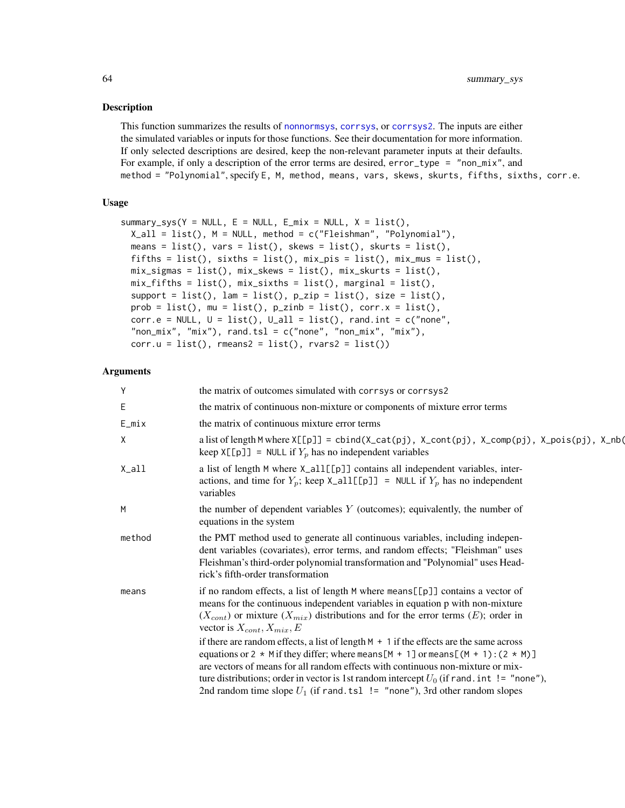# Description

This function summarizes the results of [nonnormsys](#page-50-0), [corrsys](#page-20-0), or [corrsys2](#page-35-0). The inputs are either the simulated variables or inputs for those functions. See their documentation for more information. If only selected descriptions are desired, keep the non-relevant parameter inputs at their defaults. For example, if only a description of the error terms are desired,  $error_type = "non_matrix",$  and method = "Polynomial", specify E, M, method, means, vars, skews, skurts, fifths, sixths, corr.e.

# Usage

```
summary_sys(Y = NULL, E = NULL, E_mix = NULL, X = list(),
 X<sup>-all =</sup> list(), M = NULL, method = c("Fleishman", "Polynomial"),
 means = list(), vars = list(), skews = list(), skurts = list(),
  fifths = list(), sixths = list(), mix\_pis = list(), mix\_mus = list(),
 mix_sigmas = list(), mix_skews = list(), mix_skurts = list(),
 mix_fifths = list(), mix_sixths = list(), margin = list(),support = list(), lam = list(), p_zzip = list(), size = list(),
  prob = list(), mu = list(), p_zinh = list(), corr.x = list(),corr.e = NULL, U = list(), U_a11 = list(), rand.int = c("none","non\_mix", "mix"), rand.tsl = c("none", "non\_mix", "mix"),corr.u = list(), \text{ }rmeans2 = list(), \text{ }rvars2 = list())
```
# Arguments

| Y        | the matrix of outcomes simulated with corrsys or corrsys2                                                                                                                                                                                                                                                                                                                                                                                               |
|----------|---------------------------------------------------------------------------------------------------------------------------------------------------------------------------------------------------------------------------------------------------------------------------------------------------------------------------------------------------------------------------------------------------------------------------------------------------------|
| Ε        | the matrix of continuous non-mixture or components of mixture error terms                                                                                                                                                                                                                                                                                                                                                                               |
| $E_m$ ix | the matrix of continuous mixture error terms                                                                                                                                                                                                                                                                                                                                                                                                            |
| X        | a list of length M where $X[[p]] = \text{cbind}(X_{\text{cat}}(pj), X_{\text{cont}}(pj), X_{\text{cont}}(pj), X_{\text{point}}(pj), X_{\text{point}}(obj), X_{\text{right}}(obj))$<br>keep $X[\lfloor p \rfloor]$ = NULL if $Y_p$ has no independent variables                                                                                                                                                                                          |
| X_all    | a list of length M where X_all[[p]] contains all independent variables, inter-<br>actions, and time for $Y_p$ ; keep $X_a11[[p]] = NULL$ if $Y_p$ has no independent<br>variables                                                                                                                                                                                                                                                                       |
| M        | the number of dependent variables $Y$ (outcomes); equivalently, the number of<br>equations in the system                                                                                                                                                                                                                                                                                                                                                |
| method   | the PMT method used to generate all continuous variables, including indepen-<br>dent variables (covariates), error terms, and random effects; "Fleishman" uses<br>Fleishman's third-order polynomial transformation and "Polynomial" uses Head-<br>rick's fifth-order transformation                                                                                                                                                                    |
| means    | if no random effects, a list of length M where means [[p]] contains a vector of<br>means for the continuous independent variables in equation p with non-mixture<br>$(X_{cont})$ or mixture $(X_{mix})$ distributions and for the error terms $(E)$ ; order in<br>vector is $X_{cont}$ , $X_{mix}$ , $E$                                                                                                                                                |
|          | if there are random effects, a list of length $M + 1$ if the effects are the same across<br>equations or 2 $*$ M if they differ; where means [M + 1] or means [(M + 1): (2 $*$ M)]<br>are vectors of means for all random effects with continuous non-mixture or mix-<br>ture distributions; order in vector is 1st random intercept $U_0$ (if rand. int != "none"),<br>2nd random time slope $U_1$ (if rand. tsl $!=$ "none"), 3rd other random slopes |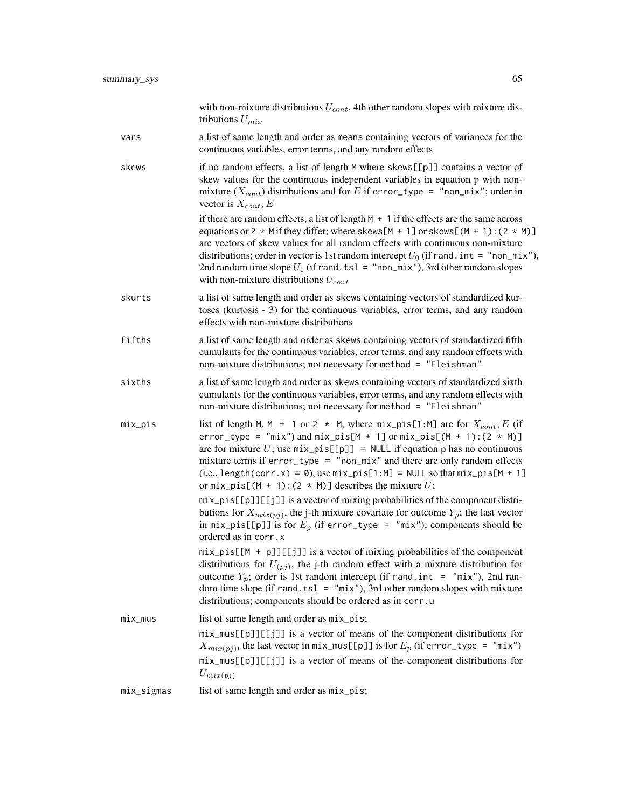|            | with non-mixture distributions $U_{cont}$ , 4th other random slopes with mixture dis-<br>tributions $U_{mix}$                                                                                                                                                                                                                                                                                                                                                                                   |
|------------|-------------------------------------------------------------------------------------------------------------------------------------------------------------------------------------------------------------------------------------------------------------------------------------------------------------------------------------------------------------------------------------------------------------------------------------------------------------------------------------------------|
| vars       | a list of same length and order as means containing vectors of variances for the<br>continuous variables, error terms, and any random effects                                                                                                                                                                                                                                                                                                                                                   |
| skews      | if no random effects, a list of length M where skews[[p]] contains a vector of<br>skew values for the continuous independent variables in equation p with non-<br>mixture $(X_{cont})$ distributions and for E if error_type = "non_mix"; order in<br>vector is $X_{cont}$ , E                                                                                                                                                                                                                  |
|            | if there are random effects, a list of length $M + 1$ if the effects are the same across<br>equations or 2 $*$ M if they differ; where skews [M + 1] or skews [(M + 1): (2 $*$ M)]<br>are vectors of skew values for all random effects with continuous non-mixture<br>distributions; order in vector is 1st random intercept $U_0$ (if rand. int = "non_mix"),<br>2nd random time slope $U_1$ (if rand. tsl = "non_mix"), 3rd other random slopes<br>with non-mixture distributions $U_{cont}$ |
| skurts     | a list of same length and order as skews containing vectors of standardized kur-<br>toses (kurtosis - 3) for the continuous variables, error terms, and any random<br>effects with non-mixture distributions                                                                                                                                                                                                                                                                                    |
| fifths     | a list of same length and order as skews containing vectors of standardized fifth<br>cumulants for the continuous variables, error terms, and any random effects with<br>non-mixture distributions; not necessary for method = "Fleishman"                                                                                                                                                                                                                                                      |
| sixths     | a list of same length and order as skews containing vectors of standardized sixth<br>cumulants for the continuous variables, error terms, and any random effects with<br>non-mixture distributions; not necessary for method = "Fleishman"                                                                                                                                                                                                                                                      |
| mix_pis    | list of length M, M + 1 or 2 $*$ M, where $mix\_pis[1:M]$ are for $X_{cont}$ , E (if<br>$error_type = "mix")$ and $mix_pis[M + 1]$ or $mix_pis[(M + 1):(2 * M)]$<br>are for mixture U; use $mix\_pis[[p]] = NULL$ if equation p has no continuous<br>mixture terms if $error_type = "non\_mix"$ and there are only random effects<br>$(i.e., length(corr.x) = 0), use mix-pis[1:M] = NULL so that mix-pis[M + 1]$<br>or $mix\_pis[(M + 1):(2 * M)]$ describes the mixture U;                    |
|            | mix_pis[[p]][[j]] is a vector of mixing probabilities of the component distri-<br>butions for $X_{mix(pj)}$ , the j-th mixture covariate for outcome $Y_p$ ; the last vector<br>in $mix\_pis[[p]]$ is for $E_p$ (if error_type = "mix"); components should be<br>ordered as in corr.x                                                                                                                                                                                                           |
|            | $mix\_pis[[M + p]][[jj]]$ is a vector of mixing probabilities of the component<br>distributions for $U_{(pj)}$ , the j-th random effect with a mixture distribution for<br>outcome $Y_p$ ; order is 1st random intercept (if rand. int = "mix"), 2nd ran-<br>dom time slope (if rand. tsl = $"mix"$ ), 3rd other random slopes with mixture<br>distributions; components should be ordered as in corr.u                                                                                         |
| $mix_mus$  | list of same length and order as $mix\_pis$ ;                                                                                                                                                                                                                                                                                                                                                                                                                                                   |
|            | mix_mus[[p]][[j]] is a vector of means of the component distributions for<br>$X_{mix(pj)}$ , the last vector in $mix\_mus[[p]]$ is for $E_p$ (if error_type = "mix")                                                                                                                                                                                                                                                                                                                            |
|            | mix_mus[[p]][[j]] is a vector of means of the component distributions for<br>$U_{mix(pj)}$                                                                                                                                                                                                                                                                                                                                                                                                      |
| mix_sigmas | list of same length and order as $mix\_pis$ ;                                                                                                                                                                                                                                                                                                                                                                                                                                                   |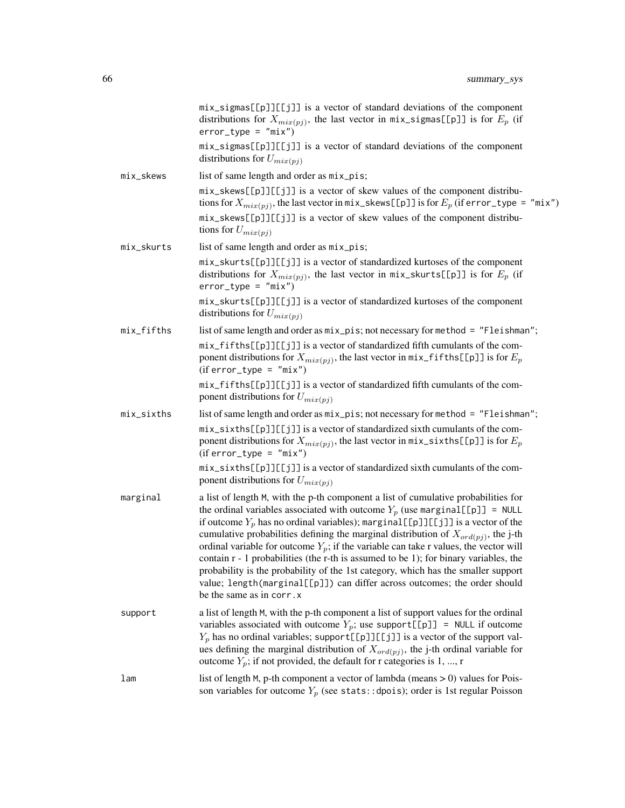|            | mix_sigmas[[p]][[j]] is a vector of standard deviations of the component<br>distributions for $X_{mix(pj)}$ , the last vector in mix_sigmas[[p]] is for $E_p$ (if<br>$error_type = "mix")$<br>mix_sigmas[[p]][[j]] is a vector of standard deviations of the component                                                                                                                                                                                                                                                                                                                                                                                                                                                                           |
|------------|--------------------------------------------------------------------------------------------------------------------------------------------------------------------------------------------------------------------------------------------------------------------------------------------------------------------------------------------------------------------------------------------------------------------------------------------------------------------------------------------------------------------------------------------------------------------------------------------------------------------------------------------------------------------------------------------------------------------------------------------------|
|            | distributions for $U_{mix(pj)}$                                                                                                                                                                                                                                                                                                                                                                                                                                                                                                                                                                                                                                                                                                                  |
| mix_skews  | list of same length and order as mix_pis;<br>mix_skews[[p]][[j]] is a vector of skew values of the component distribu-<br>tions for $X_{mix(pj)}$ , the last vector in mix_skews[[p]] is for $E_p$ (if error_type = "mix")<br>mix_skews[[p]][[j]] is a vector of skew values of the component distribu-<br>tions for $U_{mix(pj)}$                                                                                                                                                                                                                                                                                                                                                                                                               |
| mix_skurts | list of same length and order as $mix\_pis$ ;                                                                                                                                                                                                                                                                                                                                                                                                                                                                                                                                                                                                                                                                                                    |
|            | mix_skurts[[p]][[j]] is a vector of standardized kurtoses of the component<br>distributions for $X_{mix(pj)}$ , the last vector in mix_skurts[[p]] is for $E_p$ (if<br>$error_type = "mix")$                                                                                                                                                                                                                                                                                                                                                                                                                                                                                                                                                     |
|            | mix_skurts[[p]][[j]] is a vector of standardized kurtoses of the component<br>distributions for $U_{mix(pj)}$                                                                                                                                                                                                                                                                                                                                                                                                                                                                                                                                                                                                                                    |
| mix_fifths | list of same length and order as mix_pis; not necessary for method = "Fleishman";<br>mix_fifths[[p]][[j]] is a vector of standardized fifth cumulants of the com-<br>ponent distributions for $X_{mix(pj)}$ , the last vector in mix_fifths[[p]] is for $E_p$<br>$(iferror_type = "mix")$                                                                                                                                                                                                                                                                                                                                                                                                                                                        |
|            | mix_fifths[[p]][[j]] is a vector of standardized fifth cumulants of the com-<br>ponent distributions for $U_{mix(pj)}$                                                                                                                                                                                                                                                                                                                                                                                                                                                                                                                                                                                                                           |
| mix_sixths | list of same length and order as mix_pis; not necessary for method = "Fleishman";                                                                                                                                                                                                                                                                                                                                                                                                                                                                                                                                                                                                                                                                |
|            | mix_sixths[[p]][[j]] is a vector of standardized sixth cumulants of the com-<br>ponent distributions for $X_{mix(pj)}$ , the last vector in $mix\_sixths[[p]]$ is for $E_p$<br>$(iferror_type = "mix")$                                                                                                                                                                                                                                                                                                                                                                                                                                                                                                                                          |
|            | mix_sixths[[p]][[j]] is a vector of standardized sixth cumulants of the com-<br>ponent distributions for $U_{mix(pj)}$                                                                                                                                                                                                                                                                                                                                                                                                                                                                                                                                                                                                                           |
| marginal   | a list of length M, with the p-th component a list of cumulative probabilities for<br>the ordinal variables associated with outcome $Y_p$ (use marginal [[p]] = NULL<br>if outcome $Y_p$ has no ordinal variables); marginal [[p]][[j]] is a vector of the<br>cumulative probabilities defining the marginal distribution of $X_{\text{ord}(pi)}$ , the j-th<br>ordinal variable for outcome $Y_p$ ; if the variable can take r values, the vector will<br>contain $r - 1$ probabilities (the r-th is assumed to be 1); for binary variables, the<br>probability is the probability of the 1st category, which has the smaller support<br>value; length(marginal[[p]]) can differ across outcomes; the order should<br>be the same as in corr. x |
| support    | a list of length M, with the p-th component a list of support values for the ordinal<br>variables associated with outcome $Y_p$ ; use support[[p]] = NULL if outcome<br>$Y_p$ has no ordinal variables; support [[p]][[j]] is a vector of the support val-<br>ues defining the marginal distribution of $X_{\text{ord}(pj)}$ , the j-th ordinal variable for<br>outcome $Y_p$ ; if not provided, the default for r categories is 1, , r                                                                                                                                                                                                                                                                                                          |
| lam        | list of length $M$ , p-th component a vector of lambda (means $> 0$ ) values for Pois-<br>son variables for outcome $Y_p$ (see stats::dpois); order is 1st regular Poisson                                                                                                                                                                                                                                                                                                                                                                                                                                                                                                                                                                       |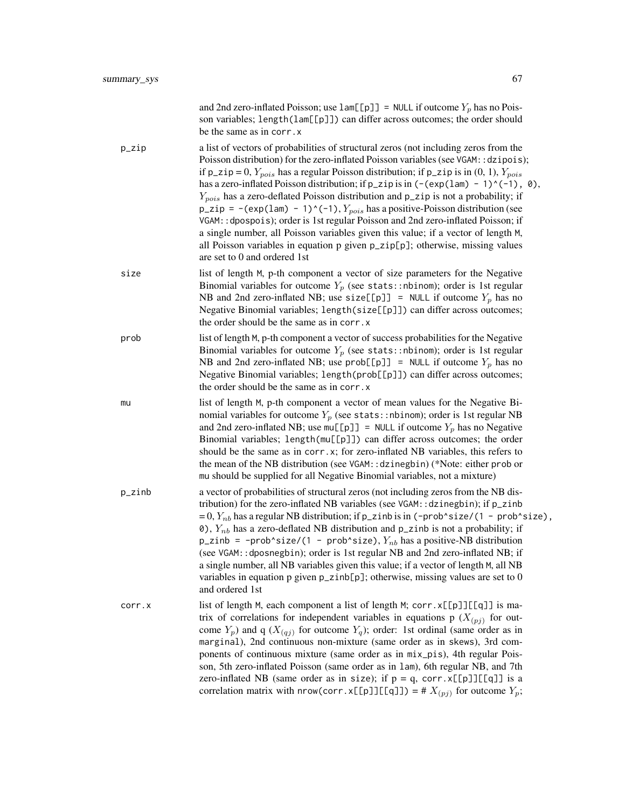|        | and 2nd zero-inflated Poisson; use $lam[[p]] = NULL$ if outcome $Y_p$ has no Pois-<br>son variables; length(lam[[p]]) can differ across outcomes; the order should<br>be the same as in corr. x                                                                                                                                                                                                                                                                                                                                                                                                                                                                                                                                                                                                                                                                       |
|--------|-----------------------------------------------------------------------------------------------------------------------------------------------------------------------------------------------------------------------------------------------------------------------------------------------------------------------------------------------------------------------------------------------------------------------------------------------------------------------------------------------------------------------------------------------------------------------------------------------------------------------------------------------------------------------------------------------------------------------------------------------------------------------------------------------------------------------------------------------------------------------|
| p_zip  | a list of vectors of probabilities of structural zeros (not including zeros from the<br>Poisson distribution) for the zero-inflated Poisson variables (see VGAM:: dzipois);<br>if $p_z$ ip = 0, $Y_{pois}$ has a regular Poisson distribution; if $p_z$ ip is in (0, 1), $Y_{pois}$<br>has a zero-inflated Poisson distribution; if $p_z$ ip is in $(-(\exp(\text{lam}) - 1)^(-1)$ , 0),<br>$Y_{pois}$ has a zero-deflated Poisson distribution and p_zip is not a probability; if<br>$p_z$ zip = -(exp(1am) - 1)^(-1), $Y_{pois}$ has a positive-Poisson distribution (see<br>VGAM:: dpospois); order is 1st regular Poisson and 2nd zero-inflated Poisson; if<br>a single number, all Poisson variables given this value; if a vector of length M,<br>all Poisson variables in equation p given p_zip[p]; otherwise, missing values<br>are set to 0 and ordered 1st |
| size   | list of length M, p-th component a vector of size parameters for the Negative<br>Binomial variables for outcome $Y_p$ (see stats::nbinom); order is 1st regular<br>NB and 2nd zero-inflated NB; use size[[p]] = NULL if outcome $Y_p$ has no<br>Negative Binomial variables; length(size[[p]]) can differ across outcomes;<br>the order should be the same as in corr. x                                                                                                                                                                                                                                                                                                                                                                                                                                                                                              |
| prob   | list of length M, p-th component a vector of success probabilities for the Negative<br>Binomial variables for outcome $Y_p$ (see stats::nbinom); order is 1st regular<br>NB and 2nd zero-inflated NB; use prob[[p]] = NULL if outcome $Y_p$ has no<br>Negative Binomial variables; length(prob[[p]]) can differ across outcomes;<br>the order should be the same as in corr. x                                                                                                                                                                                                                                                                                                                                                                                                                                                                                        |
| mu     | list of length M, p-th component a vector of mean values for the Negative Bi-<br>nomial variables for outcome $Y_p$ (see stats::nbinom); order is 1st regular NB<br>and 2nd zero-inflated NB; use $mu[[p]] = NULL$ if outcome $Y_p$ has no Negative<br>Binomial variables; length(mu[[p]]) can differ across outcomes; the order<br>should be the same as in corr.x; for zero-inflated NB variables, this refers to<br>the mean of the NB distribution (see VGAM: : dzinegbin) (*Note: either prob or<br>mu should be supplied for all Negative Binomial variables, not a mixture)                                                                                                                                                                                                                                                                                    |
| p_zinb | a vector of probabilities of structural zeros (not including zeros from the NB dis-<br>tribution) for the zero-inflated NB variables (see VGAM:: dzinegbin); if p_zinb<br>$= 0, Y_{nb}$ has a regular NB distribution; if p_zinb is in (-prob^size/(1 - prob^size),<br>0), $Y_{nb}$ has a zero-deflated NB distribution and p_zinb is not a probability; if<br>p_zinb = -prob^size/(1 - prob^size), $Y_{nb}$ has a positive-NB distribution<br>(see VGAM:: dposnegbin); order is 1st regular NB and 2nd zero-inflated NB; if<br>a single number, all NB variables given this value; if a vector of length M, all NB<br>variables in equation p given $p$ _zinb[ $p$ ]; otherwise, missing values are set to 0<br>and ordered 1st                                                                                                                                      |
| corr.x | list of length M, each component a list of length M; corr. x[[p]][[q]] is ma-<br>trix of correlations for independent variables in equations p $(X_{(pj)})$ for out-<br>come $Y_p$ ) and q ( $X_{(qj)}$ for outcome $Y_q$ ); order: 1st ordinal (same order as in<br>marginal), 2nd continuous non-mixture (same order as in skews), 3rd com-<br>ponents of continuous mixture (same order as in mix_pis), 4th regular Pois-<br>son, 5th zero-inflated Poisson (same order as in 1am), 6th regular NB, and 7th<br>zero-inflated NB (same order as in size); if $p = q$ , corr. $x[[p]][[q]]$ is a<br>correlation matrix with nrow(corr.x[[p]][[q]]) = # $X_{(pj)}$ for outcome $Y_p$ ;                                                                                                                                                                                |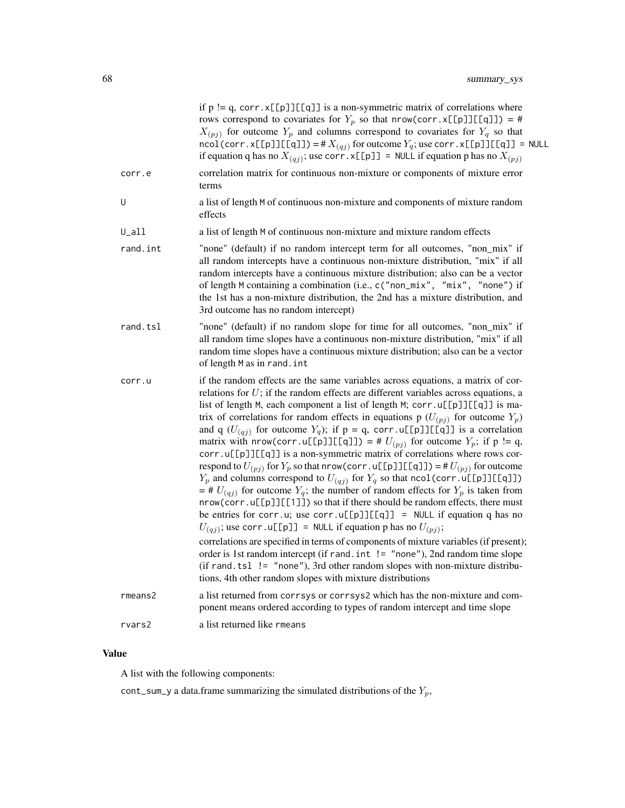|               | if $p := q$ , corr. x[[p]][[q]] is a non-symmetric matrix of correlations where<br>rows correspond to covariates for $Y_p$ so that nrow(corr.x[[p]][[q]]) = #<br>$X_{(pj)}$ for outcome $Y_p$ and columns correspond to covariates for $Y_q$ so that<br>$\text{ncol}(\text{corr} \cdot \text{x}[\text{p}]][\text{q}]] = #X_{(qj)}$ for outcome $Y_q$ ; use corr $\text{x}[\text{p}]][\text{q}]] = \text{NULL}$<br>if equation q has no $X_{(qj)}$ ; use corr. x[[p]] = NULL if equation p has no $X_{(pj)}$                                                                                                                                                                                                                                                                                                                                                                                                                                                                                                                                                                                                                                                                                                                                                                                                                                                                                                                                                  |
|---------------|--------------------------------------------------------------------------------------------------------------------------------------------------------------------------------------------------------------------------------------------------------------------------------------------------------------------------------------------------------------------------------------------------------------------------------------------------------------------------------------------------------------------------------------------------------------------------------------------------------------------------------------------------------------------------------------------------------------------------------------------------------------------------------------------------------------------------------------------------------------------------------------------------------------------------------------------------------------------------------------------------------------------------------------------------------------------------------------------------------------------------------------------------------------------------------------------------------------------------------------------------------------------------------------------------------------------------------------------------------------------------------------------------------------------------------------------------------------|
| corr.e        | correlation matrix for continuous non-mixture or components of mixture error<br>terms                                                                                                                                                                                                                                                                                                                                                                                                                                                                                                                                                                                                                                                                                                                                                                                                                                                                                                                                                                                                                                                                                                                                                                                                                                                                                                                                                                        |
| U             | a list of length M of continuous non-mixture and components of mixture random<br>effects                                                                                                                                                                                                                                                                                                                                                                                                                                                                                                                                                                                                                                                                                                                                                                                                                                                                                                                                                                                                                                                                                                                                                                                                                                                                                                                                                                     |
| $U_a$ ll      | a list of length M of continuous non-mixture and mixture random effects                                                                                                                                                                                                                                                                                                                                                                                                                                                                                                                                                                                                                                                                                                                                                                                                                                                                                                                                                                                                                                                                                                                                                                                                                                                                                                                                                                                      |
| rand.int      | "none" (default) if no random intercept term for all outcomes, "non_mix" if<br>all random intercepts have a continuous non-mixture distribution, "mix" if all<br>random intercepts have a continuous mixture distribution; also can be a vector<br>of length M containing a combination (i.e., c("non_mix", "mix", "none") if<br>the 1st has a non-mixture distribution, the 2nd has a mixture distribution, and<br>3rd outcome has no random intercept)                                                                                                                                                                                                                                                                                                                                                                                                                                                                                                                                                                                                                                                                                                                                                                                                                                                                                                                                                                                                     |
| rand.tsl      | "none" (default) if no random slope for time for all outcomes, "non_mix" if<br>all random time slopes have a continuous non-mixture distribution, "mix" if all<br>random time slopes have a continuous mixture distribution; also can be a vector<br>of length M as in rand. int                                                                                                                                                                                                                                                                                                                                                                                                                                                                                                                                                                                                                                                                                                                                                                                                                                                                                                                                                                                                                                                                                                                                                                             |
| corr.u        | if the random effects are the same variables across equations, a matrix of cor-<br>relations for $U$ ; if the random effects are different variables across equations, a<br>list of length M, each component a list of length M; corr.u[[p]][[q]] is ma-<br>trix of correlations for random effects in equations p $(U_{(pj)}$ for outcome $Y_p$ )<br>and q $(U_{(qj)}$ for outcome $Y_q$ ); if $p = q$ , corr.u[[p]][[q]] is a correlation<br>matrix with nrow(corr.u[[p]][[q]]) = # $U_{(pj)}$ for outcome $Y_p$ ; if p != q,<br>corr.u[[p]][[q]] is a non-symmetric matrix of correlations where rows cor-<br>respond to $U_{(pj)}$ for $Y_p$ so that nrow (corr. u[[p]][[q]]) = # $U_{(pj)}$ for outcome<br>$Y_p$ and columns correspond to $U_{(qj)}$ for $Y_q$ so that ncol(corr.u[[p]][[q]])<br>$=$ # $U_{(qj)}$ for outcome $Y_q$ ; the number of random effects for $Y_p$ is taken from<br>nrow(corr.u[[p]][[1]]) so that if there should be random effects, there must<br>be entries for corr.u; use corr.u[[p]][[q]] = NULL if equation q has no<br>$U_{(qj)}$ ; use corr. u[[p]] = NULL if equation p has no $U_{(pj)}$ ;<br>correlations are specified in terms of components of mixture variables (if present);<br>order is 1st random intercept (if rand. int != "none"), 2nd random time slope<br>(if rand.tsl $!=$ "none"), 3rd other random slopes with non-mixture distribu-<br>tions, 4th other random slopes with mixture distributions |
| $r$ means $2$ | a list returned from corrsys or corrsys2 which has the non-mixture and com-<br>ponent means ordered according to types of random intercept and time slope                                                                                                                                                                                                                                                                                                                                                                                                                                                                                                                                                                                                                                                                                                                                                                                                                                                                                                                                                                                                                                                                                                                                                                                                                                                                                                    |
| rvars2        | a list returned like rmeans                                                                                                                                                                                                                                                                                                                                                                                                                                                                                                                                                                                                                                                                                                                                                                                                                                                                                                                                                                                                                                                                                                                                                                                                                                                                                                                                                                                                                                  |
|               |                                                                                                                                                                                                                                                                                                                                                                                                                                                                                                                                                                                                                                                                                                                                                                                                                                                                                                                                                                                                                                                                                                                                                                                                                                                                                                                                                                                                                                                              |

# Value

A list with the following components:

<code>cont\_sum\_y</code> a data.frame summarizing the simulated distributions of the  $Y_p,$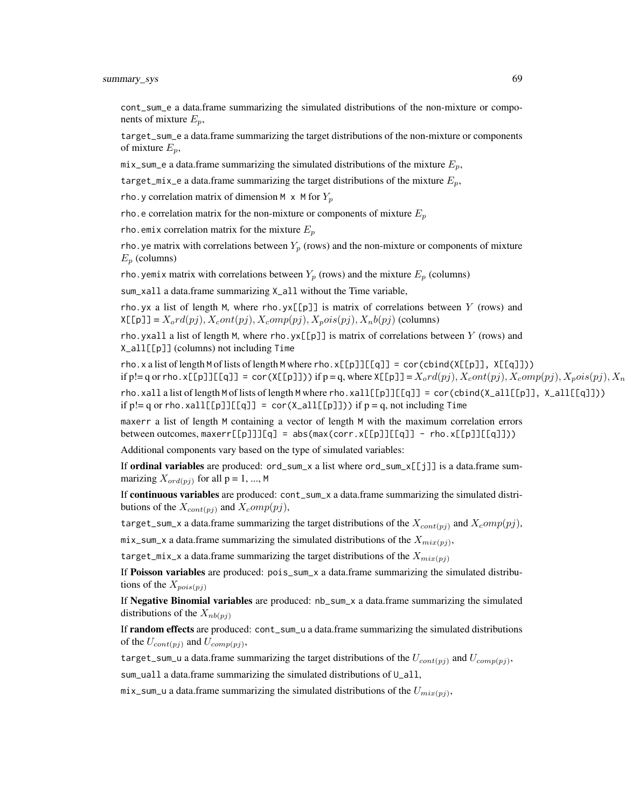summary\_sys 69

cont\_sum\_e a data.frame summarizing the simulated distributions of the non-mixture or components of mixture  $E_n$ ,

target\_sum\_e a data.frame summarizing the target distributions of the non-mixture or components of mixture  $E_p$ ,

mix\_sum\_e a data.frame summarizing the simulated distributions of the mixture  $E_p$ ,

target\_mix\_e a data.frame summarizing the target distributions of the mixture  $E_n$ ,

rho. y correlation matrix of dimension M  $\times$  M for  $Y_p$ 

rho. e correlation matrix for the non-mixture or components of mixture  $E_p$ 

rho. emix correlation matrix for the mixture  $E_n$ 

rho. ye matrix with correlations between  $Y_p$  (rows) and the non-mixture or components of mixture  $E_p$  (columns)

rho. yemix matrix with correlations between  $Y_p$  (rows) and the mixture  $E_p$  (columns)

sum\_xall a data.frame summarizing X\_all without the Time variable,

rho.yx a list of length M, where rho.yx $[\![p]\!]$  is matrix of correlations between Y (rows) and  $X[\text{[p]}] = X_o r d(pj), X_c o nt(pj), X_c o m p(pj), X_p o is(pj), X_n b(pj)$  (columns)

rho.yxall a list of length M, where rho.yx $[\![\mathfrak{p}]\!]$  is matrix of correlations between Y (rows) and X\_all[[p]] (columns) not including Time

rho.x a list of length M of lists of length M where rho.x[[p]][[q]] = cor(cbind(X[[p]], X[[q]])) if p!= q or rho.x[[p]][[q]] = cor(X[[p]])) if p = q, where  $X[[p]] = X_0rd(pj), X_0ot(pj), X_0op(pj), X_not(pj), X_n$ 

rho.xall a list of length M of lists of length M where rho.xall[[p]][[q]] = cor(cbind(X\_all[[p]], X\_all[[q]])) if  $p!= q$  or rho.xall[[p]][[q]] = cor(X\_all[[p]])) if  $p=q$ , not including Time

maxerr a list of length M containing a vector of length M with the maximum correlation errors between outcomes,  $maxerr[[p]]][q] = abs(max(corr.x[[p]][[q]] - rho.x[[p]][[q]]))$ 

Additional components vary based on the type of simulated variables:

If **ordinal variables** are produced:  $ord\_sum_x$  a list where  $ord\_sum_x[\![j]\!]$  is a data.frame summarizing  $X_{\text{ord}(pj)}$  for all  $p = 1, ..., M$ 

If **continuous variables** are produced: cont\_sum\_x a data.frame summarizing the simulated distributions of the  $X_{cont(pj)}$  and  $X_{c}omp(pj)$ ,

target\_sum\_x a data.frame summarizing the target distributions of the  $X_{cont(ni)}$  and  $X_{comp}(pj)$ ,

mix\_sum\_x a data.frame summarizing the simulated distributions of the  $X_{mix(pj)}$ ,

target\_mix\_x a data.frame summarizing the target distributions of the  $X_{mix(ni)}$ 

If Poisson variables are produced: pois\_sum\_x a data.frame summarizing the simulated distributions of the  $X_{pois(pj)}$ 

If Negative Binomial variables are produced: nb\_sum\_x a data.frame summarizing the simulated distributions of the  $X_{nb(pj)}$ 

If **random effects** are produced: cont\_sum\_u a data.frame summarizing the simulated distributions of the  $U_{cont(pj)}$  and  $U_{comp(pj)}$ ,

target\_sum\_u a data.frame summarizing the target distributions of the  $U_{cont(pj)}$  and  $U_{comp(pj)}$ ,

sum\_uall a data.frame summarizing the simulated distributions of U\_all,

mix\_sum\_u a data.frame summarizing the simulated distributions of the  $U_{mix(pj)}$ ,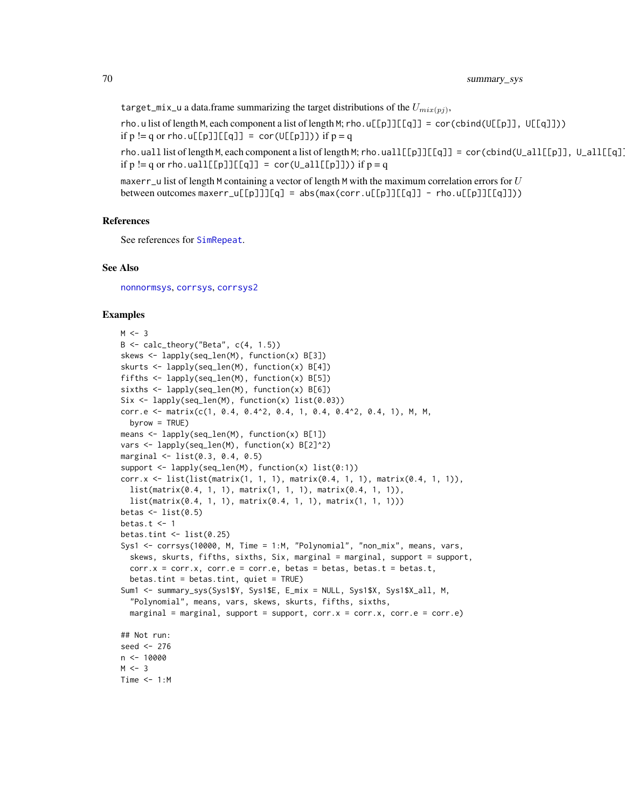target\_mix\_u a data.frame summarizing the target distributions of the  $U_{mix(pj)}$ ,

rho.u list of length M, each component a list of length M; rho.u[[p]][[q]] = cor(cbind(U[[p]], U[[q]])) if  $p := q$  or rho.u[[p]][[q]] = cor(U[[p]])) if  $p = q$ 

rho.uall list of length M, each component a list of length M; rho.uall[[p]][[q]] = cor(cbind(U\_all[[p]], U\_all[[q]] if  $p := q$  or rho.uall[[p]][[q]] = cor( $U$ \_all[[p]])) if  $p = q$ 

maxerr\_u list of length M containing a vector of length M with the maximum correlation errors for  $U$ between outcomes maxerr\_u[[p]]][q] = abs(max(corr.u[[p]][[q]] - rho.u[[p]][[q]]))

# References

See references for [SimRepeat](#page-58-0).

# See Also

[nonnormsys](#page-50-0), [corrsys](#page-20-0), [corrsys2](#page-35-0)

# Examples

```
M < -3B \leq - \text{calc\_theory}('Beta'', \text{c}(4, 1.5))skews <- lapply(seq_len(M), function(x) B[3])
skurts <- lapply(seq_len(M), function(x) B[4])
fifths <- lapply(seq_len(M), function(x) B[5])
sixths <- lapply(seq_len(M), function(x) B[6])
Six <- lapply(seq_len(M), function(x) list(0.03))
corr.e \leq matrix(c(1, 0.4, 0.4\geq, 0.4, 1, 0.4, 0.4\geq, 0.4, 1), M, M,
  byrow = TRUE)
means <- lapply(seq_len(M), function(x) B[1])
vars <- lapply(seq_len(M), function(x) B[2]^2)
marginal <- list(0.3, 0.4, 0.5)
support \leq lapply(seq_len(M), function(x) list(0:1))
corr.x <- list(list(matrix(1, 1, 1), matrix(0.4, 1, 1), matrix(0.4, 1, 1)),
  list(matrix(0.4, 1, 1), matrix(1, 1, 1), matrix(0.4, 1, 1)),
  list(matrix(0.4, 1, 1), matrix(0.4, 1, 1), matrix(1, 1, 1)))
betas \leq list(0.5)
betas.t <-1betas.tint \leq - list(0.25)
Sys1 <- corrsys(10000, M, Time = 1:M, "Polynomial", "non_mix", means, vars,
  skews, skurts, fifths, sixths, Six, marginal = marginal, support = support,
  corr.x = corr.x, corr.e = corr.e, betas = betas, betas.t = betas.t,
  beta.tint = betas.tint, quiet = TRUE)
Sum1 <- summary_sys(Sys1$Y, Sys1$E, E_mix = NULL, Sys1$X, Sys1$X_all, M,
  "Polynomial", means, vars, skews, skurts, fifths, sixths,
  marginal = marginal, support = support, corr.x = corr.x, corr.e = corr.e)
## Not run:
seed <- 276
n < -10000M < -3Time <-1:M
```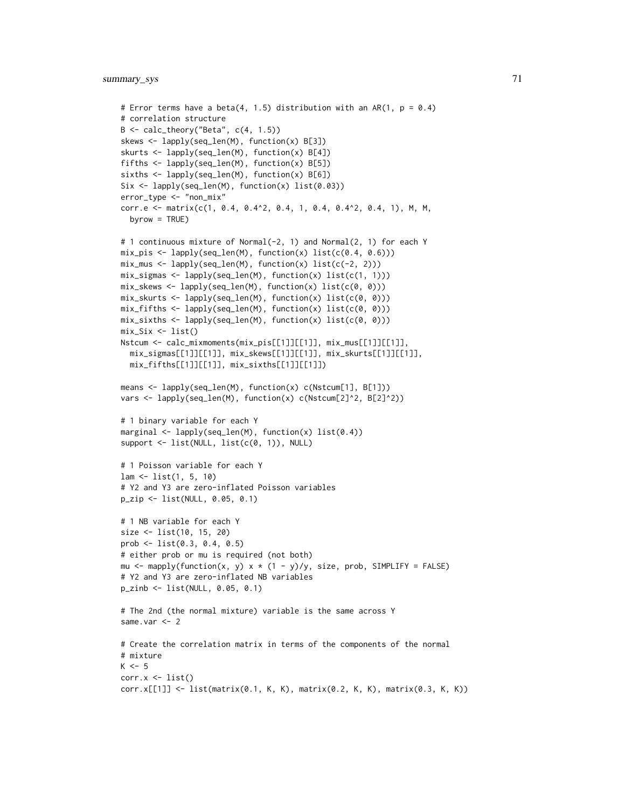```
# Error terms have a beta(4, 1.5) distribution with an AR(1, p = 0.4)
# correlation structure
B <- calc_theory("Beta", c(4, 1.5))
skews <- lapply(seq_len(M), function(x) B[3])
skurts <- lapply(seq_len(M), function(x) B[4])
fifths <- lapply(seq_len(M), function(x) B[5])
sixths <- lapply(seq_len(M), function(x) B[6])
Six <- lapply(seq_len(M), function(x) list(0.03))
error_type <- "non_mix"
corr.e <- matrix(c(1, 0.4, 0.4^2, 0.4, 1, 0.4, 0.4^2, 0.4, 1), M, M,
  byrow = TRUE)
# 1 continuous mixture of Normal(-2, 1) and Normal(2, 1) for each Y
mix\_pis \leftarrow \text{lapply}(\text{seq\_len}(M), \text{ function}(x) \text{ list}(c(0.4, 0.6)))mix_mus \leftarrow \text{lapply}(\text{seq\_len}(M), function(x) \text{list}(c(-2, 2)))mix_sigmas <- lapply(seq_len(M), function(x) list(c(1, 1)))
mix_skews <- lapply(seq_len(M), function(x) list(c(0, 0)))
mix_skurts <- lapply(seq_len(M), function(x) list(c(0, 0)))
mix_fifths \leftarrow lapply(seq_len(M), function(x) list(c(0, 0)))mix_sixths <- lapply(seq_len(M), function(x) list(c(0, 0)))
mix\_Six \leftarrow list()Nstcum <- calc_mixmoments(mix_pis[[1]][[1]], mix_mus[[1]][[1]],
  mix_sigmas[[1]][[1]], mix_skews[[1]][[1]], mix_skurts[[1]][[1]],
  mix_fifths[[1]][[1]], mix_sixths[[1]][[1]])
means <- lapply(seq_len(M), function(x) c(Nstcum[1], B[1]))
vars <- lapply(seq_len(M), function(x) c(Nstcum[2]^2, B[2]^2))
# 1 binary variable for each Y
marginal <- lapply(seq_len(M), function(x) list(0.4))
support \leq list(NULL, list(c(0, 1)), NULL)
# 1 Poisson variable for each Y
lam <- list(1, 5, 10)
# Y2 and Y3 are zero-inflated Poisson variables
p_zip <- list(NULL, 0.05, 0.1)
# 1 NB variable for each Y
size <- list(10, 15, 20)
prob <- list(0.3, 0.4, 0.5)
# either prob or mu is required (not both)
mu <- mapply(function(x, y) x * (1 - y)/y, size, prob, SIMPLIFY = FALSE)
# Y2 and Y3 are zero-inflated NB variables
p_zinb <- list(NULL, 0.05, 0.1)
# The 2nd (the normal mixture) variable is the same across Y
same.var <- 2
# Create the correlation matrix in terms of the components of the normal
# mixture
K < -5corr.x \leftarrow list()corr.x[[1]] <- list(matrix(0.1, K, K), matrix(0.2, K, K), matrix(0.3, K, K))
```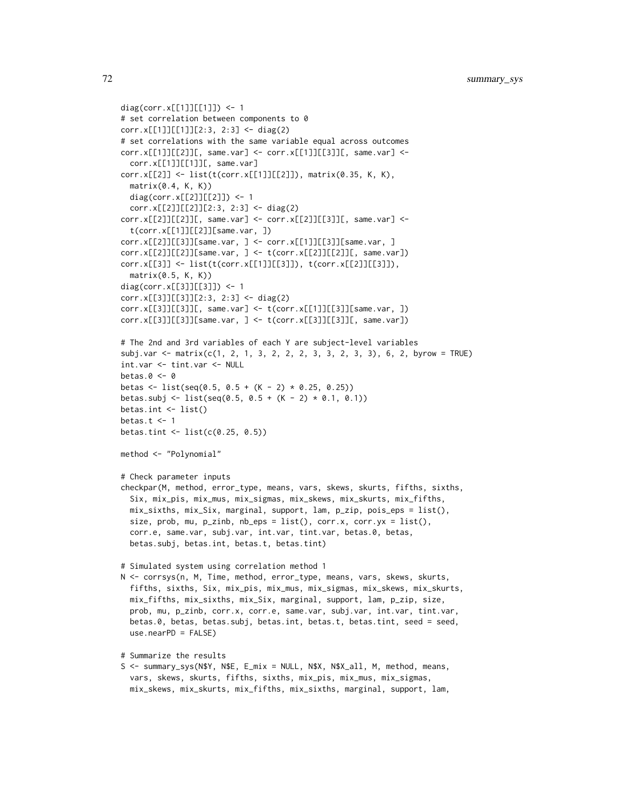```
diag(corr.x[[1]][[1]]) <- 1
# set correlation between components to 0
corr.x[[1]][[1]][2:3, 2:3] <- diag(2)
# set correlations with the same variable equal across outcomes
corr.x[[1]][[2]][, same.var] <- corr.x[[1]][[3]][, same.var] <-
  corr.x[[1]][[1]][, same.var]
corr.x[[2]] <- list(t(corr.x[[1]][[2]]), matrix(0.35, K, K),
  matrix(0.4, K, K))diag(corr.x[[2]][[2]]) <- 1
  corr.x[[2]][[2]][2:3, 2:3] <- diag(2)
corr.x[[2]][[2]][, same.var] <- corr.x[[2]][[3]][, same.var] <-
  t(corr.x[[1]][[2]][same.var, ])
corr.x[[2]][[3]][same.var, ] <- corr.x[[1]][[3]][same.var, ]
corr.x[[2]][[2]][same.var, ] <- t(corr.x[[2]][[2]][, same.var])
corr.x[[3]] <- list(t(corr.x[[1]][[3]]), t(corr.x[[2]][[3]]),
  matrix(0.5, K, K))
diag(corr.x[[3]][[3]]) <- 1
corr.x[[3]][[3]][2:3, 2:3] <- diag(2)
corr.x[[3]][[3]][, same.var] <- t(corr.x[[1]][[3]][same.var, ])
corr.x[[3]][[3]][same.var, ] <- t(corr.x[[3]][[3]][, same.var])
# The 2nd and 3rd variables of each Y are subject-level variables
subj.var <- matrix(c(1, 2, 1, 3, 2, 2, 2, 3, 3, 2, 3, 3), 6, 2, byrow = TRUE)
int.var <- tint.var <- NULL
betas.0 < -0betas <- list(seq(0.5, 0.5 + (K - 2) * 0.25, 0.25))
betas.subj <- list(seq(0.5, 0.5 + (K - 2) * 0.1, 0.1))
betas.int <- list()
betas.t <-1betas.tint <- list(c(0.25, 0.5))
method <- "Polynomial"
# Check parameter inputs
checkpar(M, method, error_type, means, vars, skews, skurts, fifths, sixths,
  Six, mix_pis, mix_mus, mix_sigmas, mix_skews, mix_skurts, mix_fifths,
  mix_sixths, mix_Six, marginal, support, lam, p_zip, pois_eps = list(),
  size, prob, mu, p\_zinh, nb\_eps = list(), corr.x, corr.yx = list(),
  corr.e, same.var, subj.var, int.var, tint.var, betas.0, betas,
  betas.subj, betas.int, betas.t, betas.tint)
# Simulated system using correlation method 1
N <- corrsys(n, M, Time, method, error_type, means, vars, skews, skurts,
  fifths, sixths, Six, mix_pis, mix_mus, mix_sigmas, mix_skews, mix_skurts,
  mix_fifths, mix_sixths, mix_Six, marginal, support, lam, p_zip, size,
  prob, mu, p_zinb, corr.x, corr.e, same.var, subj.var, int.var, tint.var,
  betas.0, betas, betas.subj, betas.int, betas.t, betas.tint, seed = seed,
  use.nearPD = FALSE)
# Summarize the results
S <- summary_sys(N$Y, N$E, E_mix = NULL, N$X, N$X_all, M, method, means,
```
vars, skews, skurts, fifths, sixths, mix\_pis, mix\_mus, mix\_sigmas, mix\_skews, mix\_skurts, mix\_fifths, mix\_sixths, marginal, support, lam,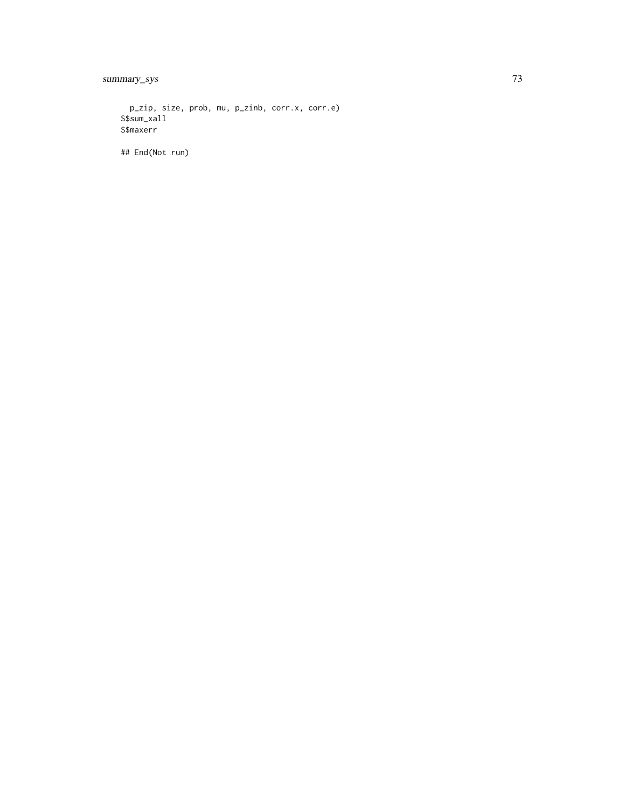summary\_sys

p\_zip, size, prob, mu, p\_zinb, corr.x, corr.e) S\$sum\_xall S\$maxerr

## End(Not run)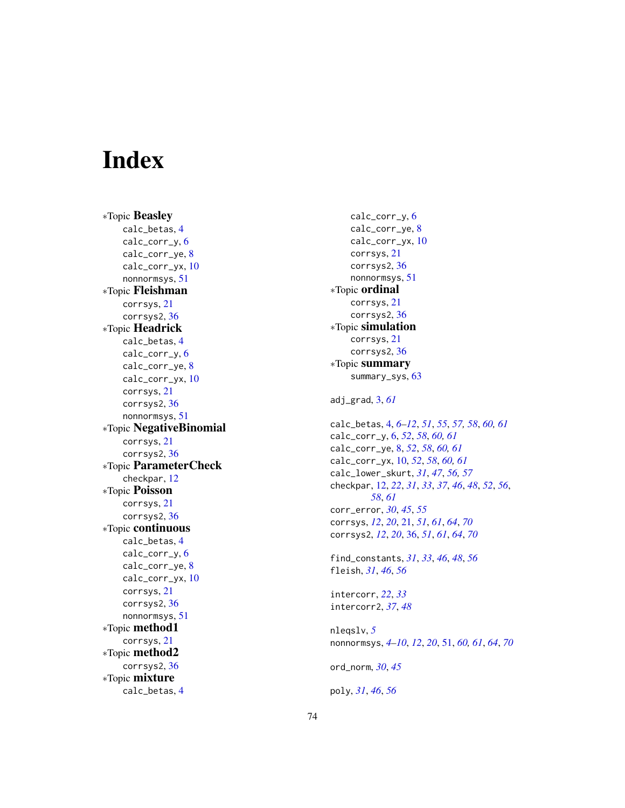## **Index**

∗Topic Beasley calc\_betas , [4](#page-3-0) calc\_corr\_y, [6](#page-5-0) calc\_corr\_ye , [8](#page-7-0) calc\_corr\_yx, [10](#page-9-0) nonnormsys , [51](#page-50-0) ∗Topic Fleishman corrsys , [21](#page-20-0) corrsys2 , [36](#page-35-0) ∗Topic Headrick calc\_betas , [4](#page-3-0) calc\_corr\_y , [6](#page-5-0) calc\_corr\_ye , [8](#page-7-0) calc\_corr\_yx , [10](#page-9-0) corrsys , [21](#page-20-0) corrsys2 , [36](#page-35-0) nonnormsys , [51](#page-50-0) ∗Topic NegativeBinomial corrsys , [21](#page-20-0) corrsys2 , [36](#page-35-0) ∗Topic ParameterCheck checkpar , [12](#page-11-0) ∗Topic Poisson corrsys , [21](#page-20-0) corrsys2 , [36](#page-35-0) ∗Topic continuous calc\_betas , [4](#page-3-0) calc\_corr\_y , [6](#page-5-0) calc\_corr\_ye , [8](#page-7-0) calc\_corr\_yx , [10](#page-9-0) corrsys , [21](#page-20-0) corrsys2 , [36](#page-35-0) nonnormsys , [51](#page-50-0) ∗Topic method1 corrsys , [21](#page-20-0) ∗Topic method2 corrsys2 , [36](#page-35-0) ∗Topic mixture calc\_betas , [4](#page-3-0)

calc\_corr\_y , [6](#page-5-0) calc\_corr\_ye , [8](#page-7-0) calc\_corr\_yx , [10](#page-9-0) corrsys , [21](#page-20-0) corrsys2 , [36](#page-35-0) nonnormsys , [51](#page-50-0) ∗Topic ordinal corrsys , [21](#page-20-0) corrsys2 , [36](#page-35-0) ∗Topic simulation corrsys , [21](#page-20-0) corrsys2 , [36](#page-35-0) ∗Topic summary summary\_sys, [63](#page-62-0) adj\_grad , [3](#page-2-0) , *[61](#page-60-0)* calc\_betas , [4](#page-3-0) , *[6](#page-5-0)[–12](#page-11-0)* , *[51](#page-50-0)* , *[55](#page-54-0)* , *[57,](#page-56-0) [58](#page-57-0)* , *[60](#page-59-0) , [61](#page-60-0)* calc\_corr\_y , [6](#page-5-0) , *[52](#page-51-0)* , *[58](#page-57-0)* , *[60](#page-59-0) , [61](#page-60-0)* calc\_corr\_ye , [8](#page-7-0) , *[52](#page-51-0)* , *[58](#page-57-0)* , *[60](#page-59-0) , [61](#page-60-0)* calc\_corr\_yx , [10](#page-9-0) , *[52](#page-51-0)* , *[58](#page-57-0)* , *[60](#page-59-0) , [61](#page-60-0)* calc\_lower\_skurt , *[31](#page-30-0)* , *[47](#page-46-0)* , *[56,](#page-55-0) [57](#page-56-0)* checkpar , [12](#page-11-0) , *[22](#page-21-0)* , *[31](#page-30-0)* , *[33](#page-32-0)* , *[37](#page-36-0)* , *[46](#page-45-0)* , *[48](#page-47-0)* , *[52](#page-51-0)* , *[56](#page-55-0)* , *[58](#page-57-0)* , *[61](#page-60-0)* corr\_error , *[30](#page-29-0)* , *[45](#page-44-0)* , *[55](#page-54-0)* corrsys , *[12](#page-11-0)* , *[20](#page-19-0)* , [21](#page-20-0) , *[51](#page-50-0)* , *[61](#page-60-0)* , *[64](#page-63-0)* , *[70](#page-69-0)* corrsys2 , *[12](#page-11-0)* , *[20](#page-19-0)* , [36](#page-35-0) , *[51](#page-50-0)* , *[61](#page-60-0)* , *[64](#page-63-0)* , *[70](#page-69-0)* find\_constants , *[31](#page-30-0)* , *[33](#page-32-0)* , *[46](#page-45-0)* , *[48](#page-47-0)* , *[56](#page-55-0)* fleish , *[31](#page-30-0)* , *[46](#page-45-0)* , *[56](#page-55-0)* intercorr , *[22](#page-21-0)* , *[33](#page-32-0)* intercorr2 , *[37](#page-36-0)* , *[48](#page-47-0)* nleqslv , *[5](#page-4-0)* nonnormsys , *[4](#page-3-0) [–10](#page-9-0)* , *[12](#page-11-0)* , *[20](#page-19-0)* , [51](#page-50-0) , *[60](#page-59-0) , [61](#page-60-0)* , *[64](#page-63-0)* , *[70](#page-69-0)* ord\_norm , *[30](#page-29-0)* , *[45](#page-44-0)* poly , *[31](#page-30-0)* , *[46](#page-45-0)* , *[56](#page-55-0)*